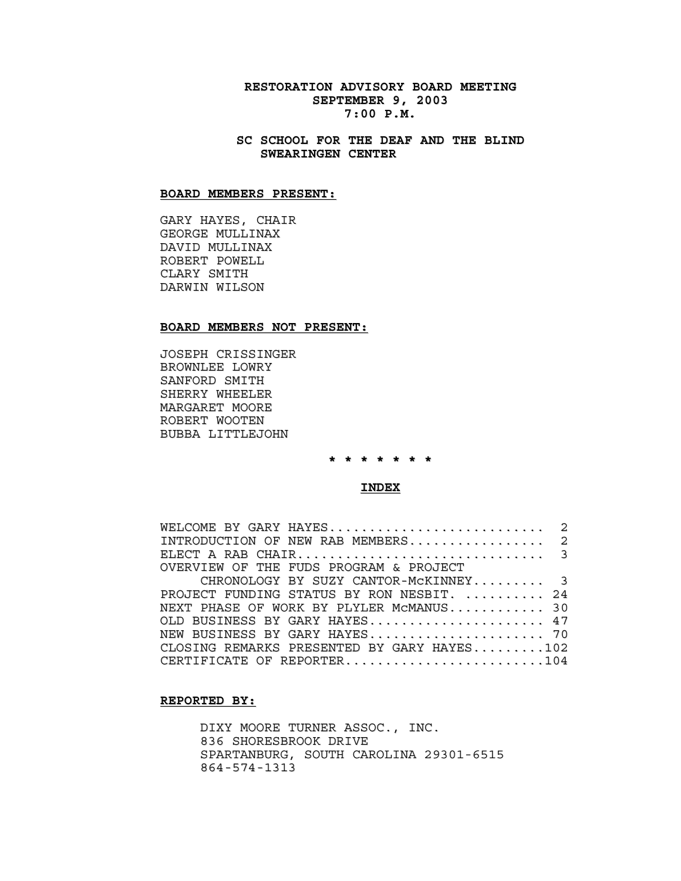# **RESTORATION ADVISORY BOARD MEETING SEPTEMBER 9, 2003 7:00 P.M.**

# **SC SCHOOL FOR THE DEAF AND THE BLIND SWEARINGEN CENTER**

#### **BOARD MEMBERS PRESENT:**

GARY HAYES, CHAIR GEORGE MULLINAX DAVID MULLINAX ROBERT POWELL CLARY SMITH DARWIN WILSON

### **BOARD MEMBERS NOT PRESENT:**

JOSEPH CRISSINGER BROWNLEE LOWRY SANFORD SMITH SHERRY WHEELER MARGARET MOORE ROBERT WOOTEN BUBBA LITTLEJOHN

**\* \* \* \* \* \* \***

#### **INDEX**

| WELCOME BY GARY HAYES 2                    |  |
|--------------------------------------------|--|
| INTRODUCTION OF NEW RAB MEMBERS 2          |  |
|                                            |  |
| OVERVIEW OF THE FUDS PROGRAM & PROJECT     |  |
| CHRONOLOGY BY SUZY CANTOR-MCKINNEY 3       |  |
| PROJECT FUNDING STATUS BY RON NESBIT.  24  |  |
| NEXT PHASE OF WORK BY PLYLER MCMANUS 30    |  |
| OLD BUSINESS BY GARY HAYES 47              |  |
| NEW BUSINESS BY GARY HAYES 70              |  |
| CLOSING REMARKS PRESENTED BY GARY HAYES102 |  |
| CERTIFICATE OF REPORTER104                 |  |

### **REPORTED BY:**

DIXY MOORE TURNER ASSOC., INC. 836 SHORESBROOK DRIVE SPARTANBURG, SOUTH CAROLINA 29301-6515 864-574-1313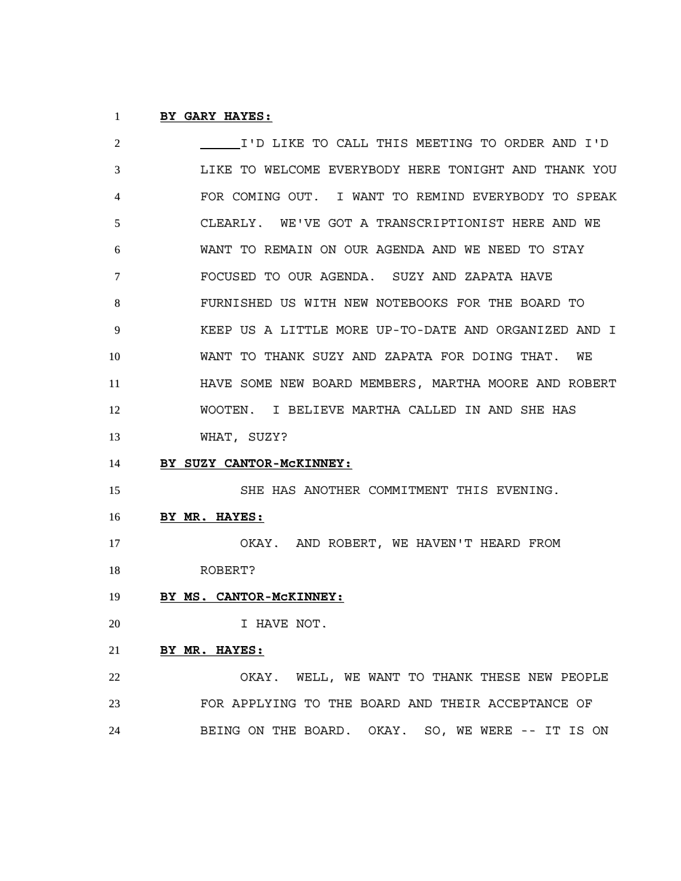# **BY GARY HAYES:**

| 2  | I'D LIKE TO CALL THIS MEETING TO ORDER AND I'D       |
|----|------------------------------------------------------|
| 3  | LIKE TO WELCOME EVERYBODY HERE TONIGHT AND THANK YOU |
| 4  | FOR COMING OUT. I WANT TO REMIND EVERYBODY TO SPEAK  |
| 5  | CLEARLY. WE'VE GOT A TRANSCRIPTIONIST HERE AND WE    |
| 6  | WANT TO REMAIN ON OUR AGENDA AND WE NEED TO STAY     |
| 7  | FOCUSED TO OUR AGENDA. SUZY AND ZAPATA HAVE          |
| 8  | FURNISHED US WITH NEW NOTEBOOKS FOR THE BOARD TO     |
| 9  | KEEP US A LITTLE MORE UP-TO-DATE AND ORGANIZED AND I |
| 10 | WANT TO THANK SUZY AND ZAPATA FOR DOING THAT.<br>WE  |
| 11 | HAVE SOME NEW BOARD MEMBERS, MARTHA MOORE AND ROBERT |
| 12 | WOOTEN. I BELIEVE MARTHA CALLED IN AND SHE HAS       |
| 13 | WHAT, SUZY?                                          |
| 14 | BY SUZY CANTOR-MCKINNEY:                             |
| 15 | SHE HAS ANOTHER COMMITMENT THIS EVENING.             |
| 16 | BY MR. HAYES:                                        |
| 17 | OKAY. AND ROBERT, WE HAVEN'T HEARD FROM              |
| 18 | ROBERT?                                              |
| 19 | BY MS. CANTOR-MCKINNEY:                              |
| 20 | I HAVE NOT.                                          |
| 21 | BY MR. HAYES:                                        |
| 22 | OKAY. WELL, WE WANT TO THANK THESE NEW PEOPLE        |
| 23 | FOR APPLYING TO THE BOARD AND THEIR ACCEPTANCE OF    |
| 24 | BEING ON THE BOARD. OKAY. SO, WE WERE -- IT IS ON    |
|    |                                                      |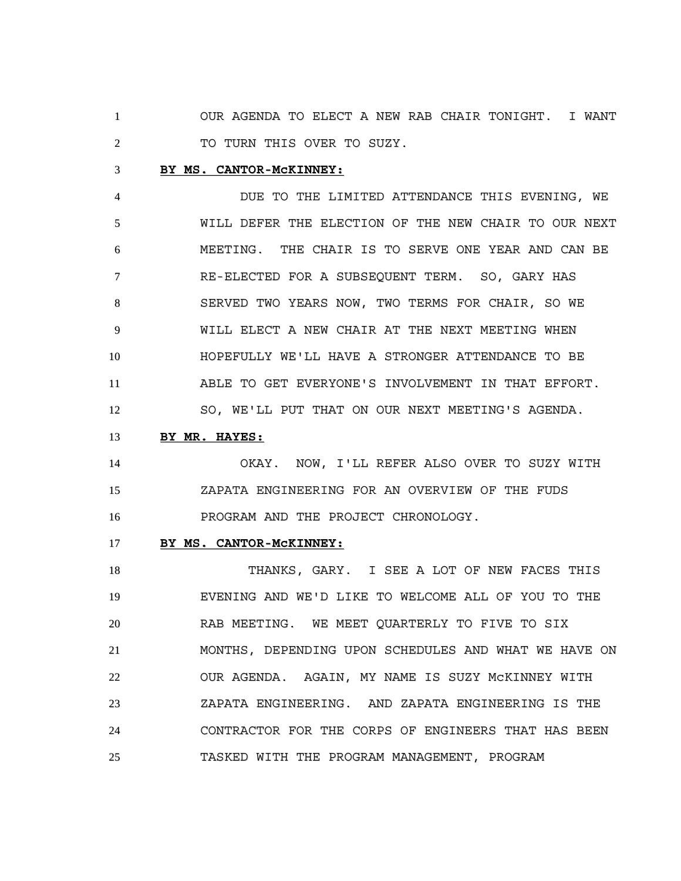OUR AGENDA TO ELECT A NEW RAB CHAIR TONIGHT. I WANT 2 TO TURN THIS OVER TO SUZY.

### **BY MS. CANTOR-McKINNEY:**

 DUE TO THE LIMITED ATTENDANCE THIS EVENING, WE WILL DEFER THE ELECTION OF THE NEW CHAIR TO OUR NEXT MEETING. THE CHAIR IS TO SERVE ONE YEAR AND CAN BE RE-ELECTED FOR A SUBSEQUENT TERM. SO, GARY HAS SERVED TWO YEARS NOW, TWO TERMS FOR CHAIR, SO WE WILL ELECT A NEW CHAIR AT THE NEXT MEETING WHEN HOPEFULLY WE'LL HAVE A STRONGER ATTENDANCE TO BE ABLE TO GET EVERYONE'S INVOLVEMENT IN THAT EFFORT. SO, WE'LL PUT THAT ON OUR NEXT MEETING'S AGENDA.

**BY MR. HAYES:**

 OKAY. NOW, I'LL REFER ALSO OVER TO SUZY WITH ZAPATA ENGINEERING FOR AN OVERVIEW OF THE FUDS PROGRAM AND THE PROJECT CHRONOLOGY.

# **BY MS. CANTOR-McKINNEY:**

18 THANKS, GARY. I SEE A LOT OF NEW FACES THIS EVENING AND WE'D LIKE TO WELCOME ALL OF YOU TO THE RAB MEETING. WE MEET QUARTERLY TO FIVE TO SIX MONTHS, DEPENDING UPON SCHEDULES AND WHAT WE HAVE ON OUR AGENDA. AGAIN, MY NAME IS SUZY McKINNEY WITH ZAPATA ENGINEERING. AND ZAPATA ENGINEERING IS THE CONTRACTOR FOR THE CORPS OF ENGINEERS THAT HAS BEEN TASKED WITH THE PROGRAM MANAGEMENT, PROGRAM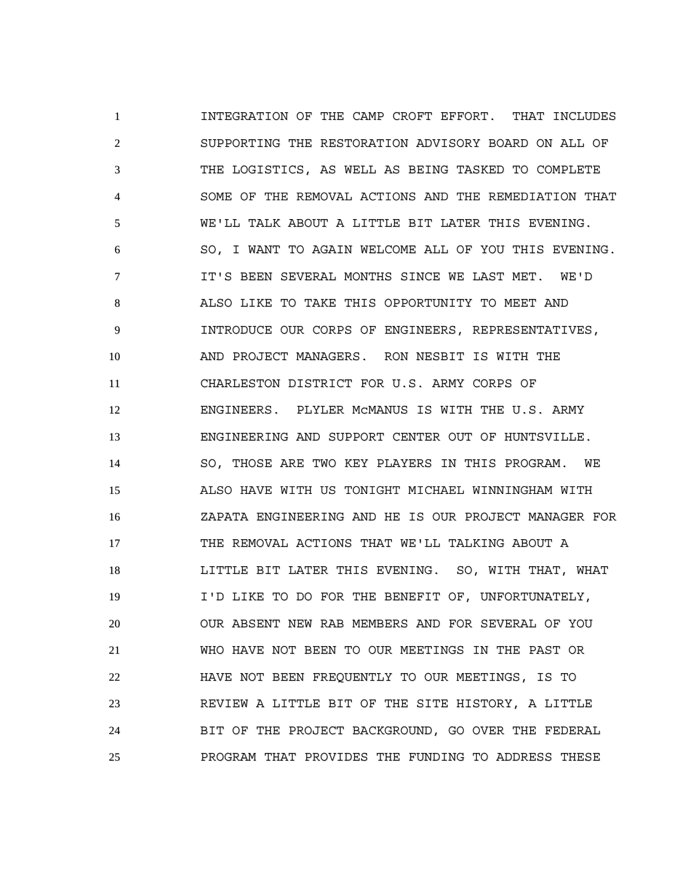INTEGRATION OF THE CAMP CROFT EFFORT. THAT INCLUDES SUPPORTING THE RESTORATION ADVISORY BOARD ON ALL OF THE LOGISTICS, AS WELL AS BEING TASKED TO COMPLETE SOME OF THE REMOVAL ACTIONS AND THE REMEDIATION THAT WE'LL TALK ABOUT A LITTLE BIT LATER THIS EVENING. SO, I WANT TO AGAIN WELCOME ALL OF YOU THIS EVENING. **IT'S BEEN SEVERAL MONTHS SINCE WE LAST MET. WE'D**  ALSO LIKE TO TAKE THIS OPPORTUNITY TO MEET AND INTRODUCE OUR CORPS OF ENGINEERS, REPRESENTATIVES, AND PROJECT MANAGERS. RON NESBIT IS WITH THE CHARLESTON DISTRICT FOR U.S. ARMY CORPS OF ENGINEERS. PLYLER McMANUS IS WITH THE U.S. ARMY ENGINEERING AND SUPPORT CENTER OUT OF HUNTSVILLE. SO, THOSE ARE TWO KEY PLAYERS IN THIS PROGRAM. WE ALSO HAVE WITH US TONIGHT MICHAEL WINNINGHAM WITH ZAPATA ENGINEERING AND HE IS OUR PROJECT MANAGER FOR THE REMOVAL ACTIONS THAT WE'LL TALKING ABOUT A LITTLE BIT LATER THIS EVENING. SO, WITH THAT, WHAT I'D LIKE TO DO FOR THE BENEFIT OF, UNFORTUNATELY, OUR ABSENT NEW RAB MEMBERS AND FOR SEVERAL OF YOU WHO HAVE NOT BEEN TO OUR MEETINGS IN THE PAST OR HAVE NOT BEEN FREQUENTLY TO OUR MEETINGS, IS TO REVIEW A LITTLE BIT OF THE SITE HISTORY, A LITTLE BIT OF THE PROJECT BACKGROUND, GO OVER THE FEDERAL PROGRAM THAT PROVIDES THE FUNDING TO ADDRESS THESE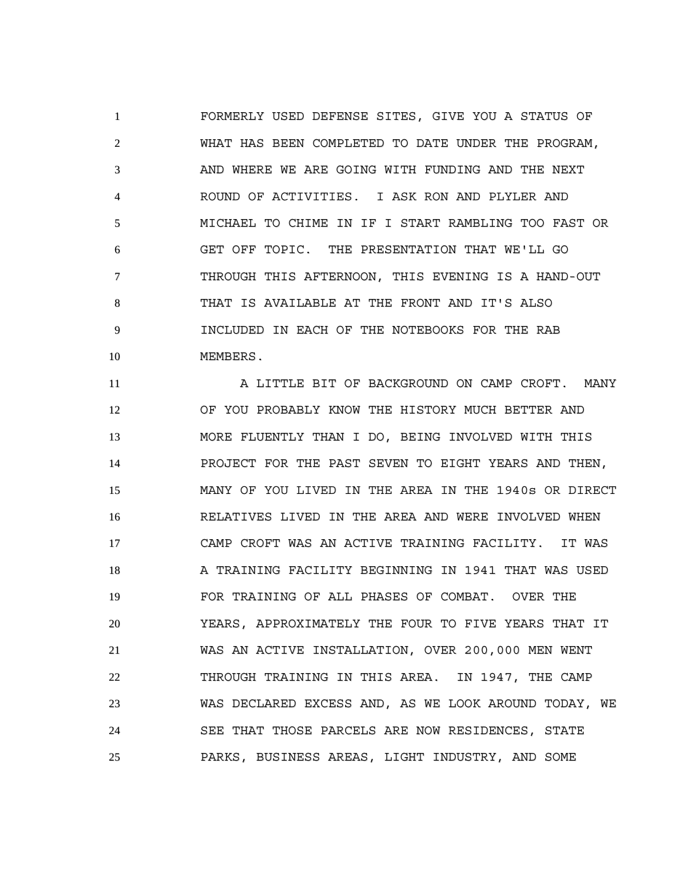FORMERLY USED DEFENSE SITES, GIVE YOU A STATUS OF WHAT HAS BEEN COMPLETED TO DATE UNDER THE PROGRAM, 3 AND WHERE WE ARE GOING WITH FUNDING AND THE NEXT ROUND OF ACTIVITIES. I ASK RON AND PLYLER AND MICHAEL TO CHIME IN IF I START RAMBLING TOO FAST OR GET OFF TOPIC. THE PRESENTATION THAT WE'LL GO THROUGH THIS AFTERNOON, THIS EVENING IS A HAND-OUT THAT IS AVAILABLE AT THE FRONT AND IT'S ALSO INCLUDED IN EACH OF THE NOTEBOOKS FOR THE RAB MEMBERS.

**A LITTLE BIT OF BACKGROUND ON CAMP CROFT. MANY**  OF YOU PROBABLY KNOW THE HISTORY MUCH BETTER AND MORE FLUENTLY THAN I DO, BEING INVOLVED WITH THIS PROJECT FOR THE PAST SEVEN TO EIGHT YEARS AND THEN, MANY OF YOU LIVED IN THE AREA IN THE 1940s OR DIRECT RELATIVES LIVED IN THE AREA AND WERE INVOLVED WHEN CAMP CROFT WAS AN ACTIVE TRAINING FACILITY. IT WAS 18 A TRAINING FACILITY BEGINNING IN 1941 THAT WAS USED FOR TRAINING OF ALL PHASES OF COMBAT. OVER THE YEARS, APPROXIMATELY THE FOUR TO FIVE YEARS THAT IT WAS AN ACTIVE INSTALLATION, OVER 200,000 MEN WENT THROUGH TRAINING IN THIS AREA. IN 1947, THE CAMP WAS DECLARED EXCESS AND, AS WE LOOK AROUND TODAY, WE SEE THAT THOSE PARCELS ARE NOW RESIDENCES, STATE PARKS, BUSINESS AREAS, LIGHT INDUSTRY, AND SOME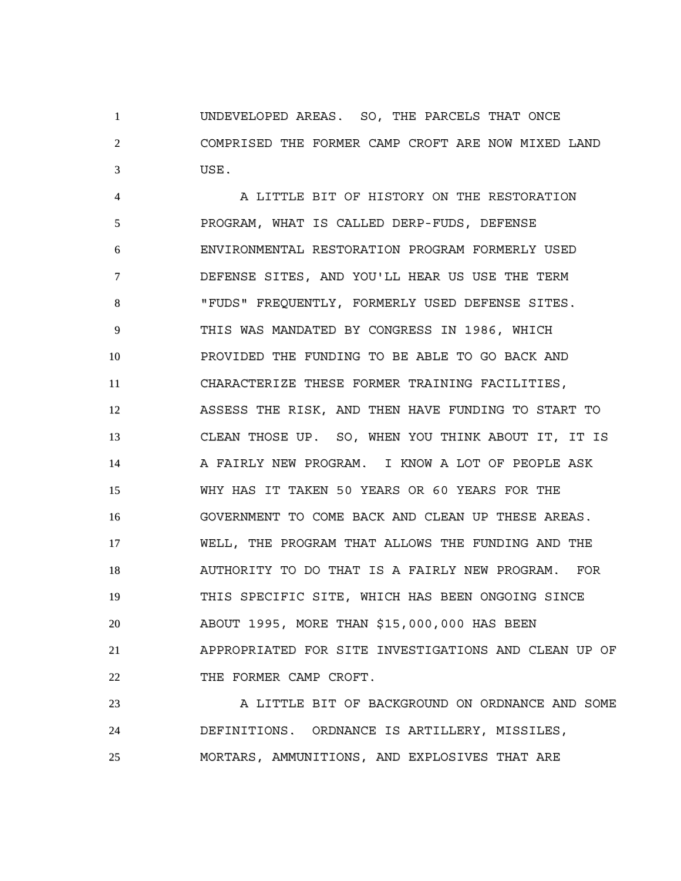UNDEVELOPED AREAS. SO, THE PARCELS THAT ONCE COMPRISED THE FORMER CAMP CROFT ARE NOW MIXED LAND USE.

 A LITTLE BIT OF HISTORY ON THE RESTORATION PROGRAM, WHAT IS CALLED DERP-FUDS, DEFENSE ENVIRONMENTAL RESTORATION PROGRAM FORMERLY USED DEFENSE SITES, AND YOU'LL HEAR US USE THE TERM "FUDS" FREQUENTLY, FORMERLY USED DEFENSE SITES. THIS WAS MANDATED BY CONGRESS IN 1986, WHICH PROVIDED THE FUNDING TO BE ABLE TO GO BACK AND CHARACTERIZE THESE FORMER TRAINING FACILITIES, ASSESS THE RISK, AND THEN HAVE FUNDING TO START TO CLEAN THOSE UP. SO, WHEN YOU THINK ABOUT IT, IT IS 14 A FAIRLY NEW PROGRAM. I KNOW A LOT OF PEOPLE ASK WHY HAS IT TAKEN 50 YEARS OR 60 YEARS FOR THE GOVERNMENT TO COME BACK AND CLEAN UP THESE AREAS. WELL, THE PROGRAM THAT ALLOWS THE FUNDING AND THE AUTHORITY TO DO THAT IS A FAIRLY NEW PROGRAM. FOR THIS SPECIFIC SITE, WHICH HAS BEEN ONGOING SINCE ABOUT 1995, MORE THAN \$15,000,000 HAS BEEN APPROPRIATED FOR SITE INVESTIGATIONS AND CLEAN UP OF 22 THE FORMER CAMP CROFT.

23 A LITTLE BIT OF BACKGROUND ON ORDNANCE AND SOME DEFINITIONS. ORDNANCE IS ARTILLERY, MISSILES, MORTARS, AMMUNITIONS, AND EXPLOSIVES THAT ARE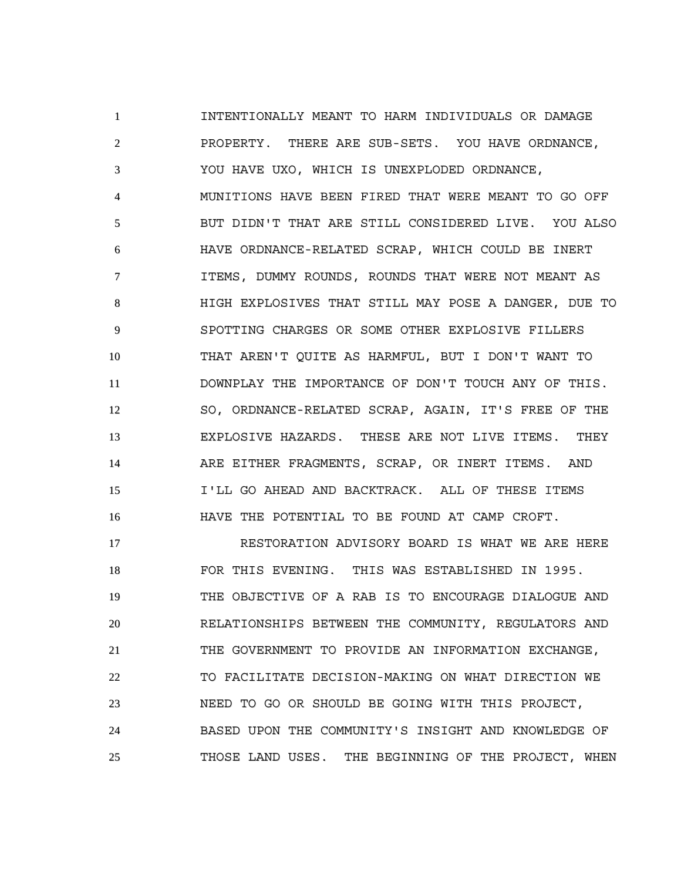INTENTIONALLY MEANT TO HARM INDIVIDUALS OR DAMAGE PROPERTY. THERE ARE SUB-SETS. YOU HAVE ORDNANCE, YOU HAVE UXO, WHICH IS UNEXPLODED ORDNANCE, MUNITIONS HAVE BEEN FIRED THAT WERE MEANT TO GO OFF BUT DIDN'T THAT ARE STILL CONSIDERED LIVE. YOU ALSO HAVE ORDNANCE-RELATED SCRAP, WHICH COULD BE INERT ITEMS, DUMMY ROUNDS, ROUNDS THAT WERE NOT MEANT AS HIGH EXPLOSIVES THAT STILL MAY POSE A DANGER, DUE TO SPOTTING CHARGES OR SOME OTHER EXPLOSIVE FILLERS THAT AREN'T QUITE AS HARMFUL, BUT I DON'T WANT TO DOWNPLAY THE IMPORTANCE OF DON'T TOUCH ANY OF THIS. SO, ORDNANCE-RELATED SCRAP, AGAIN, IT'S FREE OF THE EXPLOSIVE HAZARDS. THESE ARE NOT LIVE ITEMS. THEY ARE EITHER FRAGMENTS, SCRAP, OR INERT ITEMS. AND I'LL GO AHEAD AND BACKTRACK. ALL OF THESE ITEMS HAVE THE POTENTIAL TO BE FOUND AT CAMP CROFT.

 RESTORATION ADVISORY BOARD IS WHAT WE ARE HERE FOR THIS EVENING. THIS WAS ESTABLISHED IN 1995. THE OBJECTIVE OF A RAB IS TO ENCOURAGE DIALOGUE AND RELATIONSHIPS BETWEEN THE COMMUNITY, REGULATORS AND THE GOVERNMENT TO PROVIDE AN INFORMATION EXCHANGE, TO FACILITATE DECISION-MAKING ON WHAT DIRECTION WE NEED TO GO OR SHOULD BE GOING WITH THIS PROJECT, BASED UPON THE COMMUNITY'S INSIGHT AND KNOWLEDGE OF THOSE LAND USES. THE BEGINNING OF THE PROJECT, WHEN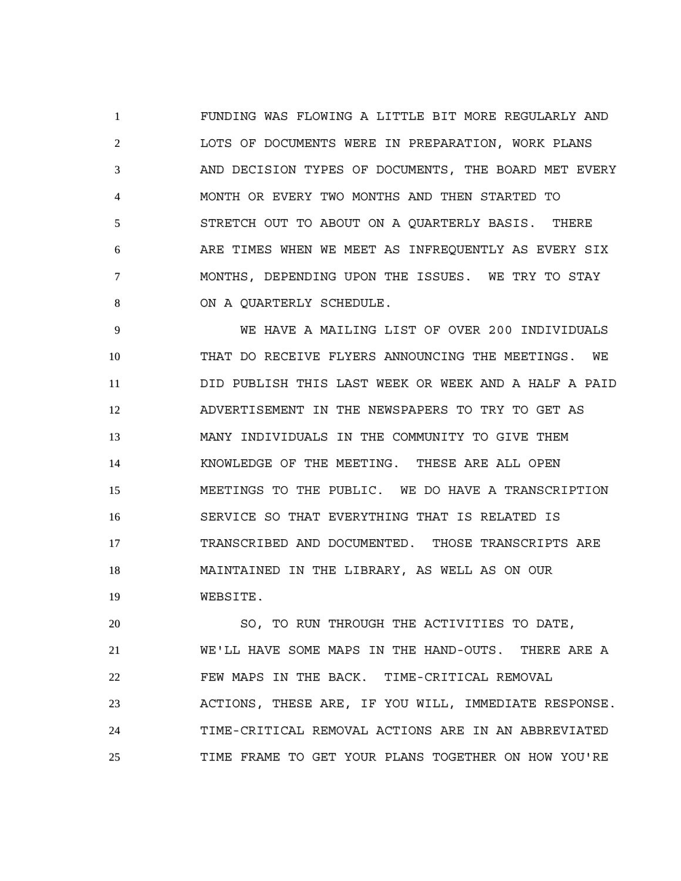FUNDING WAS FLOWING A LITTLE BIT MORE REGULARLY AND LOTS OF DOCUMENTS WERE IN PREPARATION, WORK PLANS AND DECISION TYPES OF DOCUMENTS, THE BOARD MET EVERY MONTH OR EVERY TWO MONTHS AND THEN STARTED TO STRETCH OUT TO ABOUT ON A QUARTERLY BASIS. THERE ARE TIMES WHEN WE MEET AS INFREQUENTLY AS EVERY SIX MONTHS, DEPENDING UPON THE ISSUES. WE TRY TO STAY 8 ON A QUARTERLY SCHEDULE.

 WE HAVE A MAILING LIST OF OVER 200 INDIVIDUALS THAT DO RECEIVE FLYERS ANNOUNCING THE MEETINGS. WE DID PUBLISH THIS LAST WEEK OR WEEK AND A HALF A PAID ADVERTISEMENT IN THE NEWSPAPERS TO TRY TO GET AS MANY INDIVIDUALS IN THE COMMUNITY TO GIVE THEM KNOWLEDGE OF THE MEETING. THESE ARE ALL OPEN MEETINGS TO THE PUBLIC. WE DO HAVE A TRANSCRIPTION SERVICE SO THAT EVERYTHING THAT IS RELATED IS TRANSCRIBED AND DOCUMENTED. THOSE TRANSCRIPTS ARE MAINTAINED IN THE LIBRARY, AS WELL AS ON OUR WEBSITE.

 SO, TO RUN THROUGH THE ACTIVITIES TO DATE, WE'LL HAVE SOME MAPS IN THE HAND-OUTS. THERE ARE A FEW MAPS IN THE BACK. TIME-CRITICAL REMOVAL ACTIONS, THESE ARE, IF YOU WILL, IMMEDIATE RESPONSE. TIME-CRITICAL REMOVAL ACTIONS ARE IN AN ABBREVIATED TIME FRAME TO GET YOUR PLANS TOGETHER ON HOW YOU'RE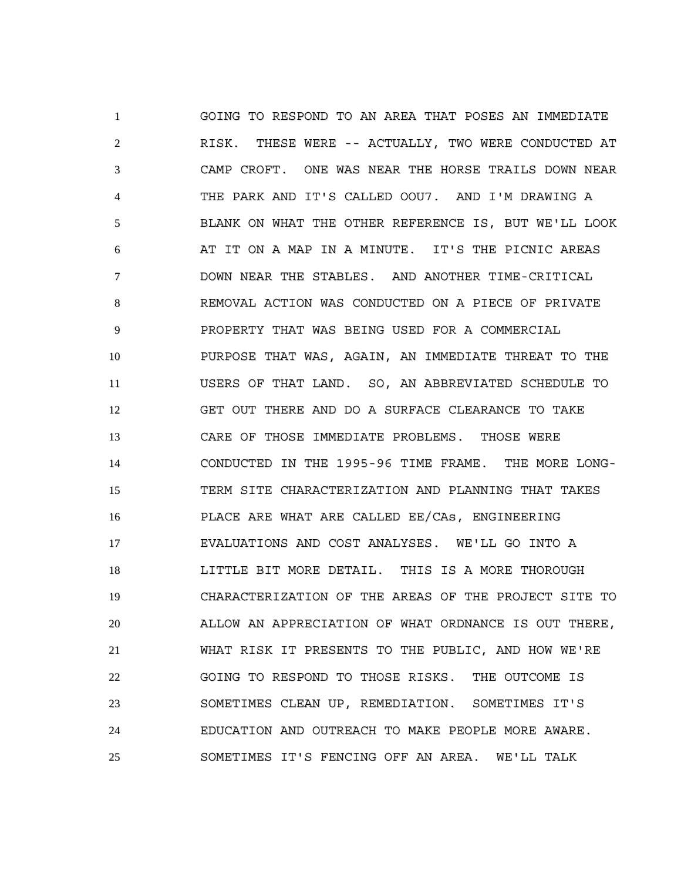GOING TO RESPOND TO AN AREA THAT POSES AN IMMEDIATE RISK. THESE WERE -- ACTUALLY, TWO WERE CONDUCTED AT CAMP CROFT. ONE WAS NEAR THE HORSE TRAILS DOWN NEAR THE PARK AND IT'S CALLED OOU7. AND I'M DRAWING A BLANK ON WHAT THE OTHER REFERENCE IS, BUT WE'LL LOOK AT IT ON A MAP IN A MINUTE. IT'S THE PICNIC AREAS DOWN NEAR THE STABLES. AND ANOTHER TIME-CRITICAL REMOVAL ACTION WAS CONDUCTED ON A PIECE OF PRIVATE PROPERTY THAT WAS BEING USED FOR A COMMERCIAL PURPOSE THAT WAS, AGAIN, AN IMMEDIATE THREAT TO THE USERS OF THAT LAND. SO, AN ABBREVIATED SCHEDULE TO GET OUT THERE AND DO A SURFACE CLEARANCE TO TAKE CARE OF THOSE IMMEDIATE PROBLEMS. THOSE WERE CONDUCTED IN THE 1995-96 TIME FRAME. THE MORE LONG- TERM SITE CHARACTERIZATION AND PLANNING THAT TAKES PLACE ARE WHAT ARE CALLED EE/CAs, ENGINEERING EVALUATIONS AND COST ANALYSES. WE'LL GO INTO A LITTLE BIT MORE DETAIL. THIS IS A MORE THOROUGH CHARACTERIZATION OF THE AREAS OF THE PROJECT SITE TO ALLOW AN APPRECIATION OF WHAT ORDNANCE IS OUT THERE, WHAT RISK IT PRESENTS TO THE PUBLIC, AND HOW WE'RE GOING TO RESPOND TO THOSE RISKS. THE OUTCOME IS SOMETIMES CLEAN UP, REMEDIATION. SOMETIMES IT'S EDUCATION AND OUTREACH TO MAKE PEOPLE MORE AWARE. SOMETIMES IT'S FENCING OFF AN AREA. WE'LL TALK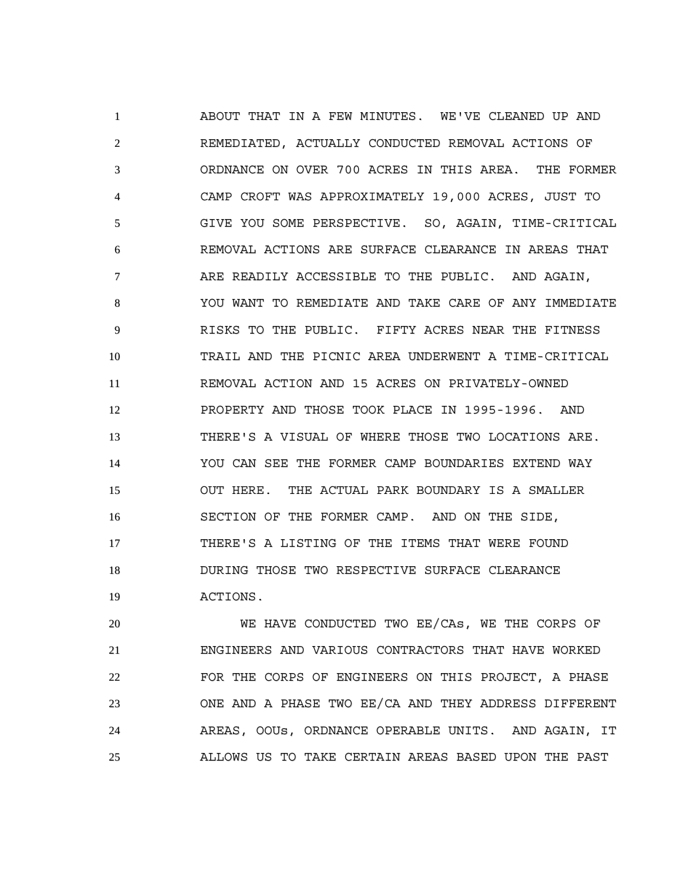ABOUT THAT IN A FEW MINUTES. WE'VE CLEANED UP AND REMEDIATED, ACTUALLY CONDUCTED REMOVAL ACTIONS OF ORDNANCE ON OVER 700 ACRES IN THIS AREA. THE FORMER CAMP CROFT WAS APPROXIMATELY 19,000 ACRES, JUST TO GIVE YOU SOME PERSPECTIVE. SO, AGAIN, TIME-CRITICAL REMOVAL ACTIONS ARE SURFACE CLEARANCE IN AREAS THAT ARE READILY ACCESSIBLE TO THE PUBLIC. AND AGAIN, YOU WANT TO REMEDIATE AND TAKE CARE OF ANY IMMEDIATE RISKS TO THE PUBLIC. FIFTY ACRES NEAR THE FITNESS TRAIL AND THE PICNIC AREA UNDERWENT A TIME-CRITICAL REMOVAL ACTION AND 15 ACRES ON PRIVATELY-OWNED PROPERTY AND THOSE TOOK PLACE IN 1995-1996. AND THERE'S A VISUAL OF WHERE THOSE TWO LOCATIONS ARE. YOU CAN SEE THE FORMER CAMP BOUNDARIES EXTEND WAY OUT HERE. THE ACTUAL PARK BOUNDARY IS A SMALLER SECTION OF THE FORMER CAMP. AND ON THE SIDE, THERE'S A LISTING OF THE ITEMS THAT WERE FOUND DURING THOSE TWO RESPECTIVE SURFACE CLEARANCE ACTIONS.

 WE HAVE CONDUCTED TWO EE/CAs, WE THE CORPS OF ENGINEERS AND VARIOUS CONTRACTORS THAT HAVE WORKED FOR THE CORPS OF ENGINEERS ON THIS PROJECT, A PHASE ONE AND A PHASE TWO EE/CA AND THEY ADDRESS DIFFERENT AREAS, OOUs, ORDNANCE OPERABLE UNITS. AND AGAIN, IT ALLOWS US TO TAKE CERTAIN AREAS BASED UPON THE PAST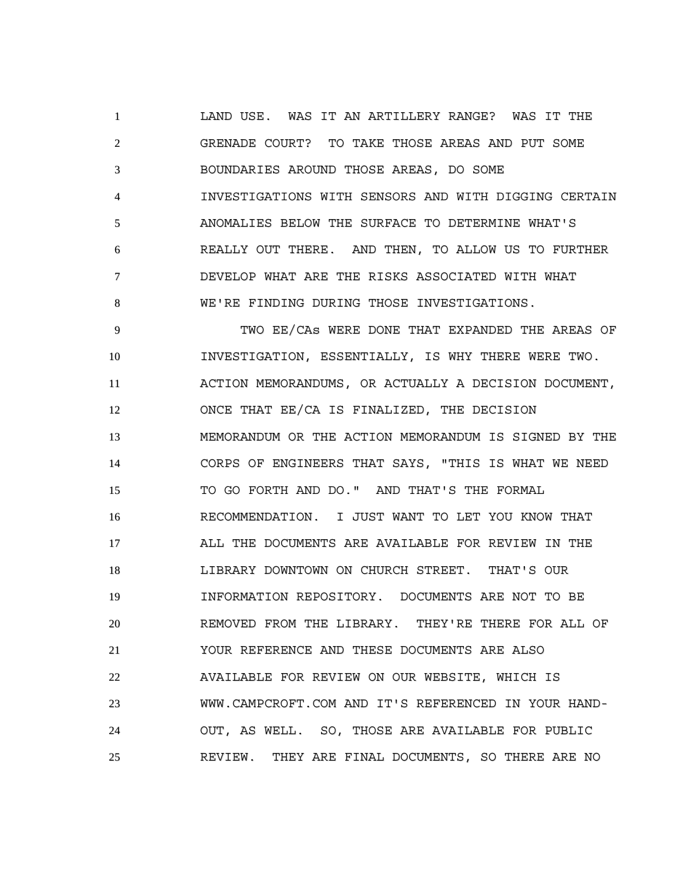LAND USE. WAS IT AN ARTILLERY RANGE? WAS IT THE GRENADE COURT? TO TAKE THOSE AREAS AND PUT SOME BOUNDARIES AROUND THOSE AREAS, DO SOME INVESTIGATIONS WITH SENSORS AND WITH DIGGING CERTAIN ANOMALIES BELOW THE SURFACE TO DETERMINE WHAT'S REALLY OUT THERE. AND THEN, TO ALLOW US TO FURTHER DEVELOP WHAT ARE THE RISKS ASSOCIATED WITH WHAT WE'RE FINDING DURING THOSE INVESTIGATIONS.

 TWO EE/CAs WERE DONE THAT EXPANDED THE AREAS OF INVESTIGATION, ESSENTIALLY, IS WHY THERE WERE TWO. ACTION MEMORANDUMS, OR ACTUALLY A DECISION DOCUMENT, ONCE THAT EE/CA IS FINALIZED, THE DECISION MEMORANDUM OR THE ACTION MEMORANDUM IS SIGNED BY THE CORPS OF ENGINEERS THAT SAYS, "THIS IS WHAT WE NEED TO GO FORTH AND DO." AND THAT'S THE FORMAL RECOMMENDATION. I JUST WANT TO LET YOU KNOW THAT ALL THE DOCUMENTS ARE AVAILABLE FOR REVIEW IN THE LIBRARY DOWNTOWN ON CHURCH STREET. THAT'S OUR INFORMATION REPOSITORY. DOCUMENTS ARE NOT TO BE REMOVED FROM THE LIBRARY. THEY'RE THERE FOR ALL OF YOUR REFERENCE AND THESE DOCUMENTS ARE ALSO AVAILABLE FOR REVIEW ON OUR WEBSITE, WHICH IS WWW.CAMPCROFT.COM AND IT'S REFERENCED IN YOUR HAND- OUT, AS WELL. SO, THOSE ARE AVAILABLE FOR PUBLIC REVIEW. THEY ARE FINAL DOCUMENTS, SO THERE ARE NO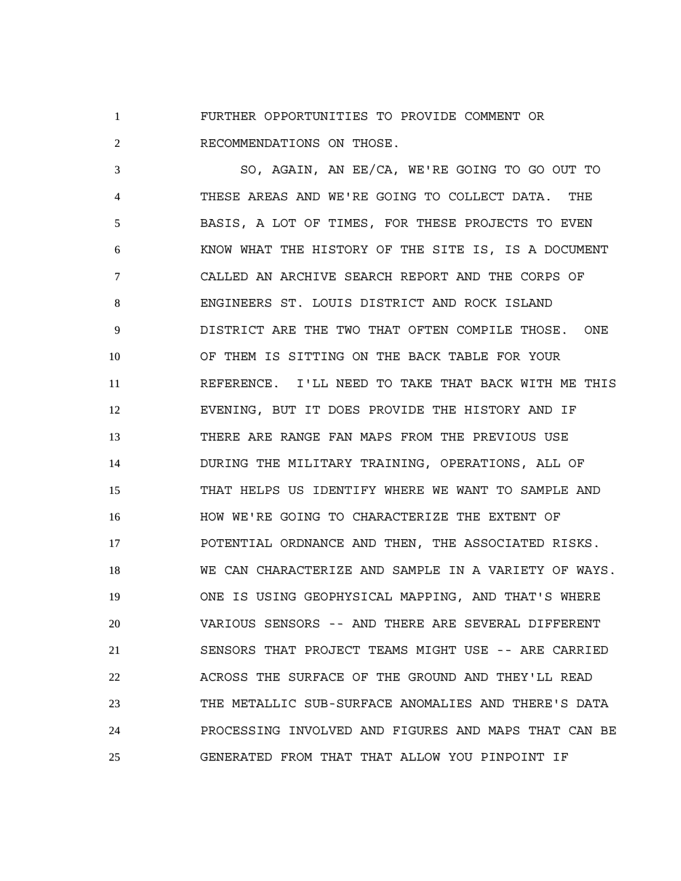FURTHER OPPORTUNITIES TO PROVIDE COMMENT OR RECOMMENDATIONS ON THOSE.

 SO, AGAIN, AN EE/CA, WE'RE GOING TO GO OUT TO THESE AREAS AND WE'RE GOING TO COLLECT DATA. THE BASIS, A LOT OF TIMES, FOR THESE PROJECTS TO EVEN KNOW WHAT THE HISTORY OF THE SITE IS, IS A DOCUMENT CALLED AN ARCHIVE SEARCH REPORT AND THE CORPS OF ENGINEERS ST. LOUIS DISTRICT AND ROCK ISLAND DISTRICT ARE THE TWO THAT OFTEN COMPILE THOSE. ONE OF THEM IS SITTING ON THE BACK TABLE FOR YOUR REFERENCE. I'LL NEED TO TAKE THAT BACK WITH ME THIS EVENING, BUT IT DOES PROVIDE THE HISTORY AND IF THERE ARE RANGE FAN MAPS FROM THE PREVIOUS USE DURING THE MILITARY TRAINING, OPERATIONS, ALL OF THAT HELPS US IDENTIFY WHERE WE WANT TO SAMPLE AND HOW WE'RE GOING TO CHARACTERIZE THE EXTENT OF POTENTIAL ORDNANCE AND THEN, THE ASSOCIATED RISKS. WE CAN CHARACTERIZE AND SAMPLE IN A VARIETY OF WAYS. ONE IS USING GEOPHYSICAL MAPPING, AND THAT'S WHERE VARIOUS SENSORS -- AND THERE ARE SEVERAL DIFFERENT SENSORS THAT PROJECT TEAMS MIGHT USE -- ARE CARRIED ACROSS THE SURFACE OF THE GROUND AND THEY'LL READ THE METALLIC SUB-SURFACE ANOMALIES AND THERE'S DATA PROCESSING INVOLVED AND FIGURES AND MAPS THAT CAN BE GENERATED FROM THAT THAT ALLOW YOU PINPOINT IF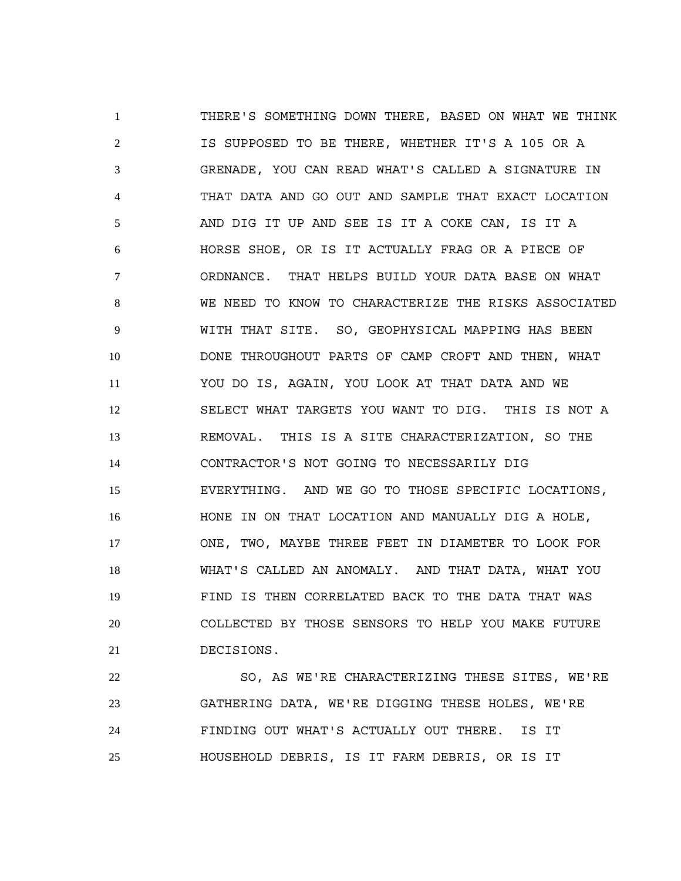THERE'S SOMETHING DOWN THERE, BASED ON WHAT WE THINK IS SUPPOSED TO BE THERE, WHETHER IT'S A 105 OR A GRENADE, YOU CAN READ WHAT'S CALLED A SIGNATURE IN THAT DATA AND GO OUT AND SAMPLE THAT EXACT LOCATION AND DIG IT UP AND SEE IS IT A COKE CAN, IS IT A HORSE SHOE, OR IS IT ACTUALLY FRAG OR A PIECE OF ORDNANCE. THAT HELPS BUILD YOUR DATA BASE ON WHAT WE NEED TO KNOW TO CHARACTERIZE THE RISKS ASSOCIATED WITH THAT SITE. SO, GEOPHYSICAL MAPPING HAS BEEN DONE THROUGHOUT PARTS OF CAMP CROFT AND THEN, WHAT YOU DO IS, AGAIN, YOU LOOK AT THAT DATA AND WE SELECT WHAT TARGETS YOU WANT TO DIG. THIS IS NOT A REMOVAL. THIS IS A SITE CHARACTERIZATION, SO THE CONTRACTOR'S NOT GOING TO NECESSARILY DIG EVERYTHING. AND WE GO TO THOSE SPECIFIC LOCATIONS, HONE IN ON THAT LOCATION AND MANUALLY DIG A HOLE, ONE, TWO, MAYBE THREE FEET IN DIAMETER TO LOOK FOR WHAT'S CALLED AN ANOMALY. AND THAT DATA, WHAT YOU FIND IS THEN CORRELATED BACK TO THE DATA THAT WAS COLLECTED BY THOSE SENSORS TO HELP YOU MAKE FUTURE DECISIONS.

 SO, AS WE'RE CHARACTERIZING THESE SITES, WE'RE GATHERING DATA, WE'RE DIGGING THESE HOLES, WE'RE FINDING OUT WHAT'S ACTUALLY OUT THERE. IS IT HOUSEHOLD DEBRIS, IS IT FARM DEBRIS, OR IS IT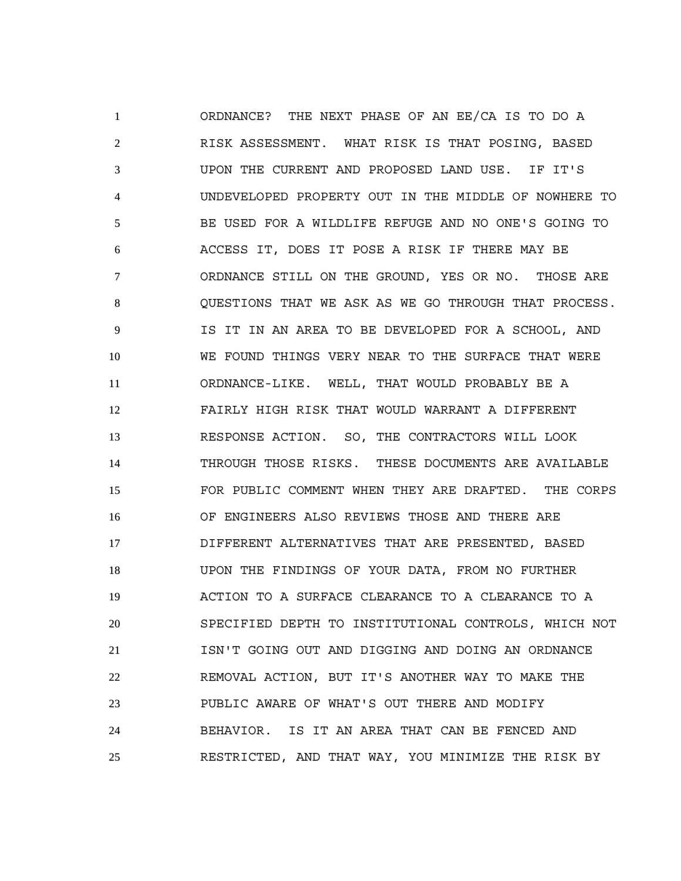ORDNANCE? THE NEXT PHASE OF AN EE/CA IS TO DO A RISK ASSESSMENT. WHAT RISK IS THAT POSING, BASED UPON THE CURRENT AND PROPOSED LAND USE. IF IT'S UNDEVELOPED PROPERTY OUT IN THE MIDDLE OF NOWHERE TO BE USED FOR A WILDLIFE REFUGE AND NO ONE'S GOING TO ACCESS IT, DOES IT POSE A RISK IF THERE MAY BE ORDNANCE STILL ON THE GROUND, YES OR NO. THOSE ARE QUESTIONS THAT WE ASK AS WE GO THROUGH THAT PROCESS. IS IT IN AN AREA TO BE DEVELOPED FOR A SCHOOL, AND WE FOUND THINGS VERY NEAR TO THE SURFACE THAT WERE ORDNANCE-LIKE. WELL, THAT WOULD PROBABLY BE A FAIRLY HIGH RISK THAT WOULD WARRANT A DIFFERENT RESPONSE ACTION. SO, THE CONTRACTORS WILL LOOK THROUGH THOSE RISKS. THESE DOCUMENTS ARE AVAILABLE FOR PUBLIC COMMENT WHEN THEY ARE DRAFTED. THE CORPS OF ENGINEERS ALSO REVIEWS THOSE AND THERE ARE DIFFERENT ALTERNATIVES THAT ARE PRESENTED, BASED UPON THE FINDINGS OF YOUR DATA, FROM NO FURTHER ACTION TO A SURFACE CLEARANCE TO A CLEARANCE TO A SPECIFIED DEPTH TO INSTITUTIONAL CONTROLS, WHICH NOT ISN'T GOING OUT AND DIGGING AND DOING AN ORDNANCE REMOVAL ACTION, BUT IT'S ANOTHER WAY TO MAKE THE PUBLIC AWARE OF WHAT'S OUT THERE AND MODIFY BEHAVIOR. IS IT AN AREA THAT CAN BE FENCED AND RESTRICTED, AND THAT WAY, YOU MINIMIZE THE RISK BY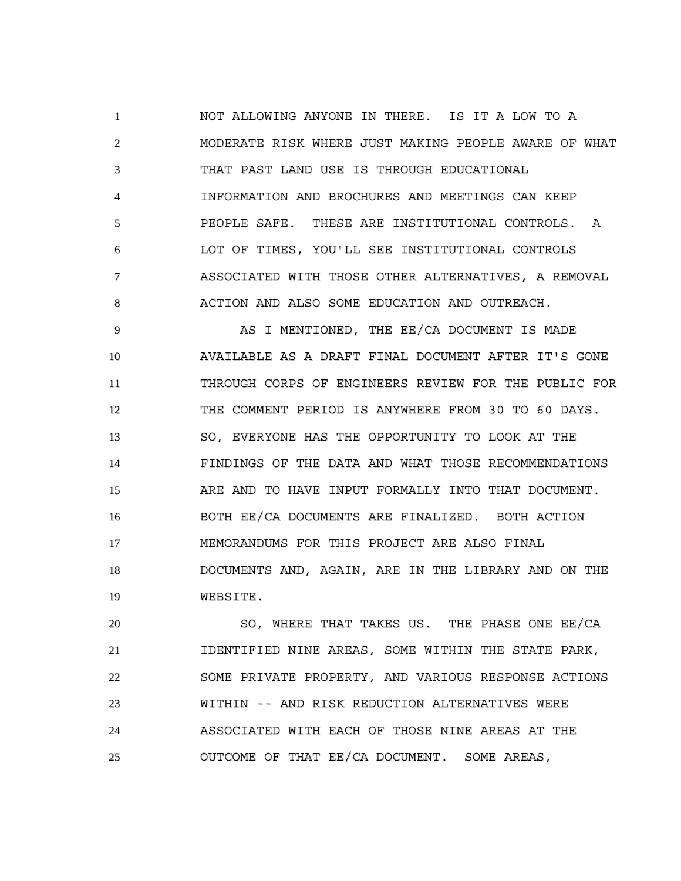NOT ALLOWING ANYONE IN THERE. IS IT A LOW TO A MODERATE RISK WHERE JUST MAKING PEOPLE AWARE OF WHAT THAT PAST LAND USE IS THROUGH EDUCATIONAL INFORMATION AND BROCHURES AND MEETINGS CAN KEEP PEOPLE SAFE. THESE ARE INSTITUTIONAL CONTROLS. A LOT OF TIMES, YOU'LL SEE INSTITUTIONAL CONTROLS ASSOCIATED WITH THOSE OTHER ALTERNATIVES, A REMOVAL ACTION AND ALSO SOME EDUCATION AND OUTREACH.

 AS I MENTIONED, THE EE/CA DOCUMENT IS MADE AVAILABLE AS A DRAFT FINAL DOCUMENT AFTER IT'S GONE THROUGH CORPS OF ENGINEERS REVIEW FOR THE PUBLIC FOR THE COMMENT PERIOD IS ANYWHERE FROM 30 TO 60 DAYS. SO, EVERYONE HAS THE OPPORTUNITY TO LOOK AT THE FINDINGS OF THE DATA AND WHAT THOSE RECOMMENDATIONS ARE AND TO HAVE INPUT FORMALLY INTO THAT DOCUMENT. BOTH EE/CA DOCUMENTS ARE FINALIZED. BOTH ACTION MEMORANDUMS FOR THIS PROJECT ARE ALSO FINAL DOCUMENTS AND, AGAIN, ARE IN THE LIBRARY AND ON THE WEBSITE.

 SO, WHERE THAT TAKES US. THE PHASE ONE EE/CA IDENTIFIED NINE AREAS, SOME WITHIN THE STATE PARK, SOME PRIVATE PROPERTY, AND VARIOUS RESPONSE ACTIONS WITHIN -- AND RISK REDUCTION ALTERNATIVES WERE ASSOCIATED WITH EACH OF THOSE NINE AREAS AT THE OUTCOME OF THAT EE/CA DOCUMENT. SOME AREAS,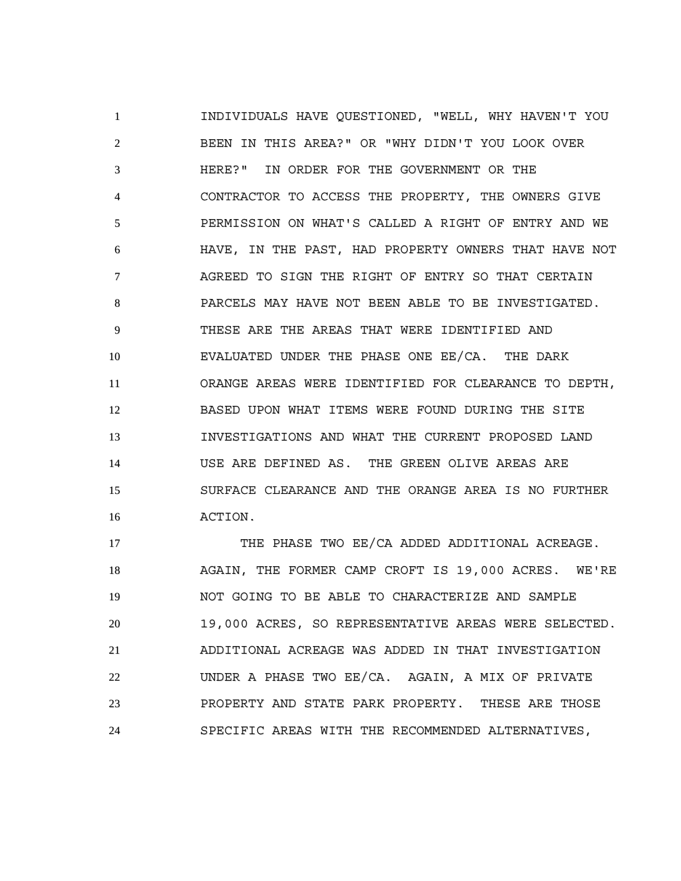INDIVIDUALS HAVE QUESTIONED, "WELL, WHY HAVEN'T YOU BEEN IN THIS AREA?" OR "WHY DIDN'T YOU LOOK OVER HERE?" IN ORDER FOR THE GOVERNMENT OR THE CONTRACTOR TO ACCESS THE PROPERTY, THE OWNERS GIVE PERMISSION ON WHAT'S CALLED A RIGHT OF ENTRY AND WE HAVE, IN THE PAST, HAD PROPERTY OWNERS THAT HAVE NOT AGREED TO SIGN THE RIGHT OF ENTRY SO THAT CERTAIN PARCELS MAY HAVE NOT BEEN ABLE TO BE INVESTIGATED. THESE ARE THE AREAS THAT WERE IDENTIFIED AND EVALUATED UNDER THE PHASE ONE EE/CA. THE DARK ORANGE AREAS WERE IDENTIFIED FOR CLEARANCE TO DEPTH, BASED UPON WHAT ITEMS WERE FOUND DURING THE SITE INVESTIGATIONS AND WHAT THE CURRENT PROPOSED LAND USE ARE DEFINED AS. THE GREEN OLIVE AREAS ARE SURFACE CLEARANCE AND THE ORANGE AREA IS NO FURTHER ACTION.

17 THE PHASE TWO EE/CA ADDED ADDITIONAL ACREAGE. AGAIN, THE FORMER CAMP CROFT IS 19,000 ACRES. WE'RE NOT GOING TO BE ABLE TO CHARACTERIZE AND SAMPLE 19,000 ACRES, SO REPRESENTATIVE AREAS WERE SELECTED. ADDITIONAL ACREAGE WAS ADDED IN THAT INVESTIGATION UNDER A PHASE TWO EE/CA. AGAIN, A MIX OF PRIVATE PROPERTY AND STATE PARK PROPERTY. THESE ARE THOSE SPECIFIC AREAS WITH THE RECOMMENDED ALTERNATIVES,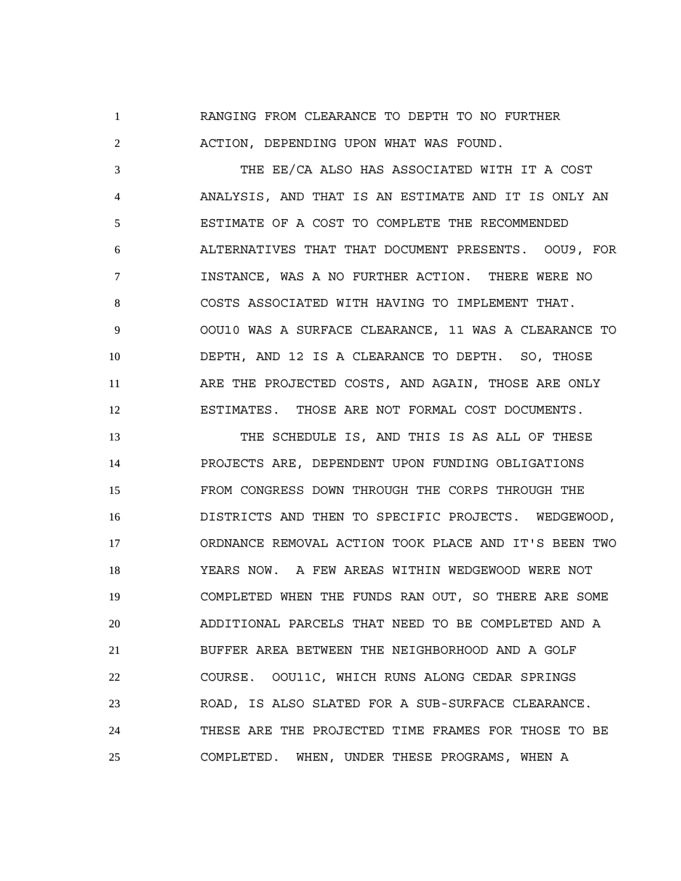RANGING FROM CLEARANCE TO DEPTH TO NO FURTHER ACTION, DEPENDING UPON WHAT WAS FOUND.

 THE EE/CA ALSO HAS ASSOCIATED WITH IT A COST ANALYSIS, AND THAT IS AN ESTIMATE AND IT IS ONLY AN ESTIMATE OF A COST TO COMPLETE THE RECOMMENDED ALTERNATIVES THAT THAT DOCUMENT PRESENTS. OOU9, FOR INSTANCE, WAS A NO FURTHER ACTION. THERE WERE NO COSTS ASSOCIATED WITH HAVING TO IMPLEMENT THAT. OOU10 WAS A SURFACE CLEARANCE, 11 WAS A CLEARANCE TO DEPTH, AND 12 IS A CLEARANCE TO DEPTH. SO, THOSE ARE THE PROJECTED COSTS, AND AGAIN, THOSE ARE ONLY ESTIMATES. THOSE ARE NOT FORMAL COST DOCUMENTS.

 THE SCHEDULE IS, AND THIS IS AS ALL OF THESE PROJECTS ARE, DEPENDENT UPON FUNDING OBLIGATIONS FROM CONGRESS DOWN THROUGH THE CORPS THROUGH THE DISTRICTS AND THEN TO SPECIFIC PROJECTS. WEDGEWOOD, ORDNANCE REMOVAL ACTION TOOK PLACE AND IT'S BEEN TWO YEARS NOW. A FEW AREAS WITHIN WEDGEWOOD WERE NOT COMPLETED WHEN THE FUNDS RAN OUT, SO THERE ARE SOME ADDITIONAL PARCELS THAT NEED TO BE COMPLETED AND A BUFFER AREA BETWEEN THE NEIGHBORHOOD AND A GOLF COURSE. OOU11C, WHICH RUNS ALONG CEDAR SPRINGS ROAD, IS ALSO SLATED FOR A SUB-SURFACE CLEARANCE. THESE ARE THE PROJECTED TIME FRAMES FOR THOSE TO BE COMPLETED. WHEN, UNDER THESE PROGRAMS, WHEN A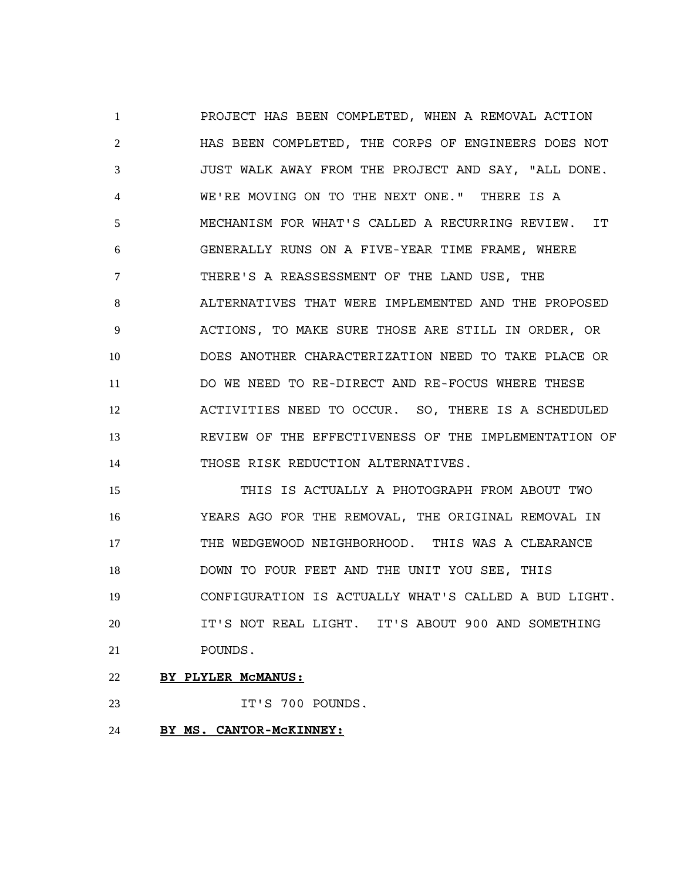PROJECT HAS BEEN COMPLETED, WHEN A REMOVAL ACTION HAS BEEN COMPLETED, THE CORPS OF ENGINEERS DOES NOT JUST WALK AWAY FROM THE PROJECT AND SAY, "ALL DONE. WE'RE MOVING ON TO THE NEXT ONE." THERE IS A MECHANISM FOR WHAT'S CALLED A RECURRING REVIEW. IT GENERALLY RUNS ON A FIVE-YEAR TIME FRAME, WHERE THERE'S A REASSESSMENT OF THE LAND USE, THE ALTERNATIVES THAT WERE IMPLEMENTED AND THE PROPOSED ACTIONS, TO MAKE SURE THOSE ARE STILL IN ORDER, OR DOES ANOTHER CHARACTERIZATION NEED TO TAKE PLACE OR DO WE NEED TO RE-DIRECT AND RE-FOCUS WHERE THESE ACTIVITIES NEED TO OCCUR. SO, THERE IS A SCHEDULED REVIEW OF THE EFFECTIVENESS OF THE IMPLEMENTATION OF THOSE RISK REDUCTION ALTERNATIVES.

 THIS IS ACTUALLY A PHOTOGRAPH FROM ABOUT TWO YEARS AGO FOR THE REMOVAL, THE ORIGINAL REMOVAL IN THE WEDGEWOOD NEIGHBORHOOD. THIS WAS A CLEARANCE DOWN TO FOUR FEET AND THE UNIT YOU SEE, THIS CONFIGURATION IS ACTUALLY WHAT'S CALLED A BUD LIGHT. IT'S NOT REAL LIGHT. IT'S ABOUT 900 AND SOMETHING POUNDS.

**BY PLYLER McMANUS:**

IT'S 700 POUNDS.

**BY MS. CANTOR-McKINNEY:**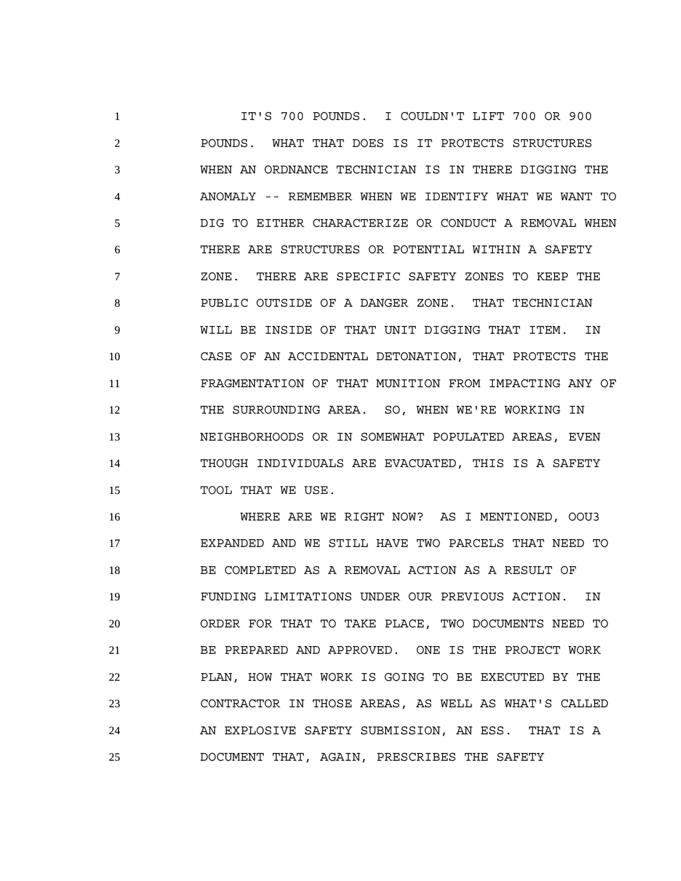IT'S 700 POUNDS. I COULDN'T LIFT 700 OR 900 POUNDS. WHAT THAT DOES IS IT PROTECTS STRUCTURES WHEN AN ORDNANCE TECHNICIAN IS IN THERE DIGGING THE ANOMALY -- REMEMBER WHEN WE IDENTIFY WHAT WE WANT TO DIG TO EITHER CHARACTERIZE OR CONDUCT A REMOVAL WHEN THERE ARE STRUCTURES OR POTENTIAL WITHIN A SAFETY ZONE. THERE ARE SPECIFIC SAFETY ZONES TO KEEP THE PUBLIC OUTSIDE OF A DANGER ZONE. THAT TECHNICIAN WILL BE INSIDE OF THAT UNIT DIGGING THAT ITEM. IN CASE OF AN ACCIDENTAL DETONATION, THAT PROTECTS THE FRAGMENTATION OF THAT MUNITION FROM IMPACTING ANY OF 12 THE SURROUNDING AREA. SO, WHEN WE'RE WORKING IN NEIGHBORHOODS OR IN SOMEWHAT POPULATED AREAS, EVEN THOUGH INDIVIDUALS ARE EVACUATED, THIS IS A SAFETY 15 TOOL THAT WE USE.

 WHERE ARE WE RIGHT NOW? AS I MENTIONED, OOU3 EXPANDED AND WE STILL HAVE TWO PARCELS THAT NEED TO BE COMPLETED AS A REMOVAL ACTION AS A RESULT OF FUNDING LIMITATIONS UNDER OUR PREVIOUS ACTION. IN ORDER FOR THAT TO TAKE PLACE, TWO DOCUMENTS NEED TO BE PREPARED AND APPROVED. ONE IS THE PROJECT WORK PLAN, HOW THAT WORK IS GOING TO BE EXECUTED BY THE CONTRACTOR IN THOSE AREAS, AS WELL AS WHAT'S CALLED AN EXPLOSIVE SAFETY SUBMISSION, AN ESS. THAT IS A DOCUMENT THAT, AGAIN, PRESCRIBES THE SAFETY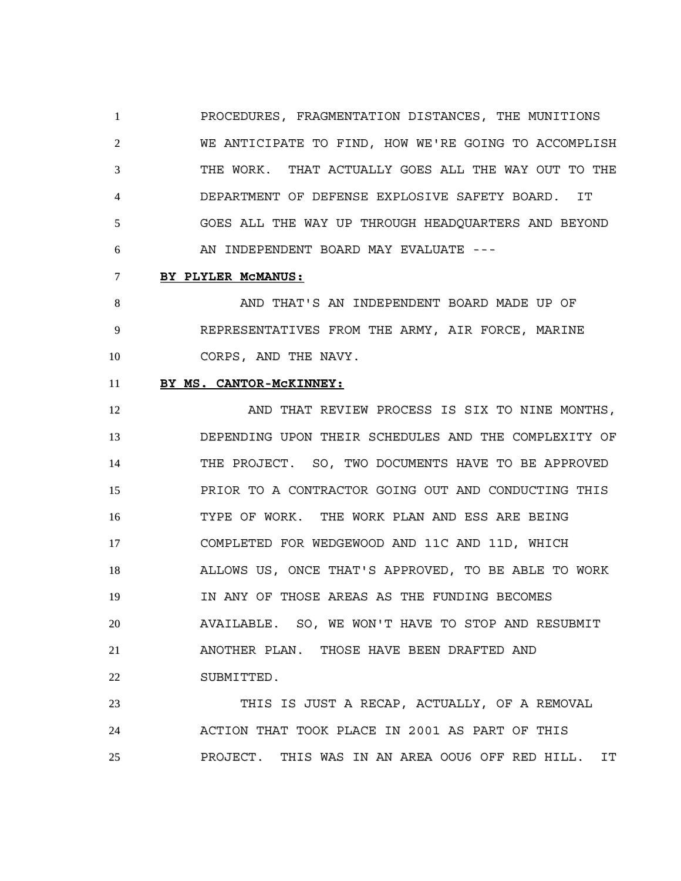PROCEDURES, FRAGMENTATION DISTANCES, THE MUNITIONS WE ANTICIPATE TO FIND, HOW WE'RE GOING TO ACCOMPLISH THE WORK. THAT ACTUALLY GOES ALL THE WAY OUT TO THE DEPARTMENT OF DEFENSE EXPLOSIVE SAFETY BOARD. IT GOES ALL THE WAY UP THROUGH HEADQUARTERS AND BEYOND AN INDEPENDENT BOARD MAY EVALUATE ---

# **BY PLYLER McMANUS:**

 AND THAT'S AN INDEPENDENT BOARD MADE UP OF REPRESENTATIVES FROM THE ARMY, AIR FORCE, MARINE 10 CORPS, AND THE NAVY.

# **BY MS. CANTOR-McKINNEY:**

12 AND THAT REVIEW PROCESS IS SIX TO NINE MONTHS, DEPENDING UPON THEIR SCHEDULES AND THE COMPLEXITY OF THE PROJECT. SO, TWO DOCUMENTS HAVE TO BE APPROVED PRIOR TO A CONTRACTOR GOING OUT AND CONDUCTING THIS TYPE OF WORK. THE WORK PLAN AND ESS ARE BEING COMPLETED FOR WEDGEWOOD AND 11C AND 11D, WHICH ALLOWS US, ONCE THAT'S APPROVED, TO BE ABLE TO WORK IN ANY OF THOSE AREAS AS THE FUNDING BECOMES AVAILABLE. SO, WE WON'T HAVE TO STOP AND RESUBMIT ANOTHER PLAN. THOSE HAVE BEEN DRAFTED AND SUBMITTED.

 THIS IS JUST A RECAP, ACTUALLY, OF A REMOVAL ACTION THAT TOOK PLACE IN 2001 AS PART OF THIS PROJECT. THIS WAS IN AN AREA OOU6 OFF RED HILL. IT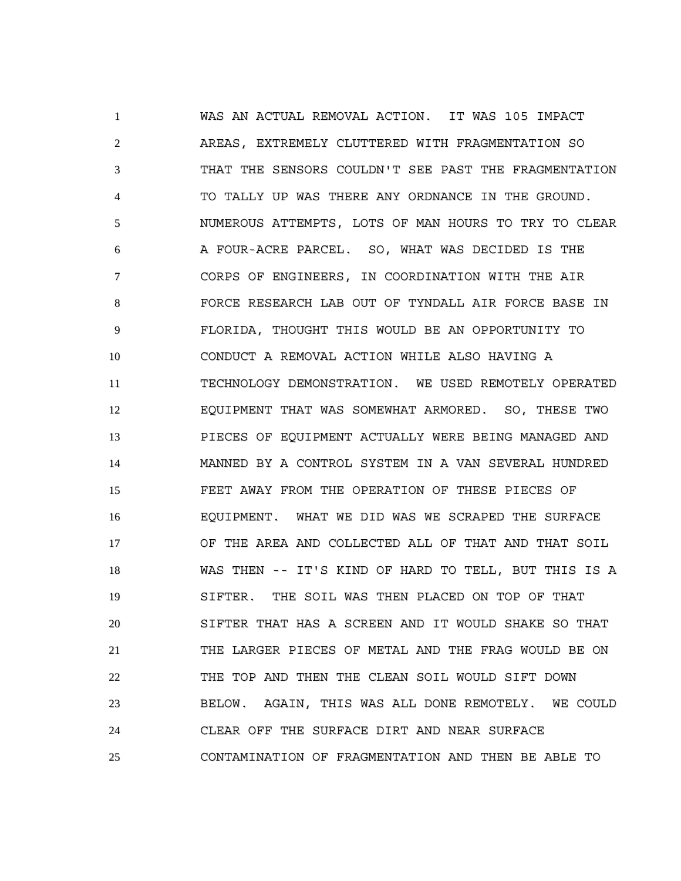WAS AN ACTUAL REMOVAL ACTION. IT WAS 105 IMPACT AREAS, EXTREMELY CLUTTERED WITH FRAGMENTATION SO THAT THE SENSORS COULDN'T SEE PAST THE FRAGMENTATION TO TALLY UP WAS THERE ANY ORDNANCE IN THE GROUND. NUMEROUS ATTEMPTS, LOTS OF MAN HOURS TO TRY TO CLEAR A FOUR-ACRE PARCEL. SO, WHAT WAS DECIDED IS THE CORPS OF ENGINEERS, IN COORDINATION WITH THE AIR FORCE RESEARCH LAB OUT OF TYNDALL AIR FORCE BASE IN FLORIDA, THOUGHT THIS WOULD BE AN OPPORTUNITY TO CONDUCT A REMOVAL ACTION WHILE ALSO HAVING A TECHNOLOGY DEMONSTRATION. WE USED REMOTELY OPERATED EQUIPMENT THAT WAS SOMEWHAT ARMORED. SO, THESE TWO PIECES OF EQUIPMENT ACTUALLY WERE BEING MANAGED AND MANNED BY A CONTROL SYSTEM IN A VAN SEVERAL HUNDRED FEET AWAY FROM THE OPERATION OF THESE PIECES OF EQUIPMENT. WHAT WE DID WAS WE SCRAPED THE SURFACE OF THE AREA AND COLLECTED ALL OF THAT AND THAT SOIL WAS THEN -- IT'S KIND OF HARD TO TELL, BUT THIS IS A SIFTER. THE SOIL WAS THEN PLACED ON TOP OF THAT SIFTER THAT HAS A SCREEN AND IT WOULD SHAKE SO THAT THE LARGER PIECES OF METAL AND THE FRAG WOULD BE ON THE TOP AND THEN THE CLEAN SOIL WOULD SIFT DOWN BELOW. AGAIN, THIS WAS ALL DONE REMOTELY. WE COULD CLEAR OFF THE SURFACE DIRT AND NEAR SURFACE CONTAMINATION OF FRAGMENTATION AND THEN BE ABLE TO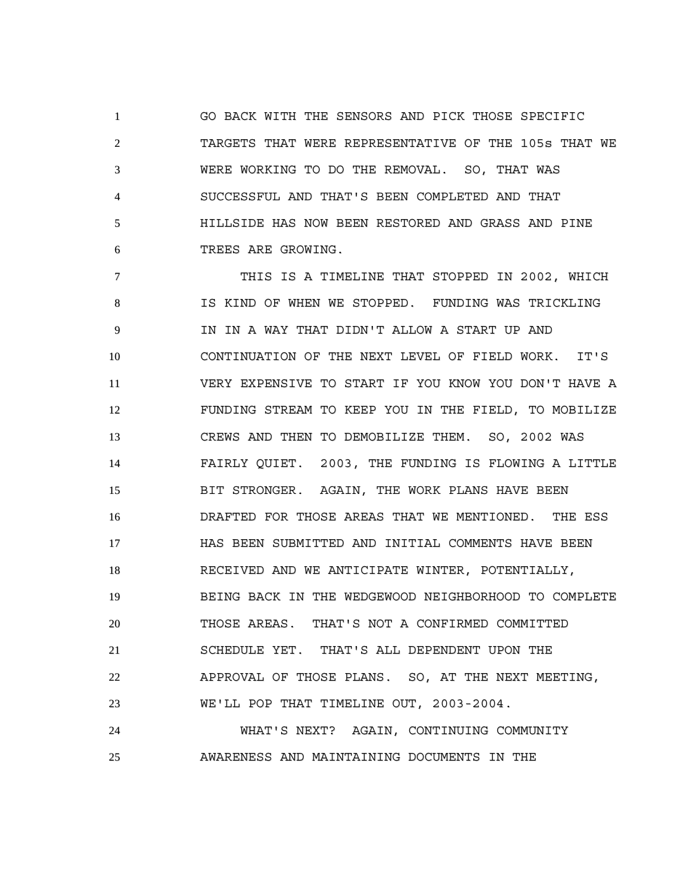GO BACK WITH THE SENSORS AND PICK THOSE SPECIFIC TARGETS THAT WERE REPRESENTATIVE OF THE 105s THAT WE WERE WORKING TO DO THE REMOVAL. SO, THAT WAS SUCCESSFUL AND THAT'S BEEN COMPLETED AND THAT HILLSIDE HAS NOW BEEN RESTORED AND GRASS AND PINE TREES ARE GROWING.

 THIS IS A TIMELINE THAT STOPPED IN 2002, WHICH IS KIND OF WHEN WE STOPPED. FUNDING WAS TRICKLING IN IN A WAY THAT DIDN'T ALLOW A START UP AND CONTINUATION OF THE NEXT LEVEL OF FIELD WORK. IT'S VERY EXPENSIVE TO START IF YOU KNOW YOU DON'T HAVE A FUNDING STREAM TO KEEP YOU IN THE FIELD, TO MOBILIZE CREWS AND THEN TO DEMOBILIZE THEM. SO, 2002 WAS FAIRLY QUIET. 2003, THE FUNDING IS FLOWING A LITTLE BIT STRONGER. AGAIN, THE WORK PLANS HAVE BEEN DRAFTED FOR THOSE AREAS THAT WE MENTIONED. THE ESS HAS BEEN SUBMITTED AND INITIAL COMMENTS HAVE BEEN RECEIVED AND WE ANTICIPATE WINTER, POTENTIALLY, BEING BACK IN THE WEDGEWOOD NEIGHBORHOOD TO COMPLETE THOSE AREAS. THAT'S NOT A CONFIRMED COMMITTED SCHEDULE YET. THAT'S ALL DEPENDENT UPON THE APPROVAL OF THOSE PLANS. SO, AT THE NEXT MEETING, WE'LL POP THAT TIMELINE OUT, 2003-2004.

 WHAT'S NEXT? AGAIN, CONTINUING COMMUNITY AWARENESS AND MAINTAINING DOCUMENTS IN THE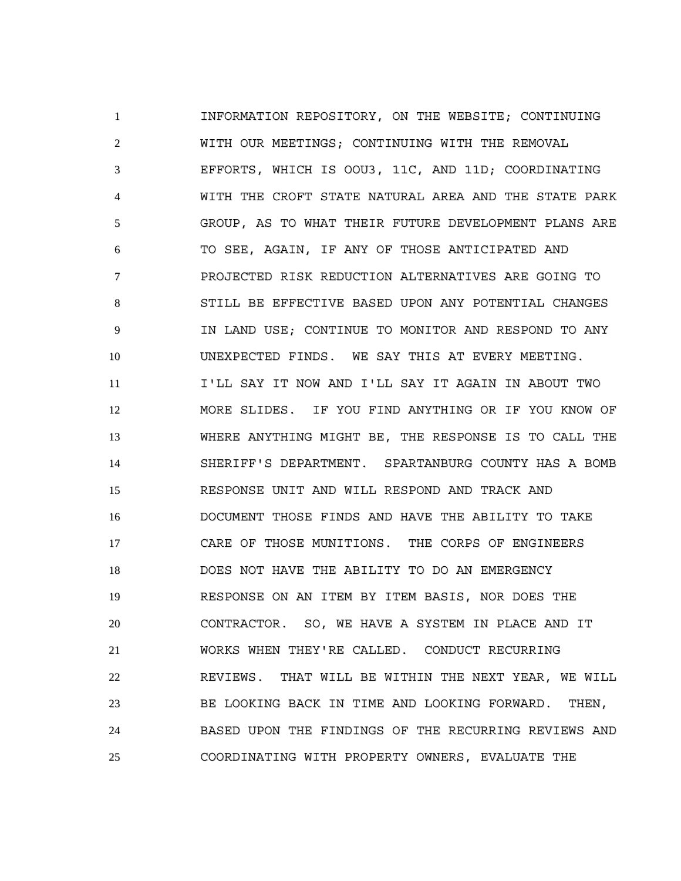INFORMATION REPOSITORY, ON THE WEBSITE; CONTINUING WITH OUR MEETINGS; CONTINUING WITH THE REMOVAL EFFORTS, WHICH IS OOU3, 11C, AND 11D; COORDINATING WITH THE CROFT STATE NATURAL AREA AND THE STATE PARK GROUP, AS TO WHAT THEIR FUTURE DEVELOPMENT PLANS ARE TO SEE, AGAIN, IF ANY OF THOSE ANTICIPATED AND PROJECTED RISK REDUCTION ALTERNATIVES ARE GOING TO STILL BE EFFECTIVE BASED UPON ANY POTENTIAL CHANGES IN LAND USE; CONTINUE TO MONITOR AND RESPOND TO ANY UNEXPECTED FINDS. WE SAY THIS AT EVERY MEETING. I'LL SAY IT NOW AND I'LL SAY IT AGAIN IN ABOUT TWO MORE SLIDES. IF YOU FIND ANYTHING OR IF YOU KNOW OF WHERE ANYTHING MIGHT BE, THE RESPONSE IS TO CALL THE SHERIFF'S DEPARTMENT. SPARTANBURG COUNTY HAS A BOMB RESPONSE UNIT AND WILL RESPOND AND TRACK AND DOCUMENT THOSE FINDS AND HAVE THE ABILITY TO TAKE CARE OF THOSE MUNITIONS. THE CORPS OF ENGINEERS DOES NOT HAVE THE ABILITY TO DO AN EMERGENCY RESPONSE ON AN ITEM BY ITEM BASIS, NOR DOES THE CONTRACTOR. SO, WE HAVE A SYSTEM IN PLACE AND IT WORKS WHEN THEY'RE CALLED. CONDUCT RECURRING REVIEWS. THAT WILL BE WITHIN THE NEXT YEAR, WE WILL BE LOOKING BACK IN TIME AND LOOKING FORWARD. THEN, BASED UPON THE FINDINGS OF THE RECURRING REVIEWS AND COORDINATING WITH PROPERTY OWNERS, EVALUATE THE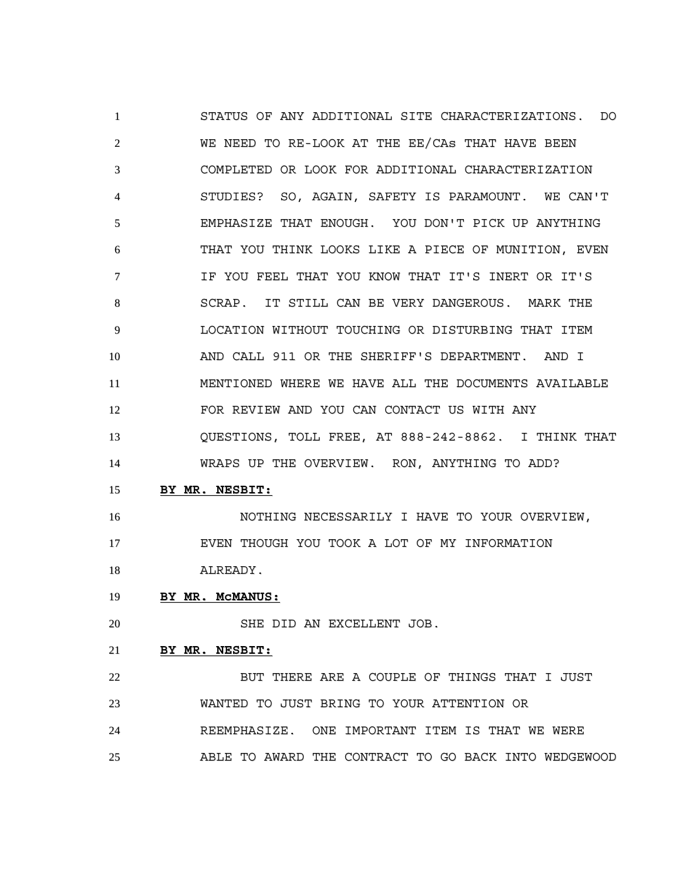STATUS OF ANY ADDITIONAL SITE CHARACTERIZATIONS. DO WE NEED TO RE-LOOK AT THE EE/CAs THAT HAVE BEEN COMPLETED OR LOOK FOR ADDITIONAL CHARACTERIZATION STUDIES? SO, AGAIN, SAFETY IS PARAMOUNT. WE CAN'T EMPHASIZE THAT ENOUGH. YOU DON'T PICK UP ANYTHING THAT YOU THINK LOOKS LIKE A PIECE OF MUNITION, EVEN IF YOU FEEL THAT YOU KNOW THAT IT'S INERT OR IT'S SCRAP. IT STILL CAN BE VERY DANGEROUS. MARK THE LOCATION WITHOUT TOUCHING OR DISTURBING THAT ITEM AND CALL 911 OR THE SHERIFF'S DEPARTMENT. AND I MENTIONED WHERE WE HAVE ALL THE DOCUMENTS AVAILABLE FOR REVIEW AND YOU CAN CONTACT US WITH ANY QUESTIONS, TOLL FREE, AT 888-242-8862. I THINK THAT WRAPS UP THE OVERVIEW. RON, ANYTHING TO ADD?

### **BY MR. NESBIT:**

 NOTHING NECESSARILY I HAVE TO YOUR OVERVIEW, EVEN THOUGH YOU TOOK A LOT OF MY INFORMATION ALREADY.

# **BY MR. McMANUS:**

SHE DID AN EXCELLENT JOB.

# **BY MR. NESBIT:**

22 BUT THERE ARE A COUPLE OF THINGS THAT I JUST WANTED TO JUST BRING TO YOUR ATTENTION OR REEMPHASIZE. ONE IMPORTANT ITEM IS THAT WE WERE ABLE TO AWARD THE CONTRACT TO GO BACK INTO WEDGEWOOD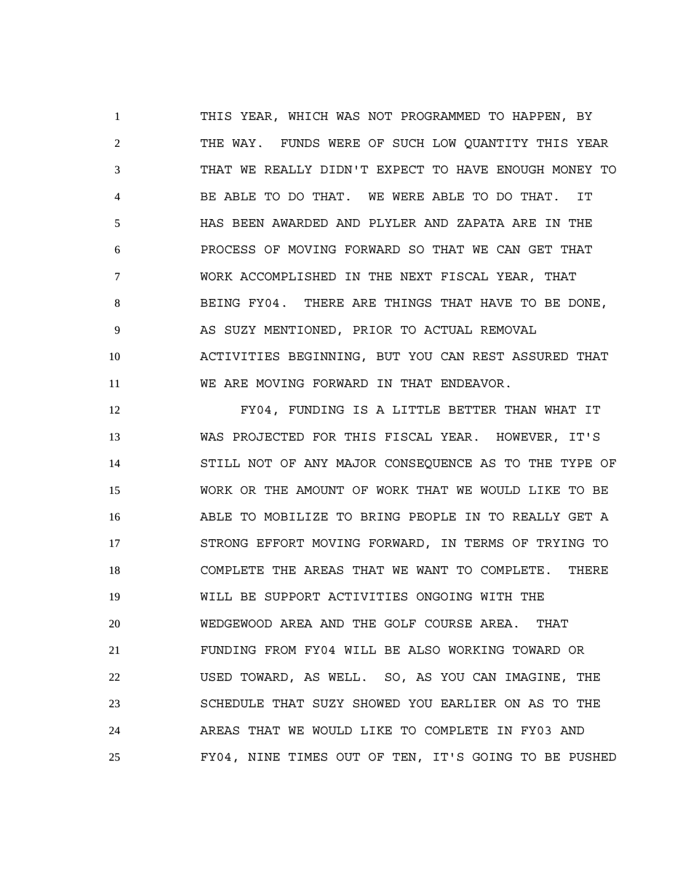THIS YEAR, WHICH WAS NOT PROGRAMMED TO HAPPEN, BY THE WAY. FUNDS WERE OF SUCH LOW QUANTITY THIS YEAR THAT WE REALLY DIDN'T EXPECT TO HAVE ENOUGH MONEY TO BE ABLE TO DO THAT. WE WERE ABLE TO DO THAT. IT HAS BEEN AWARDED AND PLYLER AND ZAPATA ARE IN THE PROCESS OF MOVING FORWARD SO THAT WE CAN GET THAT WORK ACCOMPLISHED IN THE NEXT FISCAL YEAR, THAT BEING FY04. THERE ARE THINGS THAT HAVE TO BE DONE, AS SUZY MENTIONED, PRIOR TO ACTUAL REMOVAL ACTIVITIES BEGINNING, BUT YOU CAN REST ASSURED THAT WE ARE MOVING FORWARD IN THAT ENDEAVOR.

 FY04, FUNDING IS A LITTLE BETTER THAN WHAT IT WAS PROJECTED FOR THIS FISCAL YEAR. HOWEVER, IT'S STILL NOT OF ANY MAJOR CONSEQUENCE AS TO THE TYPE OF WORK OR THE AMOUNT OF WORK THAT WE WOULD LIKE TO BE ABLE TO MOBILIZE TO BRING PEOPLE IN TO REALLY GET A STRONG EFFORT MOVING FORWARD, IN TERMS OF TRYING TO COMPLETE THE AREAS THAT WE WANT TO COMPLETE. THERE WILL BE SUPPORT ACTIVITIES ONGOING WITH THE WEDGEWOOD AREA AND THE GOLF COURSE AREA. THAT FUNDING FROM FY04 WILL BE ALSO WORKING TOWARD OR USED TOWARD, AS WELL. SO, AS YOU CAN IMAGINE, THE SCHEDULE THAT SUZY SHOWED YOU EARLIER ON AS TO THE AREAS THAT WE WOULD LIKE TO COMPLETE IN FY03 AND FY04, NINE TIMES OUT OF TEN, IT'S GOING TO BE PUSHED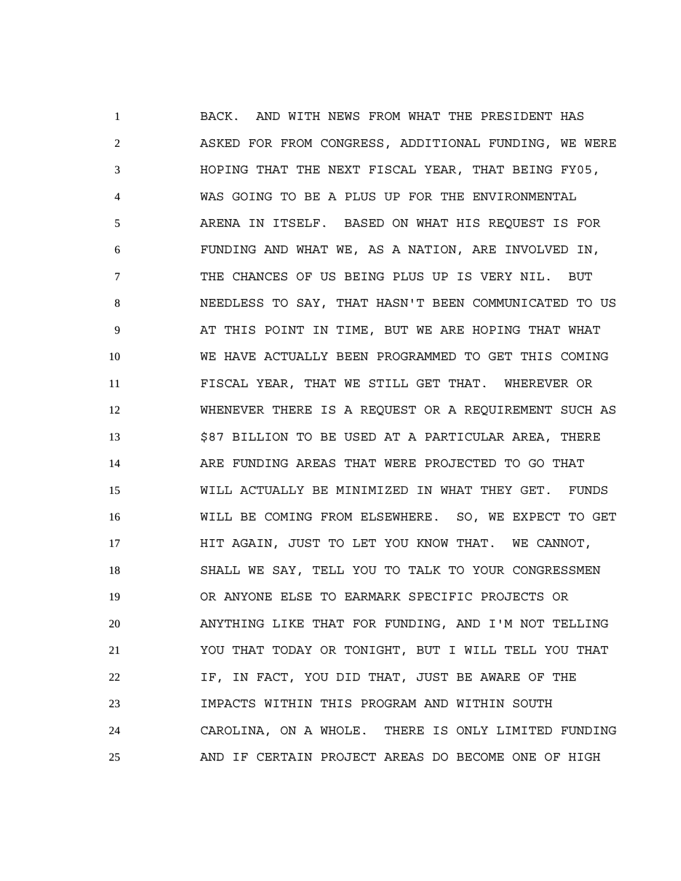BACK. AND WITH NEWS FROM WHAT THE PRESIDENT HAS ASKED FOR FROM CONGRESS, ADDITIONAL FUNDING, WE WERE HOPING THAT THE NEXT FISCAL YEAR, THAT BEING FY05, WAS GOING TO BE A PLUS UP FOR THE ENVIRONMENTAL ARENA IN ITSELF. BASED ON WHAT HIS REQUEST IS FOR FUNDING AND WHAT WE, AS A NATION, ARE INVOLVED IN, THE CHANCES OF US BEING PLUS UP IS VERY NIL. BUT NEEDLESS TO SAY, THAT HASN'T BEEN COMMUNICATED TO US AT THIS POINT IN TIME, BUT WE ARE HOPING THAT WHAT WE HAVE ACTUALLY BEEN PROGRAMMED TO GET THIS COMING FISCAL YEAR, THAT WE STILL GET THAT. WHEREVER OR WHENEVER THERE IS A REQUEST OR A REQUIREMENT SUCH AS \$87 BILLION TO BE USED AT A PARTICULAR AREA, THERE ARE FUNDING AREAS THAT WERE PROJECTED TO GO THAT WILL ACTUALLY BE MINIMIZED IN WHAT THEY GET. FUNDS WILL BE COMING FROM ELSEWHERE. SO, WE EXPECT TO GET HIT AGAIN, JUST TO LET YOU KNOW THAT. WE CANNOT, SHALL WE SAY, TELL YOU TO TALK TO YOUR CONGRESSMEN OR ANYONE ELSE TO EARMARK SPECIFIC PROJECTS OR ANYTHING LIKE THAT FOR FUNDING, AND I'M NOT TELLING YOU THAT TODAY OR TONIGHT, BUT I WILL TELL YOU THAT IF, IN FACT, YOU DID THAT, JUST BE AWARE OF THE IMPACTS WITHIN THIS PROGRAM AND WITHIN SOUTH CAROLINA, ON A WHOLE. THERE IS ONLY LIMITED FUNDING AND IF CERTAIN PROJECT AREAS DO BECOME ONE OF HIGH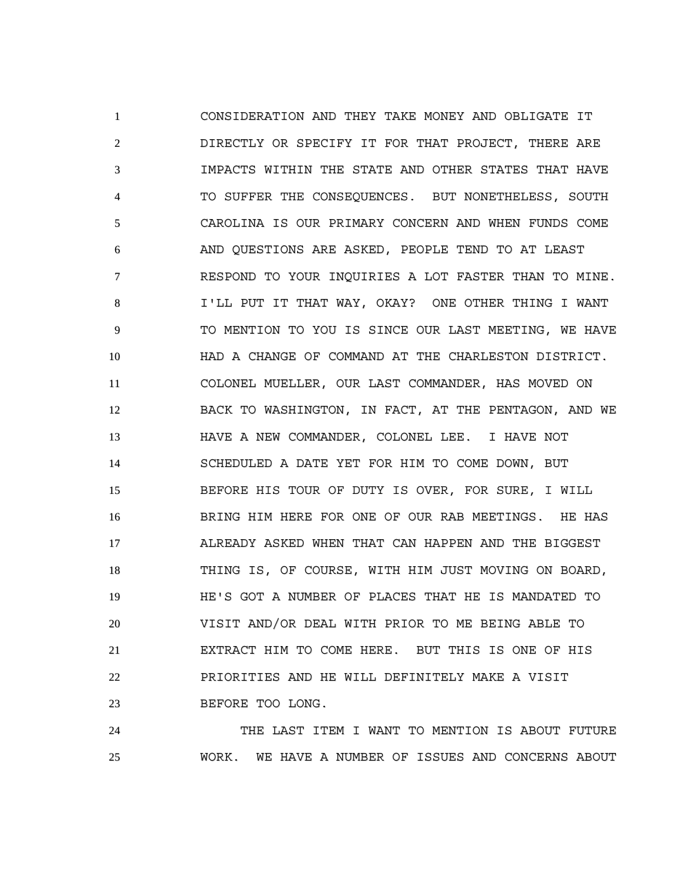CONSIDERATION AND THEY TAKE MONEY AND OBLIGATE IT DIRECTLY OR SPECIFY IT FOR THAT PROJECT, THERE ARE IMPACTS WITHIN THE STATE AND OTHER STATES THAT HAVE TO SUFFER THE CONSEQUENCES. BUT NONETHELESS, SOUTH CAROLINA IS OUR PRIMARY CONCERN AND WHEN FUNDS COME AND QUESTIONS ARE ASKED, PEOPLE TEND TO AT LEAST RESPOND TO YOUR INQUIRIES A LOT FASTER THAN TO MINE. I'LL PUT IT THAT WAY, OKAY? ONE OTHER THING I WANT TO MENTION TO YOU IS SINCE OUR LAST MEETING, WE HAVE HAD A CHANGE OF COMMAND AT THE CHARLESTON DISTRICT. COLONEL MUELLER, OUR LAST COMMANDER, HAS MOVED ON 12 BACK TO WASHINGTON, IN FACT, AT THE PENTAGON, AND WE HAVE A NEW COMMANDER, COLONEL LEE. I HAVE NOT SCHEDULED A DATE YET FOR HIM TO COME DOWN, BUT BEFORE HIS TOUR OF DUTY IS OVER, FOR SURE, I WILL BRING HIM HERE FOR ONE OF OUR RAB MEETINGS. HE HAS ALREADY ASKED WHEN THAT CAN HAPPEN AND THE BIGGEST THING IS, OF COURSE, WITH HIM JUST MOVING ON BOARD, HE'S GOT A NUMBER OF PLACES THAT HE IS MANDATED TO VISIT AND/OR DEAL WITH PRIOR TO ME BEING ABLE TO EXTRACT HIM TO COME HERE. BUT THIS IS ONE OF HIS PRIORITIES AND HE WILL DEFINITELY MAKE A VISIT BEFORE TOO LONG.

 THE LAST ITEM I WANT TO MENTION IS ABOUT FUTURE WORK. WE HAVE A NUMBER OF ISSUES AND CONCERNS ABOUT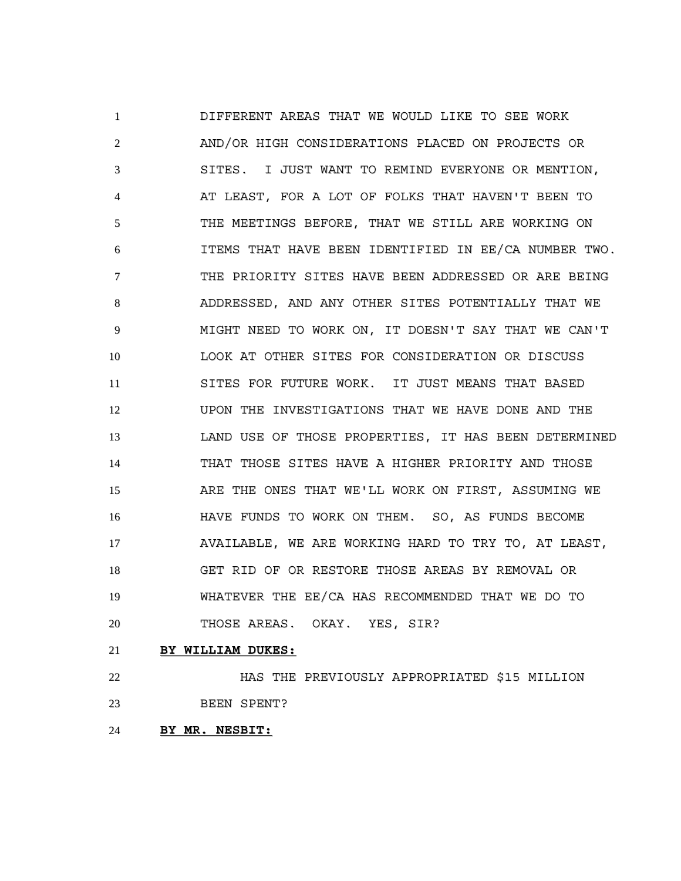DIFFERENT AREAS THAT WE WOULD LIKE TO SEE WORK AND/OR HIGH CONSIDERATIONS PLACED ON PROJECTS OR SITES. I JUST WANT TO REMIND EVERYONE OR MENTION, AT LEAST, FOR A LOT OF FOLKS THAT HAVEN'T BEEN TO THE MEETINGS BEFORE, THAT WE STILL ARE WORKING ON ITEMS THAT HAVE BEEN IDENTIFIED IN EE/CA NUMBER TWO. THE PRIORITY SITES HAVE BEEN ADDRESSED OR ARE BEING ADDRESSED, AND ANY OTHER SITES POTENTIALLY THAT WE MIGHT NEED TO WORK ON, IT DOESN'T SAY THAT WE CAN'T LOOK AT OTHER SITES FOR CONSIDERATION OR DISCUSS SITES FOR FUTURE WORK. IT JUST MEANS THAT BASED UPON THE INVESTIGATIONS THAT WE HAVE DONE AND THE LAND USE OF THOSE PROPERTIES, IT HAS BEEN DETERMINED THAT THOSE SITES HAVE A HIGHER PRIORITY AND THOSE ARE THE ONES THAT WE'LL WORK ON FIRST, ASSUMING WE HAVE FUNDS TO WORK ON THEM. SO, AS FUNDS BECOME AVAILABLE, WE ARE WORKING HARD TO TRY TO, AT LEAST, GET RID OF OR RESTORE THOSE AREAS BY REMOVAL OR WHATEVER THE EE/CA HAS RECOMMENDED THAT WE DO TO THOSE AREAS. OKAY. YES, SIR?

**BY WILLIAM DUKES:**

 HAS THE PREVIOUSLY APPROPRIATED \$15 MILLION BEEN SPENT?

**BY MR. NESBIT:**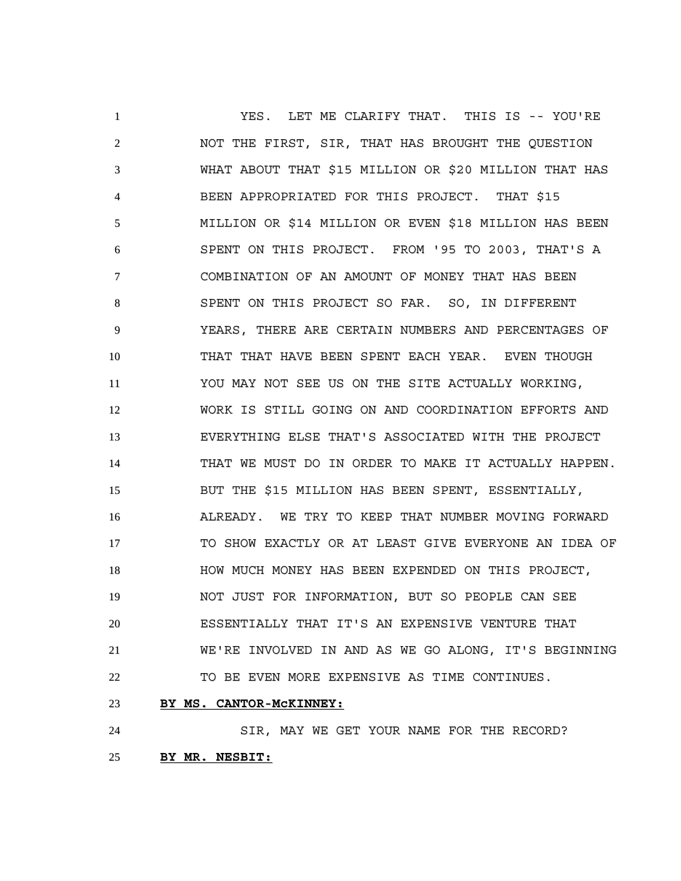YES. LET ME CLARIFY THAT. THIS IS -- YOU'RE NOT THE FIRST, SIR, THAT HAS BROUGHT THE QUESTION WHAT ABOUT THAT \$15 MILLION OR \$20 MILLION THAT HAS BEEN APPROPRIATED FOR THIS PROJECT. THAT \$15 MILLION OR \$14 MILLION OR EVEN \$18 MILLION HAS BEEN SPENT ON THIS PROJECT. FROM '95 TO 2003, THAT'S A COMBINATION OF AN AMOUNT OF MONEY THAT HAS BEEN SPENT ON THIS PROJECT SO FAR. SO, IN DIFFERENT YEARS, THERE ARE CERTAIN NUMBERS AND PERCENTAGES OF THAT THAT HAVE BEEN SPENT EACH YEAR. EVEN THOUGH YOU MAY NOT SEE US ON THE SITE ACTUALLY WORKING, WORK IS STILL GOING ON AND COORDINATION EFFORTS AND EVERYTHING ELSE THAT'S ASSOCIATED WITH THE PROJECT THAT WE MUST DO IN ORDER TO MAKE IT ACTUALLY HAPPEN. BUT THE \$15 MILLION HAS BEEN SPENT, ESSENTIALLY, ALREADY. WE TRY TO KEEP THAT NUMBER MOVING FORWARD TO SHOW EXACTLY OR AT LEAST GIVE EVERYONE AN IDEA OF HOW MUCH MONEY HAS BEEN EXPENDED ON THIS PROJECT, NOT JUST FOR INFORMATION, BUT SO PEOPLE CAN SEE ESSENTIALLY THAT IT'S AN EXPENSIVE VENTURE THAT WE'RE INVOLVED IN AND AS WE GO ALONG, IT'S BEGINNING TO BE EVEN MORE EXPENSIVE AS TIME CONTINUES.

**BY MS. CANTOR-McKINNEY:**

 SIR, MAY WE GET YOUR NAME FOR THE RECORD? **BY MR. NESBIT:**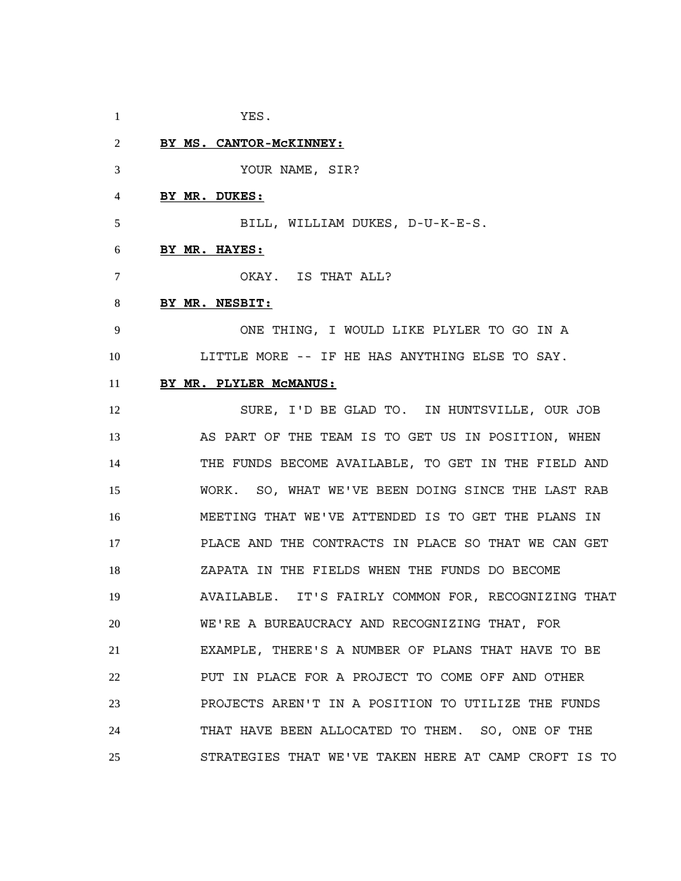- YES.
- **BY MS. CANTOR-McKINNEY:**

YOUR NAME, SIR?

**BY MR. DUKES:**

BILL, WILLIAM DUKES, D-U-K-E-S.

### **BY MR. HAYES:**

OKAY. IS THAT ALL?

### **BY MR. NESBIT:**

 ONE THING, I WOULD LIKE PLYLER TO GO IN A LITTLE MORE -- IF HE HAS ANYTHING ELSE TO SAY.

# **BY MR. PLYLER McMANUS:**

 SURE, I'D BE GLAD TO. IN HUNTSVILLE, OUR JOB 13 AS PART OF THE TEAM IS TO GET US IN POSITION, WHEN THE FUNDS BECOME AVAILABLE, TO GET IN THE FIELD AND WORK. SO, WHAT WE'VE BEEN DOING SINCE THE LAST RAB MEETING THAT WE'VE ATTENDED IS TO GET THE PLANS IN PLACE AND THE CONTRACTS IN PLACE SO THAT WE CAN GET ZAPATA IN THE FIELDS WHEN THE FUNDS DO BECOME AVAILABLE. IT'S FAIRLY COMMON FOR, RECOGNIZING THAT WE'RE A BUREAUCRACY AND RECOGNIZING THAT, FOR EXAMPLE, THERE'S A NUMBER OF PLANS THAT HAVE TO BE PUT IN PLACE FOR A PROJECT TO COME OFF AND OTHER PROJECTS AREN'T IN A POSITION TO UTILIZE THE FUNDS THAT HAVE BEEN ALLOCATED TO THEM. SO, ONE OF THE STRATEGIES THAT WE'VE TAKEN HERE AT CAMP CROFT IS TO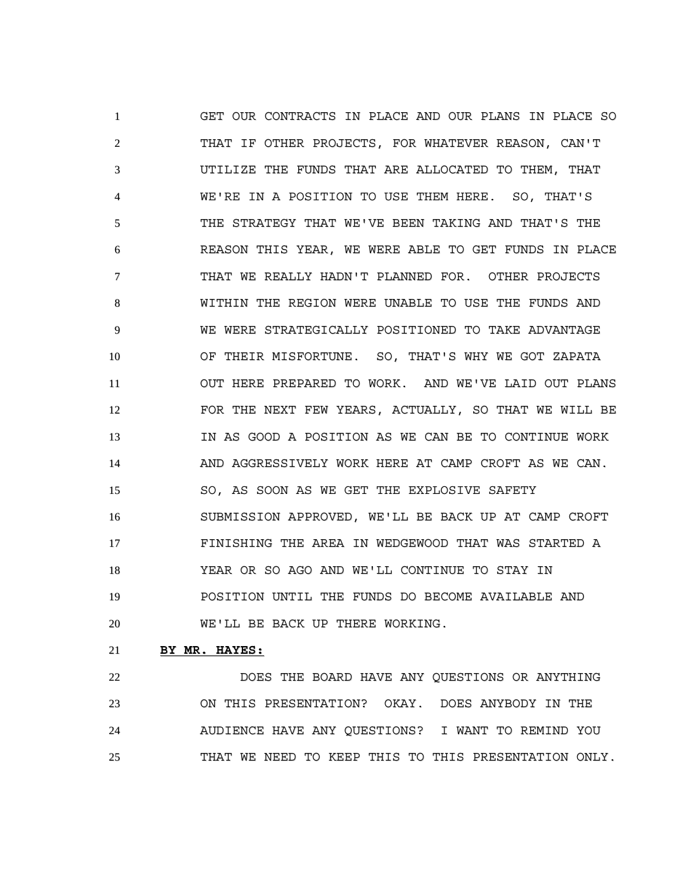GET OUR CONTRACTS IN PLACE AND OUR PLANS IN PLACE SO THAT IF OTHER PROJECTS, FOR WHATEVER REASON, CAN'T UTILIZE THE FUNDS THAT ARE ALLOCATED TO THEM, THAT WE'RE IN A POSITION TO USE THEM HERE. SO, THAT'S THE STRATEGY THAT WE'VE BEEN TAKING AND THAT'S THE REASON THIS YEAR, WE WERE ABLE TO GET FUNDS IN PLACE THAT WE REALLY HADN'T PLANNED FOR. OTHER PROJECTS WITHIN THE REGION WERE UNABLE TO USE THE FUNDS AND WE WERE STRATEGICALLY POSITIONED TO TAKE ADVANTAGE OF THEIR MISFORTUNE. SO, THAT'S WHY WE GOT ZAPATA OUT HERE PREPARED TO WORK. AND WE'VE LAID OUT PLANS FOR THE NEXT FEW YEARS, ACTUALLY, SO THAT WE WILL BE IN AS GOOD A POSITION AS WE CAN BE TO CONTINUE WORK AND AGGRESSIVELY WORK HERE AT CAMP CROFT AS WE CAN. SO, AS SOON AS WE GET THE EXPLOSIVE SAFETY SUBMISSION APPROVED, WE'LL BE BACK UP AT CAMP CROFT FINISHING THE AREA IN WEDGEWOOD THAT WAS STARTED A YEAR OR SO AGO AND WE'LL CONTINUE TO STAY IN POSITION UNTIL THE FUNDS DO BECOME AVAILABLE AND WE'LL BE BACK UP THERE WORKING.

### **BY MR. HAYES:**

 DOES THE BOARD HAVE ANY QUESTIONS OR ANYTHING ON THIS PRESENTATION? OKAY. DOES ANYBODY IN THE AUDIENCE HAVE ANY QUESTIONS? I WANT TO REMIND YOU THAT WE NEED TO KEEP THIS TO THIS PRESENTATION ONLY.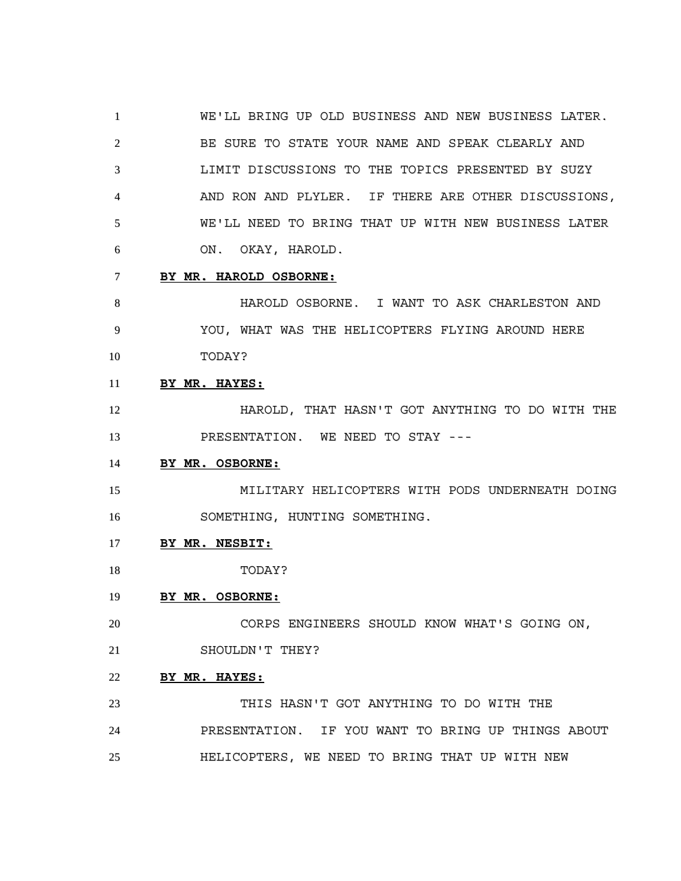WE'LL BRING UP OLD BUSINESS AND NEW BUSINESS LATER. BE SURE TO STATE YOUR NAME AND SPEAK CLEARLY AND LIMIT DISCUSSIONS TO THE TOPICS PRESENTED BY SUZY AND RON AND PLYLER. IF THERE ARE OTHER DISCUSSIONS, WE'LL NEED TO BRING THAT UP WITH NEW BUSINESS LATER ON. OKAY, HAROLD.

**BY MR. HAROLD OSBORNE:**

 HAROLD OSBORNE. I WANT TO ASK CHARLESTON AND YOU, WHAT WAS THE HELICOPTERS FLYING AROUND HERE TODAY?

# **BY MR. HAYES:**

**HAROLD, THAT HASN'T GOT ANYTHING TO DO WITH THE** PRESENTATION. WE NEED TO STAY ---

### **BY MR. OSBORNE:**

 MILITARY HELICOPTERS WITH PODS UNDERNEATH DOING SOMETHING, HUNTING SOMETHING.

### **BY MR. NESBIT:**

TODAY?

# **BY MR. OSBORNE:**

CORPS ENGINEERS SHOULD KNOW WHAT'S GOING ON,

21 SHOULDN'T THEY?

# **BY MR. HAYES:**

 THIS HASN'T GOT ANYTHING TO DO WITH THE PRESENTATION. IF YOU WANT TO BRING UP THINGS ABOUT HELICOPTERS, WE NEED TO BRING THAT UP WITH NEW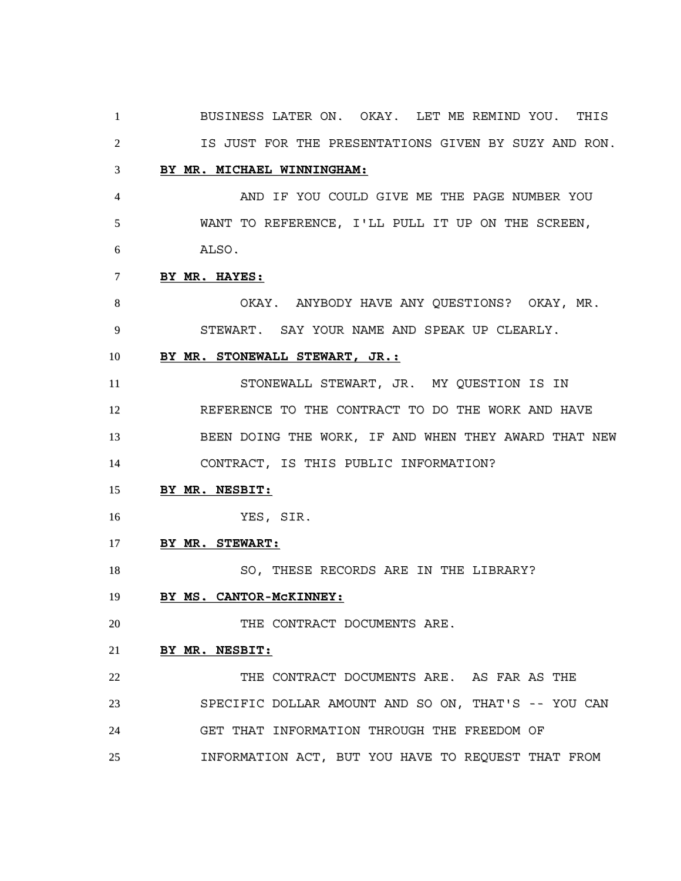BUSINESS LATER ON. OKAY. LET ME REMIND YOU. THIS IS JUST FOR THE PRESENTATIONS GIVEN BY SUZY AND RON. **BY MR. MICHAEL WINNINGHAM:** AND IF YOU COULD GIVE ME THE PAGE NUMBER YOU WANT TO REFERENCE, I'LL PULL IT UP ON THE SCREEN, ALSO. **BY MR. HAYES:** OKAY. ANYBODY HAVE ANY QUESTIONS? OKAY, MR. STEWART. SAY YOUR NAME AND SPEAK UP CLEARLY. **BY MR. STONEWALL STEWART, JR.:** STONEWALL STEWART, JR. MY QUESTION IS IN REFERENCE TO THE CONTRACT TO DO THE WORK AND HAVE BEEN DOING THE WORK, IF AND WHEN THEY AWARD THAT NEW CONTRACT, IS THIS PUBLIC INFORMATION? **BY MR. NESBIT:** YES, SIR. **BY MR. STEWART:** SO, THESE RECORDS ARE IN THE LIBRARY? **BY MS. CANTOR-McKINNEY:** 20 THE CONTRACT DOCUMENTS ARE. **BY MR. NESBIT:** 22 THE CONTRACT DOCUMENTS ARE. AS FAR AS THE SPECIFIC DOLLAR AMOUNT AND SO ON, THAT'S -- YOU CAN GET THAT INFORMATION THROUGH THE FREEDOM OF INFORMATION ACT, BUT YOU HAVE TO REQUEST THAT FROM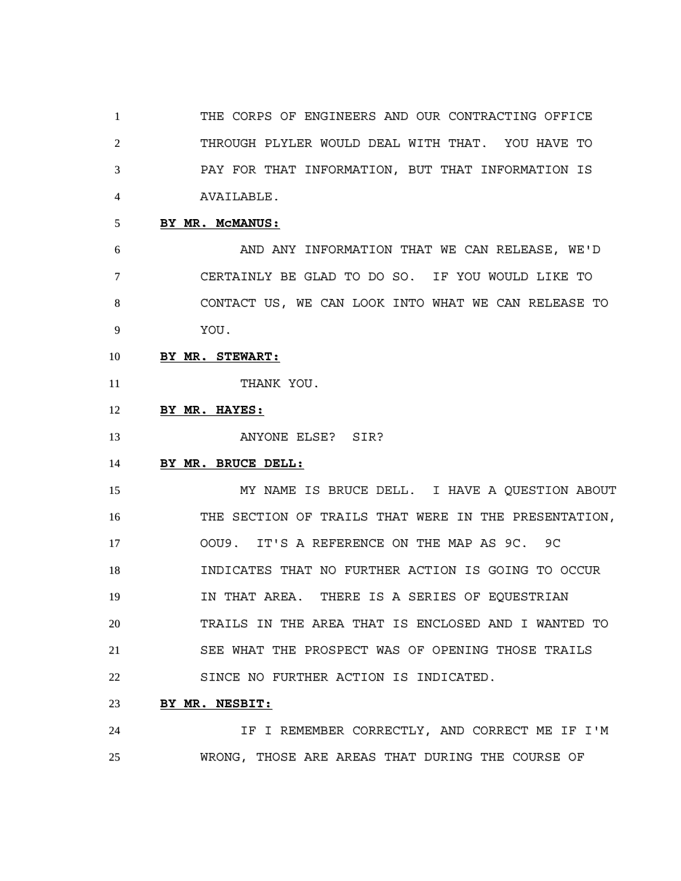THE CORPS OF ENGINEERS AND OUR CONTRACTING OFFICE THROUGH PLYLER WOULD DEAL WITH THAT. YOU HAVE TO PAY FOR THAT INFORMATION, BUT THAT INFORMATION IS AVAILABLE.

**BY MR. McMANUS:**

 AND ANY INFORMATION THAT WE CAN RELEASE, WE'D CERTAINLY BE GLAD TO DO SO. IF YOU WOULD LIKE TO CONTACT US, WE CAN LOOK INTO WHAT WE CAN RELEASE TO YOU.

- **BY MR. STEWART:**
- 11 THANK YOU.
- **BY MR. HAYES:**
- 13 ANYONE ELSE? SIR?

# **BY MR. BRUCE DELL:**

 MY NAME IS BRUCE DELL. I HAVE A QUESTION ABOUT THE SECTION OF TRAILS THAT WERE IN THE PRESENTATION, OOU9. IT'S A REFERENCE ON THE MAP AS 9C. 9C INDICATES THAT NO FURTHER ACTION IS GOING TO OCCUR IN THAT AREA. THERE IS A SERIES OF EQUESTRIAN TRAILS IN THE AREA THAT IS ENCLOSED AND I WANTED TO SEE WHAT THE PROSPECT WAS OF OPENING THOSE TRAILS SINCE NO FURTHER ACTION IS INDICATED.

**BY MR. NESBIT:**

 IF I REMEMBER CORRECTLY, AND CORRECT ME IF I'M WRONG, THOSE ARE AREAS THAT DURING THE COURSE OF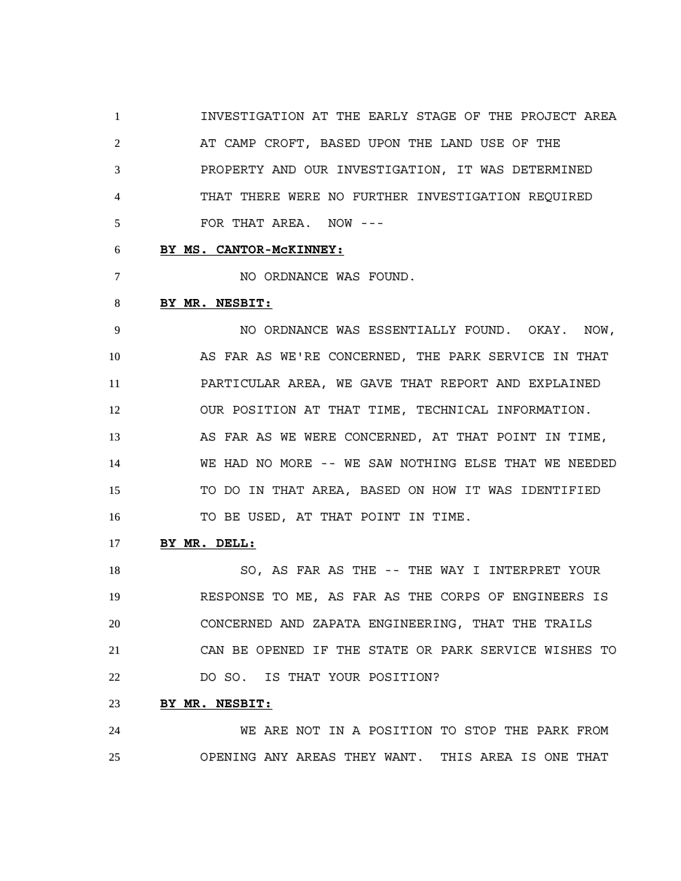INVESTIGATION AT THE EARLY STAGE OF THE PROJECT AREA 2 AT CAMP CROFT, BASED UPON THE LAND USE OF THE PROPERTY AND OUR INVESTIGATION, IT WAS DETERMINED THAT THERE WERE NO FURTHER INVESTIGATION REQUIRED FOR THAT AREA. NOW ---

### **BY MS. CANTOR-McKINNEY:**

7 NO ORDNANCE WAS FOUND.

#### **BY MR. NESBIT:**

 NO ORDNANCE WAS ESSENTIALLY FOUND. OKAY. NOW, AS FAR AS WE'RE CONCERNED, THE PARK SERVICE IN THAT PARTICULAR AREA, WE GAVE THAT REPORT AND EXPLAINED OUR POSITION AT THAT TIME, TECHNICAL INFORMATION. 13 AS FAR AS WE WERE CONCERNED, AT THAT POINT IN TIME, WE HAD NO MORE -- WE SAW NOTHING ELSE THAT WE NEEDED TO DO IN THAT AREA, BASED ON HOW IT WAS IDENTIFIED TO BE USED, AT THAT POINT IN TIME.

#### **BY MR. DELL:**

18 SO, AS FAR AS THE -- THE WAY I INTERPRET YOUR RESPONSE TO ME, AS FAR AS THE CORPS OF ENGINEERS IS CONCERNED AND ZAPATA ENGINEERING, THAT THE TRAILS CAN BE OPENED IF THE STATE OR PARK SERVICE WISHES TO DO SO. IS THAT YOUR POSITION?

# **BY MR. NESBIT:**

 WE ARE NOT IN A POSITION TO STOP THE PARK FROM OPENING ANY AREAS THEY WANT. THIS AREA IS ONE THAT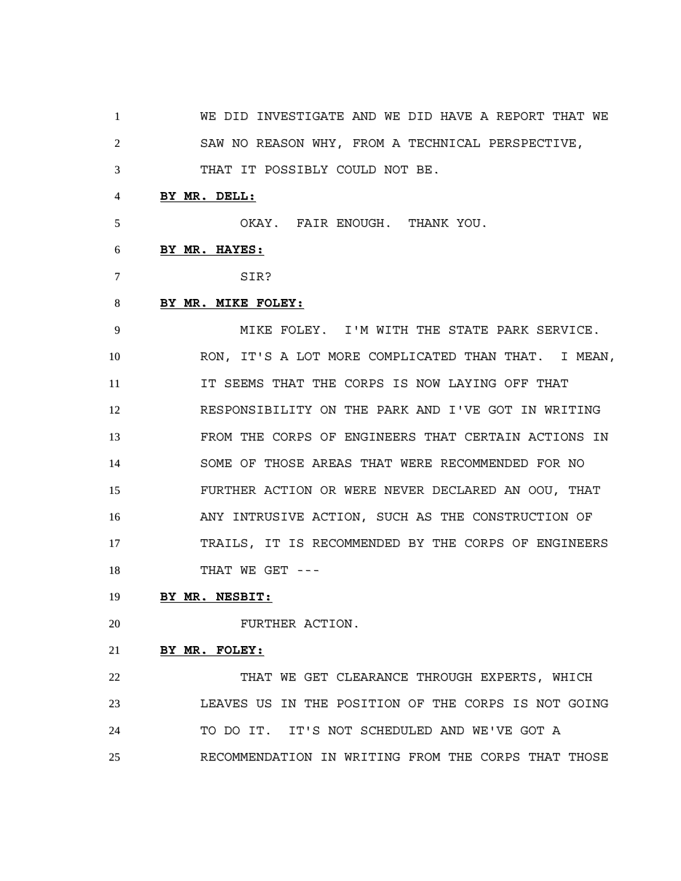WE DID INVESTIGATE AND WE DID HAVE A REPORT THAT WE SAW NO REASON WHY, FROM A TECHNICAL PERSPECTIVE,

THAT IT POSSIBLY COULD NOT BE.

# **BY MR. DELL:**

OKAY. FAIR ENOUGH. THANK YOU.

#### **BY MR. HAYES:**

SIR?

# **BY MR. MIKE FOLEY:**

 MIKE FOLEY. I'M WITH THE STATE PARK SERVICE. RON, IT'S A LOT MORE COMPLICATED THAN THAT. I MEAN, IT SEEMS THAT THE CORPS IS NOW LAYING OFF THAT RESPONSIBILITY ON THE PARK AND I'VE GOT IN WRITING FROM THE CORPS OF ENGINEERS THAT CERTAIN ACTIONS IN SOME OF THOSE AREAS THAT WERE RECOMMENDED FOR NO FURTHER ACTION OR WERE NEVER DECLARED AN OOU, THAT ANY INTRUSIVE ACTION, SUCH AS THE CONSTRUCTION OF TRAILS, IT IS RECOMMENDED BY THE CORPS OF ENGINEERS 18 THAT WE GET ---

# **BY MR. NESBIT:**

FURTHER ACTION.

# **BY MR. FOLEY:**

 THAT WE GET CLEARANCE THROUGH EXPERTS, WHICH LEAVES US IN THE POSITION OF THE CORPS IS NOT GOING TO DO IT. IT'S NOT SCHEDULED AND WE'VE GOT A RECOMMENDATION IN WRITING FROM THE CORPS THAT THOSE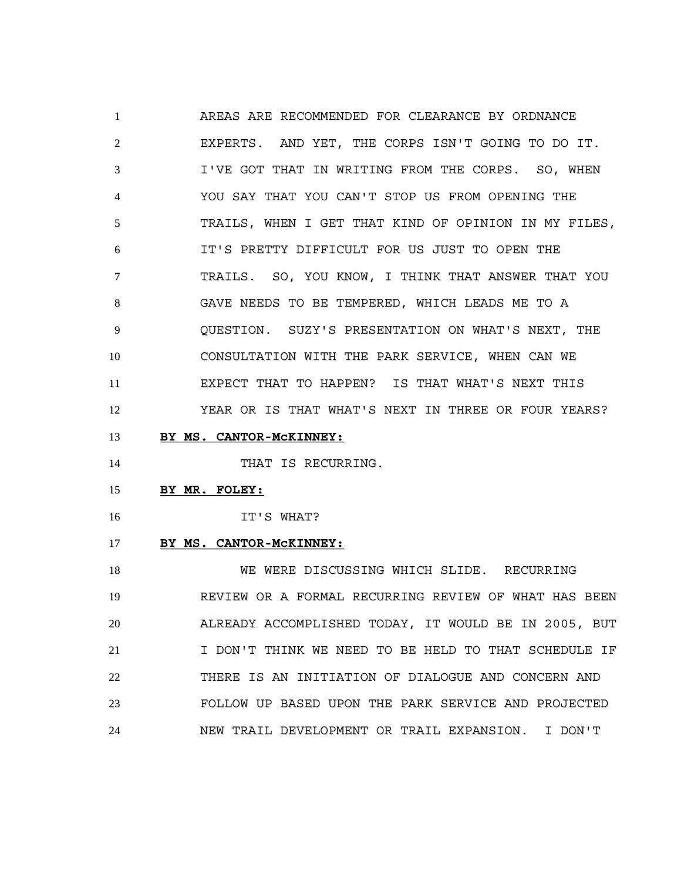AREAS ARE RECOMMENDED FOR CLEARANCE BY ORDNANCE EXPERTS. AND YET, THE CORPS ISN'T GOING TO DO IT. I'VE GOT THAT IN WRITING FROM THE CORPS. SO, WHEN YOU SAY THAT YOU CAN'T STOP US FROM OPENING THE TRAILS, WHEN I GET THAT KIND OF OPINION IN MY FILES, IT'S PRETTY DIFFICULT FOR US JUST TO OPEN THE TRAILS. SO, YOU KNOW, I THINK THAT ANSWER THAT YOU GAVE NEEDS TO BE TEMPERED, WHICH LEADS ME TO A QUESTION. SUZY'S PRESENTATION ON WHAT'S NEXT, THE CONSULTATION WITH THE PARK SERVICE, WHEN CAN WE EXPECT THAT TO HAPPEN? IS THAT WHAT'S NEXT THIS YEAR OR IS THAT WHAT'S NEXT IN THREE OR FOUR YEARS?

**BY MS. CANTOR-McKINNEY:**

14 THAT IS RECURRING.

- **BY MR. FOLEY:**
- IT'S WHAT?
- **BY MS. CANTOR-McKINNEY:**

 WE WERE DISCUSSING WHICH SLIDE. RECURRING REVIEW OR A FORMAL RECURRING REVIEW OF WHAT HAS BEEN ALREADY ACCOMPLISHED TODAY, IT WOULD BE IN 2005, BUT I DON'T THINK WE NEED TO BE HELD TO THAT SCHEDULE IF THERE IS AN INITIATION OF DIALOGUE AND CONCERN AND FOLLOW UP BASED UPON THE PARK SERVICE AND PROJECTED NEW TRAIL DEVELOPMENT OR TRAIL EXPANSION. I DON'T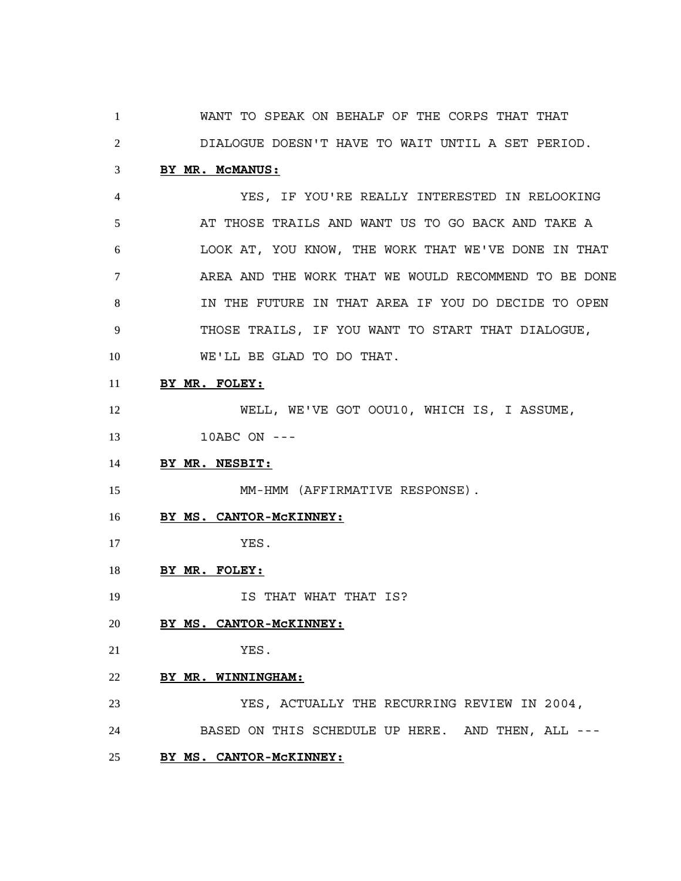WANT TO SPEAK ON BEHALF OF THE CORPS THAT THAT

DIALOGUE DOESN'T HAVE TO WAIT UNTIL A SET PERIOD.

## **BY MR. McMANUS:**

 YES, IF YOU'RE REALLY INTERESTED IN RELOOKING AT THOSE TRAILS AND WANT US TO GO BACK AND TAKE A LOOK AT, YOU KNOW, THE WORK THAT WE'VE DONE IN THAT AREA AND THE WORK THAT WE WOULD RECOMMEND TO BE DONE IN THE FUTURE IN THAT AREA IF YOU DO DECIDE TO OPEN THOSE TRAILS, IF YOU WANT TO START THAT DIALOGUE, WE'LL BE GLAD TO DO THAT.

# **BY MR. FOLEY:**

WELL, WE'VE GOT OOU10, WHICH IS, I ASSUME,

10ABC ON ---

**BY MR. NESBIT:**

15 MM-HMM (AFFIRMATIVE RESPONSE).

**BY MS. CANTOR-McKINNEY:**

YES.

- **BY MR. FOLEY:**
- **IS THAT WHAT THAT IS?**
- **BY MS. CANTOR-McKINNEY:**
- YES.
- **BY MR. WINNINGHAM:**

 YES, ACTUALLY THE RECURRING REVIEW IN 2004, BASED ON THIS SCHEDULE UP HERE. AND THEN, ALL --- **BY MS. CANTOR-McKINNEY:**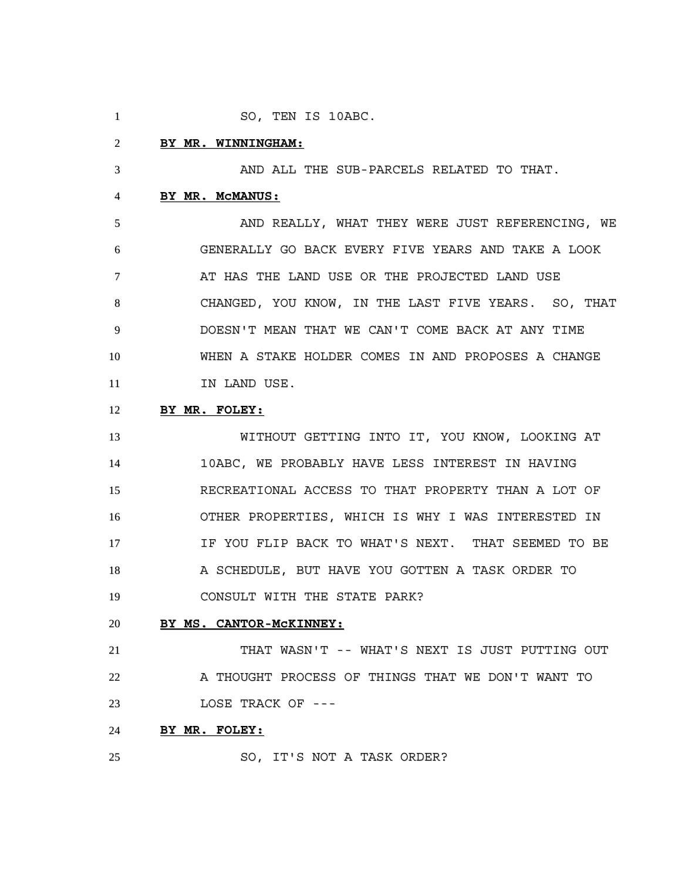1 SO, TEN IS 10ABC.

#### **BY MR. WINNINGHAM:**

AND ALL THE SUB-PARCELS RELATED TO THAT.

# **BY MR. McMANUS:**

 AND REALLY, WHAT THEY WERE JUST REFERENCING, WE GENERALLY GO BACK EVERY FIVE YEARS AND TAKE A LOOK 7 AT HAS THE LAND USE OR THE PROJECTED LAND USE CHANGED, YOU KNOW, IN THE LAST FIVE YEARS. SO, THAT DOESN'T MEAN THAT WE CAN'T COME BACK AT ANY TIME WHEN A STAKE HOLDER COMES IN AND PROPOSES A CHANGE 11 IN LAND USE.

# **BY MR. FOLEY:**

 WITHOUT GETTING INTO IT, YOU KNOW, LOOKING AT 10ABC, WE PROBABLY HAVE LESS INTEREST IN HAVING RECREATIONAL ACCESS TO THAT PROPERTY THAN A LOT OF OTHER PROPERTIES, WHICH IS WHY I WAS INTERESTED IN IF YOU FLIP BACK TO WHAT'S NEXT. THAT SEEMED TO BE A SCHEDULE, BUT HAVE YOU GOTTEN A TASK ORDER TO CONSULT WITH THE STATE PARK?

### **BY MS. CANTOR-McKINNEY:**

 THAT WASN'T -- WHAT'S NEXT IS JUST PUTTING OUT 22 A THOUGHT PROCESS OF THINGS THAT WE DON'T WANT TO LOSE TRACK OF ---

# **BY MR. FOLEY:**

SO, IT'S NOT A TASK ORDER?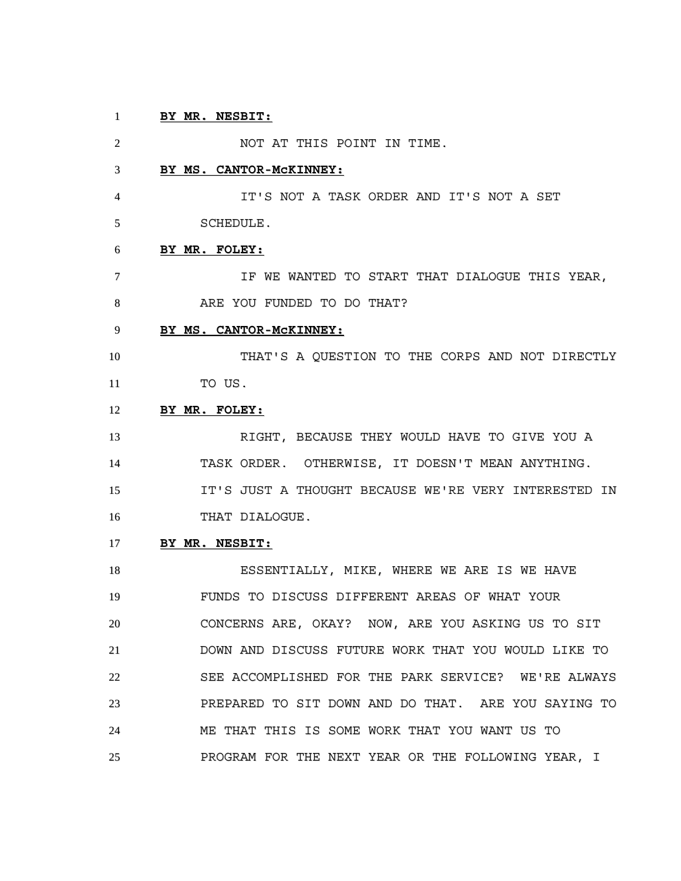# **BY MR. NESBIT:**

 NOT AT THIS POINT IN TIME. **BY MS. CANTOR-McKINNEY:** IT'S NOT A TASK ORDER AND IT'S NOT A SET SCHEDULE. **BY MR. FOLEY:** IF WE WANTED TO START THAT DIALOGUE THIS YEAR, ARE YOU FUNDED TO DO THAT? **BY MS. CANTOR-McKINNEY:** THAT'S A QUESTION TO THE CORPS AND NOT DIRECTLY TO US. **BY MR. FOLEY:** RIGHT, BECAUSE THEY WOULD HAVE TO GIVE YOU A TASK ORDER. OTHERWISE, IT DOESN'T MEAN ANYTHING. IT'S JUST A THOUGHT BECAUSE WE'RE VERY INTERESTED IN THAT DIALOGUE. **BY MR. NESBIT:** 18 ESSENTIALLY, MIKE, WHERE WE ARE IS WE HAVE

 FUNDS TO DISCUSS DIFFERENT AREAS OF WHAT YOUR CONCERNS ARE, OKAY? NOW, ARE YOU ASKING US TO SIT DOWN AND DISCUSS FUTURE WORK THAT YOU WOULD LIKE TO SEE ACCOMPLISHED FOR THE PARK SERVICE? WE'RE ALWAYS PREPARED TO SIT DOWN AND DO THAT. ARE YOU SAYING TO ME THAT THIS IS SOME WORK THAT YOU WANT US TO PROGRAM FOR THE NEXT YEAR OR THE FOLLOWING YEAR, I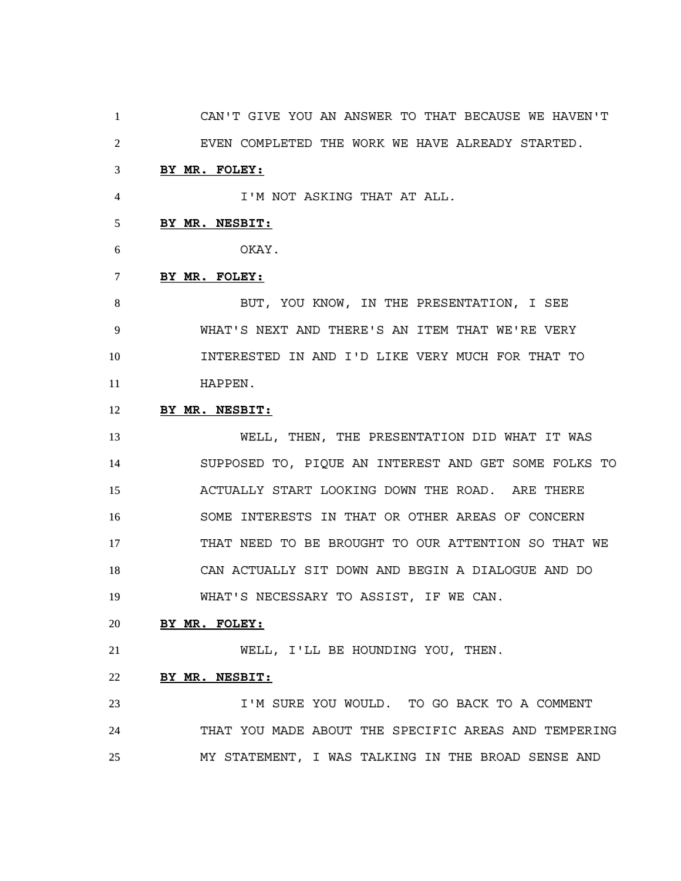CAN'T GIVE YOU AN ANSWER TO THAT BECAUSE WE HAVEN'T EVEN COMPLETED THE WORK WE HAVE ALREADY STARTED.

### **BY MR. FOLEY:**

I'M NOT ASKING THAT AT ALL.

## **BY MR. NESBIT:**

OKAY.

## **BY MR. FOLEY:**

 BUT, YOU KNOW, IN THE PRESENTATION, I SEE WHAT'S NEXT AND THERE'S AN ITEM THAT WE'RE VERY INTERESTED IN AND I'D LIKE VERY MUCH FOR THAT TO HAPPEN.

# **BY MR. NESBIT:**

 WELL, THEN, THE PRESENTATION DID WHAT IT WAS SUPPOSED TO, PIQUE AN INTEREST AND GET SOME FOLKS TO ACTUALLY START LOOKING DOWN THE ROAD. ARE THERE SOME INTERESTS IN THAT OR OTHER AREAS OF CONCERN THAT NEED TO BE BROUGHT TO OUR ATTENTION SO THAT WE CAN ACTUALLY SIT DOWN AND BEGIN A DIALOGUE AND DO WHAT'S NECESSARY TO ASSIST, IF WE CAN.

### **BY MR. FOLEY:**

WELL, I'LL BE HOUNDING YOU, THEN.

## **BY MR. NESBIT:**

 I'M SURE YOU WOULD. TO GO BACK TO A COMMENT THAT YOU MADE ABOUT THE SPECIFIC AREAS AND TEMPERING MY STATEMENT, I WAS TALKING IN THE BROAD SENSE AND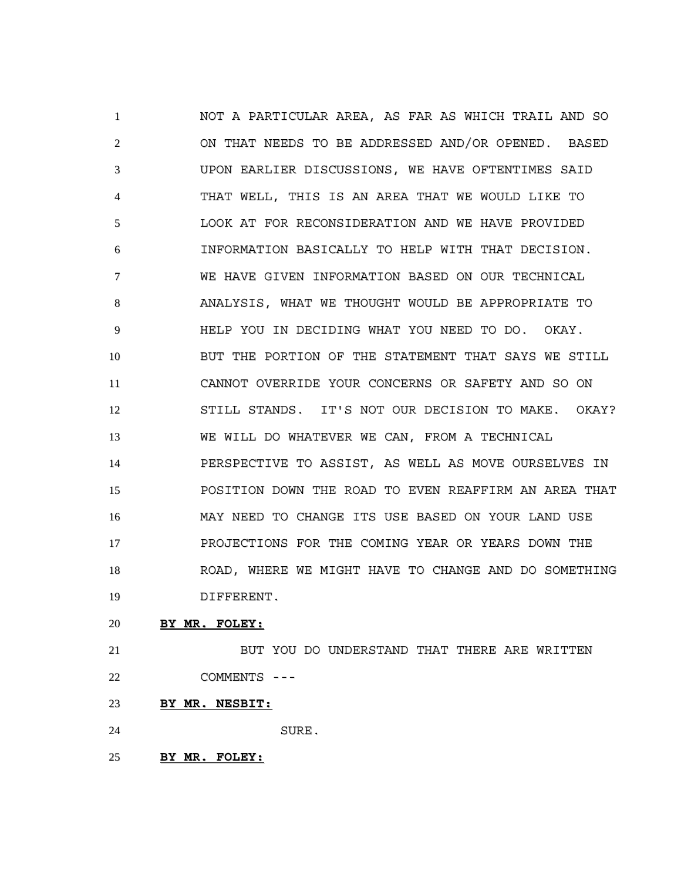NOT A PARTICULAR AREA, AS FAR AS WHICH TRAIL AND SO ON THAT NEEDS TO BE ADDRESSED AND/OR OPENED. BASED UPON EARLIER DISCUSSIONS, WE HAVE OFTENTIMES SAID THAT WELL, THIS IS AN AREA THAT WE WOULD LIKE TO LOOK AT FOR RECONSIDERATION AND WE HAVE PROVIDED INFORMATION BASICALLY TO HELP WITH THAT DECISION. WE HAVE GIVEN INFORMATION BASED ON OUR TECHNICAL ANALYSIS, WHAT WE THOUGHT WOULD BE APPROPRIATE TO HELP YOU IN DECIDING WHAT YOU NEED TO DO. OKAY. BUT THE PORTION OF THE STATEMENT THAT SAYS WE STILL CANNOT OVERRIDE YOUR CONCERNS OR SAFETY AND SO ON STILL STANDS. IT'S NOT OUR DECISION TO MAKE. OKAY? WE WILL DO WHATEVER WE CAN, FROM A TECHNICAL PERSPECTIVE TO ASSIST, AS WELL AS MOVE OURSELVES IN POSITION DOWN THE ROAD TO EVEN REAFFIRM AN AREA THAT MAY NEED TO CHANGE ITS USE BASED ON YOUR LAND USE PROJECTIONS FOR THE COMING YEAR OR YEARS DOWN THE ROAD, WHERE WE MIGHT HAVE TO CHANGE AND DO SOMETHING DIFFERENT.

**BY MR. FOLEY:**

21 BUT YOU DO UNDERSTAND THAT THERE ARE WRITTEN COMMENTS ---

**BY MR. NESBIT:**

SURE.

**BY MR. FOLEY:**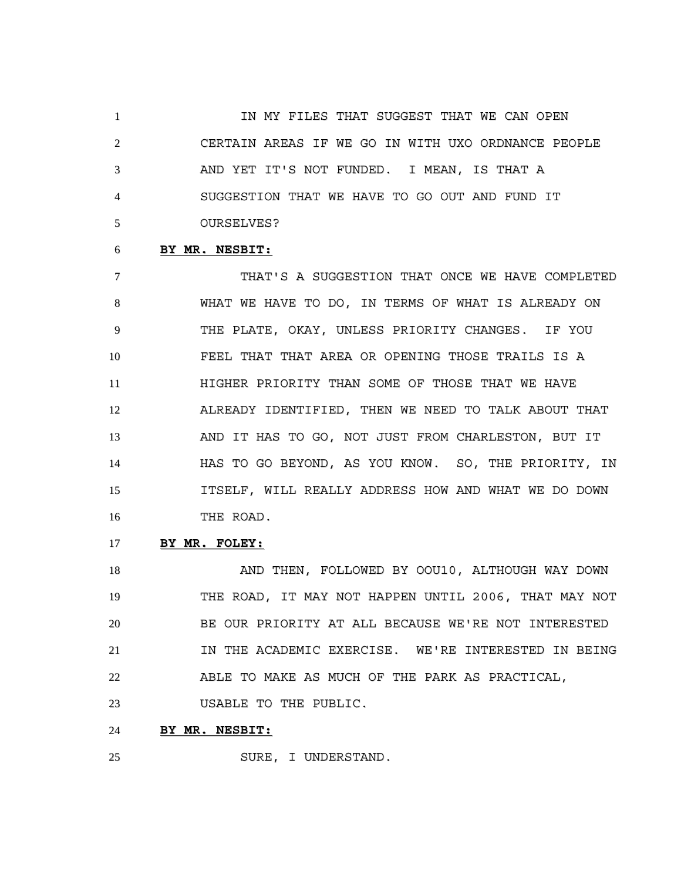**IN MY FILES THAT SUGGEST THAT WE CAN OPEN**  CERTAIN AREAS IF WE GO IN WITH UXO ORDNANCE PEOPLE AND YET IT'S NOT FUNDED. I MEAN, IS THAT A SUGGESTION THAT WE HAVE TO GO OUT AND FUND IT OURSELVES?

#### **BY MR. NESBIT:**

 THAT'S A SUGGESTION THAT ONCE WE HAVE COMPLETED WHAT WE HAVE TO DO, IN TERMS OF WHAT IS ALREADY ON THE PLATE, OKAY, UNLESS PRIORITY CHANGES. IF YOU FEEL THAT THAT AREA OR OPENING THOSE TRAILS IS A HIGHER PRIORITY THAN SOME OF THOSE THAT WE HAVE ALREADY IDENTIFIED, THEN WE NEED TO TALK ABOUT THAT AND IT HAS TO GO, NOT JUST FROM CHARLESTON, BUT IT HAS TO GO BEYOND, AS YOU KNOW. SO, THE PRIORITY, IN ITSELF, WILL REALLY ADDRESS HOW AND WHAT WE DO DOWN THE ROAD.

**BY MR. FOLEY:**

18 AND THEN, FOLLOWED BY OOU10, ALTHOUGH WAY DOWN THE ROAD, IT MAY NOT HAPPEN UNTIL 2006, THAT MAY NOT BE OUR PRIORITY AT ALL BECAUSE WE'RE NOT INTERESTED **IN THE ACADEMIC EXERCISE.** WE'RE INTERESTED IN BEING ABLE TO MAKE AS MUCH OF THE PARK AS PRACTICAL, USABLE TO THE PUBLIC.

**BY MR. NESBIT:**

SURE, I UNDERSTAND.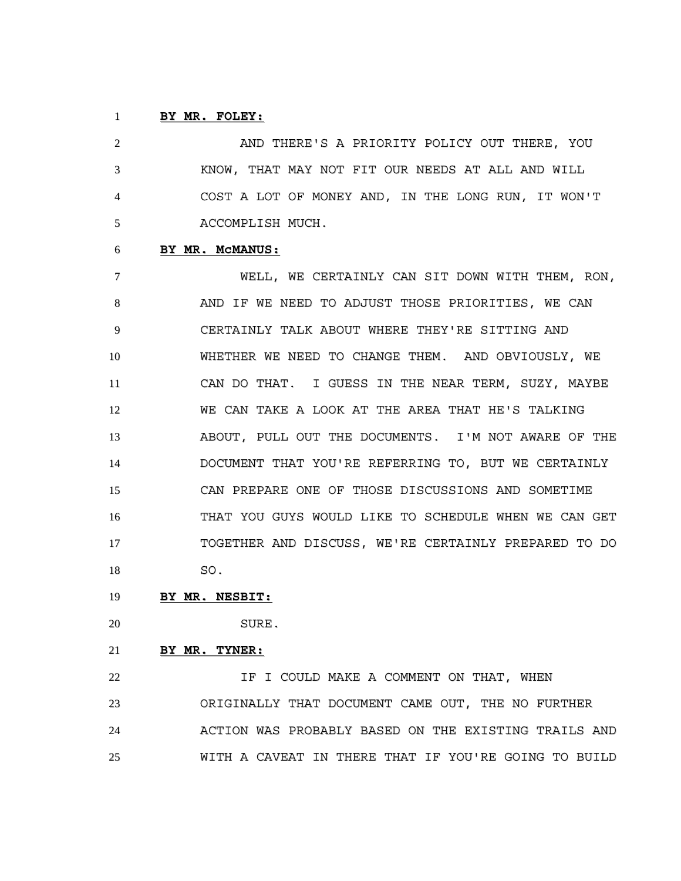# **BY MR. FOLEY:**

 AND THERE'S A PRIORITY POLICY OUT THERE, YOU KNOW, THAT MAY NOT FIT OUR NEEDS AT ALL AND WILL COST A LOT OF MONEY AND, IN THE LONG RUN, IT WON'T ACCOMPLISH MUCH.

#### **BY MR. McMANUS:**

 WELL, WE CERTAINLY CAN SIT DOWN WITH THEM, RON, AND IF WE NEED TO ADJUST THOSE PRIORITIES, WE CAN CERTAINLY TALK ABOUT WHERE THEY'RE SITTING AND WHETHER WE NEED TO CHANGE THEM. AND OBVIOUSLY, WE CAN DO THAT. I GUESS IN THE NEAR TERM, SUZY, MAYBE WE CAN TAKE A LOOK AT THE AREA THAT HE'S TALKING ABOUT, PULL OUT THE DOCUMENTS. I'M NOT AWARE OF THE DOCUMENT THAT YOU'RE REFERRING TO, BUT WE CERTAINLY CAN PREPARE ONE OF THOSE DISCUSSIONS AND SOMETIME THAT YOU GUYS WOULD LIKE TO SCHEDULE WHEN WE CAN GET TOGETHER AND DISCUSS, WE'RE CERTAINLY PREPARED TO DO SO.

- **BY MR. NESBIT:**
- SURE.
	-
- **BY MR. TYNER:**

**IF I COULD MAKE A COMMENT ON THAT, WHEN**  ORIGINALLY THAT DOCUMENT CAME OUT, THE NO FURTHER ACTION WAS PROBABLY BASED ON THE EXISTING TRAILS AND WITH A CAVEAT IN THERE THAT IF YOU'RE GOING TO BUILD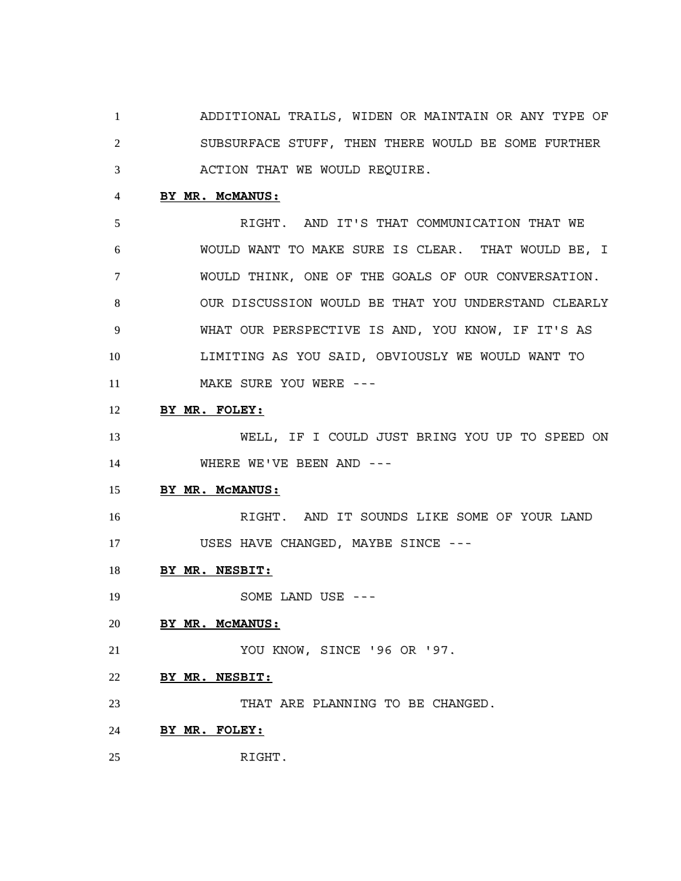ADDITIONAL TRAILS, WIDEN OR MAINTAIN OR ANY TYPE OF SUBSURFACE STUFF, THEN THERE WOULD BE SOME FURTHER ACTION THAT WE WOULD REQUIRE.

# **BY MR. McMANUS:**

 RIGHT. AND IT'S THAT COMMUNICATION THAT WE WOULD WANT TO MAKE SURE IS CLEAR. THAT WOULD BE, I WOULD THINK, ONE OF THE GOALS OF OUR CONVERSATION. OUR DISCUSSION WOULD BE THAT YOU UNDERSTAND CLEARLY WHAT OUR PERSPECTIVE IS AND, YOU KNOW, IF IT'S AS LIMITING AS YOU SAID, OBVIOUSLY WE WOULD WANT TO 11 MAKE SURE YOU WERE ---

**BY MR. FOLEY:**

 WELL, IF I COULD JUST BRING YOU UP TO SPEED ON 14 WHERE WE'VE BEEN AND ---

# **BY MR. McMANUS:**

 RIGHT. AND IT SOUNDS LIKE SOME OF YOUR LAND 17 USES HAVE CHANGED, MAYBE SINCE ---

**BY MR. NESBIT:**

19 SOME LAND USE ---

#### **BY MR. McMANUS:**

YOU KNOW, SINCE '96 OR '97.

**BY MR. NESBIT:**

THAT ARE PLANNING TO BE CHANGED.

- **BY MR. FOLEY:**
- RIGHT.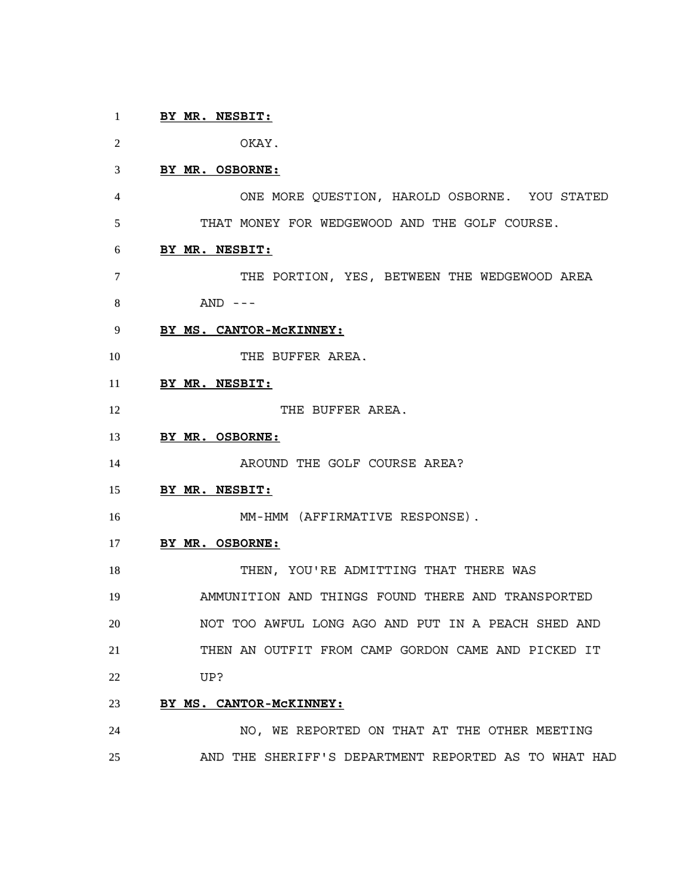# **BY MR. NESBIT:**

OKAY.

### **BY MR. OSBORNE:**

 ONE MORE QUESTION, HAROLD OSBORNE. YOU STATED THAT MONEY FOR WEDGEWOOD AND THE GOLF COURSE.

### **BY MR. NESBIT:**

- 7 THE PORTION, YES, BETWEEN THE WEDGEWOOD AREA AND ---
- **BY MS. CANTOR-McKINNEY:**
- 10 THE BUFFER AREA.
- **BY MR. NESBIT:**
- 12 THE BUFFER AREA.
- **BY MR. OSBORNE:**

14 AROUND THE GOLF COURSE AREA?

**BY MR. NESBIT:**

MM-HMM (AFFIRMATIVE RESPONSE).

#### **BY MR. OSBORNE:**

THEN, YOU'RE ADMITTING THAT THERE WAS

 AMMUNITION AND THINGS FOUND THERE AND TRANSPORTED NOT TOO AWFUL LONG AGO AND PUT IN A PEACH SHED AND THEN AN OUTFIT FROM CAMP GORDON CAME AND PICKED IT UP?

## **BY MS. CANTOR-McKINNEY:**

 NO, WE REPORTED ON THAT AT THE OTHER MEETING AND THE SHERIFF'S DEPARTMENT REPORTED AS TO WHAT HAD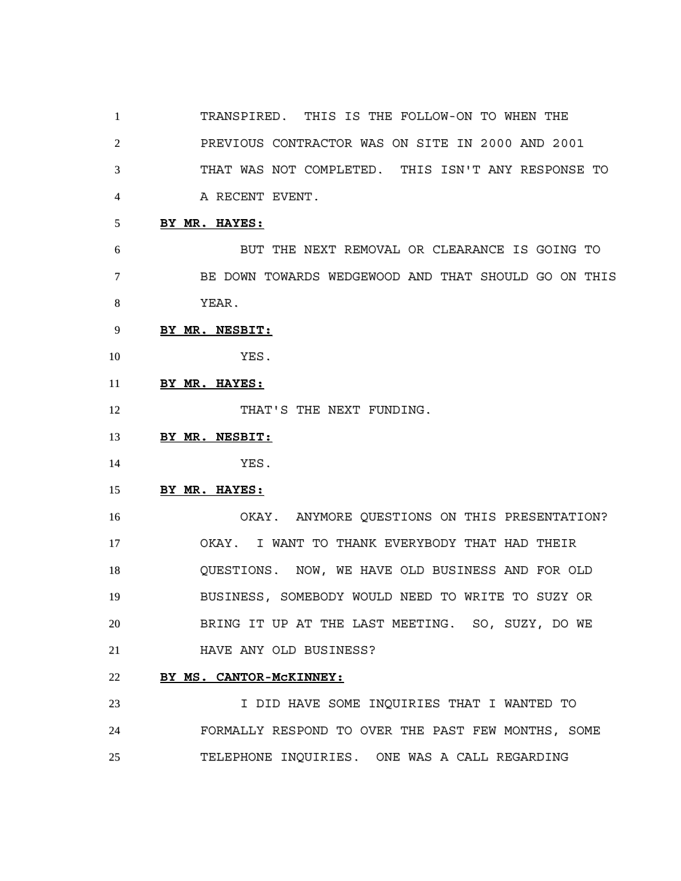TRANSPIRED. THIS IS THE FOLLOW-ON TO WHEN THE PREVIOUS CONTRACTOR WAS ON SITE IN 2000 AND 2001 THAT WAS NOT COMPLETED. THIS ISN'T ANY RESPONSE TO A RECENT EVENT.

**BY MR. HAYES:**

 BUT THE NEXT REMOVAL OR CLEARANCE IS GOING TO BE DOWN TOWARDS WEDGEWOOD AND THAT SHOULD GO ON THIS YEAR.

- **BY MR. NESBIT:**
- YES.
- **BY MR. HAYES:**

12 THAT'S THE NEXT FUNDING.

- **BY MR. NESBIT:**
- YES.

# **BY MR. HAYES:**

 OKAY. ANYMORE QUESTIONS ON THIS PRESENTATION? OKAY. I WANT TO THANK EVERYBODY THAT HAD THEIR QUESTIONS. NOW, WE HAVE OLD BUSINESS AND FOR OLD BUSINESS, SOMEBODY WOULD NEED TO WRITE TO SUZY OR BRING IT UP AT THE LAST MEETING. SO, SUZY, DO WE HAVE ANY OLD BUSINESS?

## **BY MS. CANTOR-McKINNEY:**

 I DID HAVE SOME INQUIRIES THAT I WANTED TO FORMALLY RESPOND TO OVER THE PAST FEW MONTHS, SOME TELEPHONE INQUIRIES. ONE WAS A CALL REGARDING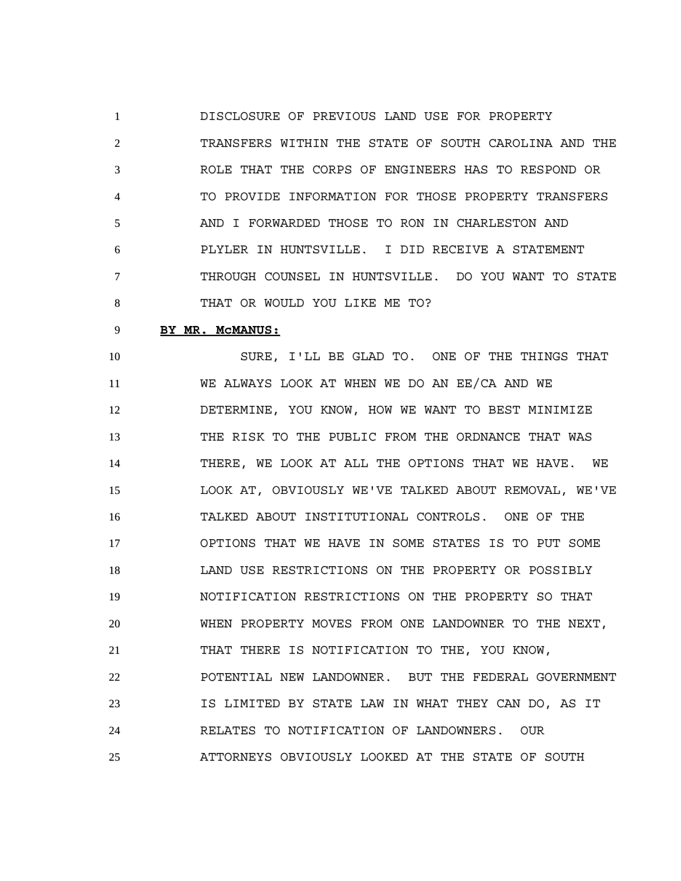DISCLOSURE OF PREVIOUS LAND USE FOR PROPERTY TRANSFERS WITHIN THE STATE OF SOUTH CAROLINA AND THE ROLE THAT THE CORPS OF ENGINEERS HAS TO RESPOND OR TO PROVIDE INFORMATION FOR THOSE PROPERTY TRANSFERS AND I FORWARDED THOSE TO RON IN CHARLESTON AND PLYLER IN HUNTSVILLE. I DID RECEIVE A STATEMENT THROUGH COUNSEL IN HUNTSVILLE. DO YOU WANT TO STATE THAT OR WOULD YOU LIKE ME TO?

# **BY MR. McMANUS:**

 SURE, I'LL BE GLAD TO. ONE OF THE THINGS THAT WE ALWAYS LOOK AT WHEN WE DO AN EE/CA AND WE DETERMINE, YOU KNOW, HOW WE WANT TO BEST MINIMIZE THE RISK TO THE PUBLIC FROM THE ORDNANCE THAT WAS THERE, WE LOOK AT ALL THE OPTIONS THAT WE HAVE. WE LOOK AT, OBVIOUSLY WE'VE TALKED ABOUT REMOVAL, WE'VE TALKED ABOUT INSTITUTIONAL CONTROLS. ONE OF THE OPTIONS THAT WE HAVE IN SOME STATES IS TO PUT SOME LAND USE RESTRICTIONS ON THE PROPERTY OR POSSIBLY NOTIFICATION RESTRICTIONS ON THE PROPERTY SO THAT WHEN PROPERTY MOVES FROM ONE LANDOWNER TO THE NEXT, THAT THERE IS NOTIFICATION TO THE, YOU KNOW, POTENTIAL NEW LANDOWNER. BUT THE FEDERAL GOVERNMENT IS LIMITED BY STATE LAW IN WHAT THEY CAN DO, AS IT RELATES TO NOTIFICATION OF LANDOWNERS. OUR ATTORNEYS OBVIOUSLY LOOKED AT THE STATE OF SOUTH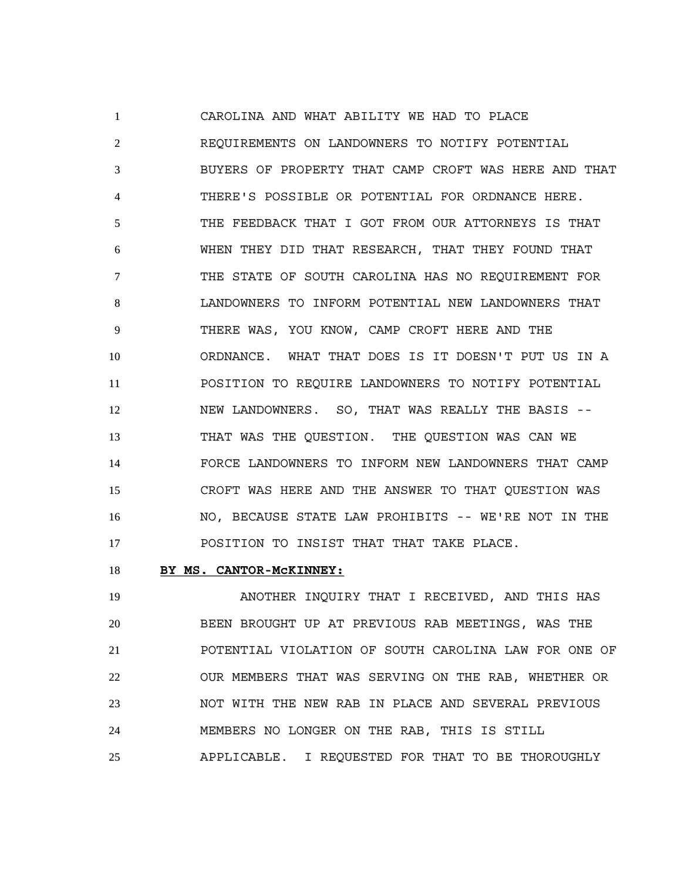CAROLINA AND WHAT ABILITY WE HAD TO PLACE REQUIREMENTS ON LANDOWNERS TO NOTIFY POTENTIAL BUYERS OF PROPERTY THAT CAMP CROFT WAS HERE AND THAT THERE'S POSSIBLE OR POTENTIAL FOR ORDNANCE HERE. THE FEEDBACK THAT I GOT FROM OUR ATTORNEYS IS THAT WHEN THEY DID THAT RESEARCH, THAT THEY FOUND THAT THE STATE OF SOUTH CAROLINA HAS NO REQUIREMENT FOR LANDOWNERS TO INFORM POTENTIAL NEW LANDOWNERS THAT THERE WAS, YOU KNOW, CAMP CROFT HERE AND THE ORDNANCE. WHAT THAT DOES IS IT DOESN'T PUT US IN A POSITION TO REQUIRE LANDOWNERS TO NOTIFY POTENTIAL 12 NEW LANDOWNERS. SO, THAT WAS REALLY THE BASIS -- THAT WAS THE QUESTION. THE QUESTION WAS CAN WE FORCE LANDOWNERS TO INFORM NEW LANDOWNERS THAT CAMP CROFT WAS HERE AND THE ANSWER TO THAT QUESTION WAS NO, BECAUSE STATE LAW PROHIBITS -- WE'RE NOT IN THE POSITION TO INSIST THAT THAT TAKE PLACE.

### **BY MS. CANTOR-McKINNEY:**

 ANOTHER INQUIRY THAT I RECEIVED, AND THIS HAS BEEN BROUGHT UP AT PREVIOUS RAB MEETINGS, WAS THE POTENTIAL VIOLATION OF SOUTH CAROLINA LAW FOR ONE OF OUR MEMBERS THAT WAS SERVING ON THE RAB, WHETHER OR NOT WITH THE NEW RAB IN PLACE AND SEVERAL PREVIOUS MEMBERS NO LONGER ON THE RAB, THIS IS STILL APPLICABLE. I REQUESTED FOR THAT TO BE THOROUGHLY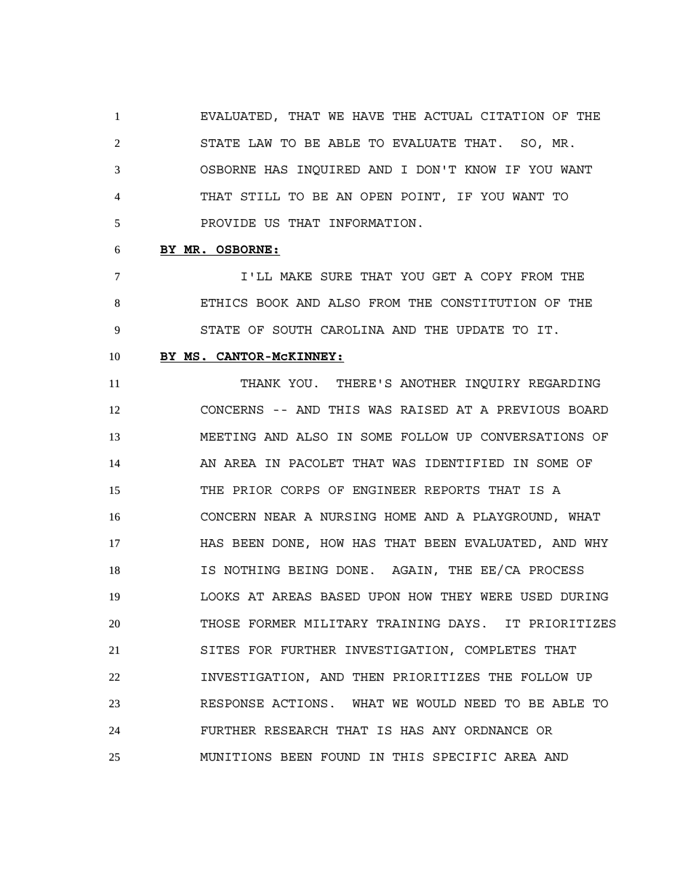EVALUATED, THAT WE HAVE THE ACTUAL CITATION OF THE STATE LAW TO BE ABLE TO EVALUATE THAT. SO, MR. OSBORNE HAS INQUIRED AND I DON'T KNOW IF YOU WANT THAT STILL TO BE AN OPEN POINT, IF YOU WANT TO PROVIDE US THAT INFORMATION.

#### **BY MR. OSBORNE:**

 I'LL MAKE SURE THAT YOU GET A COPY FROM THE ETHICS BOOK AND ALSO FROM THE CONSTITUTION OF THE STATE OF SOUTH CAROLINA AND THE UPDATE TO IT.

#### **BY MS. CANTOR-McKINNEY:**

 THANK YOU. THERE'S ANOTHER INQUIRY REGARDING CONCERNS -- AND THIS WAS RAISED AT A PREVIOUS BOARD MEETING AND ALSO IN SOME FOLLOW UP CONVERSATIONS OF AN AREA IN PACOLET THAT WAS IDENTIFIED IN SOME OF THE PRIOR CORPS OF ENGINEER REPORTS THAT IS A CONCERN NEAR A NURSING HOME AND A PLAYGROUND, WHAT HAS BEEN DONE, HOW HAS THAT BEEN EVALUATED, AND WHY IS NOTHING BEING DONE. AGAIN, THE EE/CA PROCESS LOOKS AT AREAS BASED UPON HOW THEY WERE USED DURING THOSE FORMER MILITARY TRAINING DAYS. IT PRIORITIZES SITES FOR FURTHER INVESTIGATION, COMPLETES THAT INVESTIGATION, AND THEN PRIORITIZES THE FOLLOW UP RESPONSE ACTIONS. WHAT WE WOULD NEED TO BE ABLE TO FURTHER RESEARCH THAT IS HAS ANY ORDNANCE OR MUNITIONS BEEN FOUND IN THIS SPECIFIC AREA AND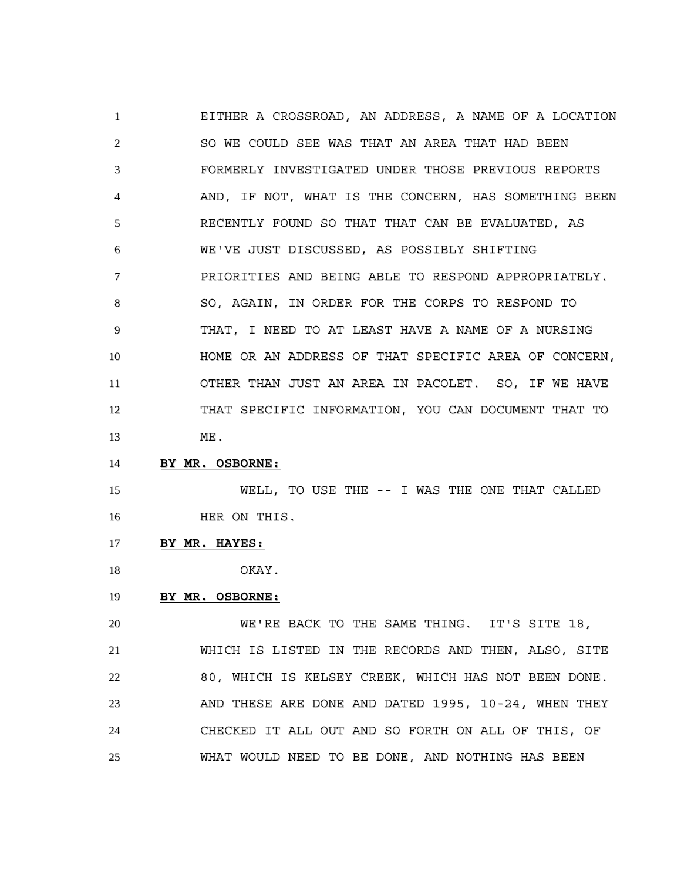EITHER A CROSSROAD, AN ADDRESS, A NAME OF A LOCATION SO WE COULD SEE WAS THAT AN AREA THAT HAD BEEN FORMERLY INVESTIGATED UNDER THOSE PREVIOUS REPORTS AND, IF NOT, WHAT IS THE CONCERN, HAS SOMETHING BEEN RECENTLY FOUND SO THAT THAT CAN BE EVALUATED, AS WE'VE JUST DISCUSSED, AS POSSIBLY SHIFTING PRIORITIES AND BEING ABLE TO RESPOND APPROPRIATELY. SO, AGAIN, IN ORDER FOR THE CORPS TO RESPOND TO THAT, I NEED TO AT LEAST HAVE A NAME OF A NURSING HOME OR AN ADDRESS OF THAT SPECIFIC AREA OF CONCERN, OTHER THAN JUST AN AREA IN PACOLET. SO, IF WE HAVE THAT SPECIFIC INFORMATION, YOU CAN DOCUMENT THAT TO ME.

**BY MR. OSBORNE:**

 WELL, TO USE THE -- I WAS THE ONE THAT CALLED 16 HER ON THIS.

**BY MR. HAYES:**

OKAY.

## **BY MR. OSBORNE:**

 WE'RE BACK TO THE SAME THING. IT'S SITE 18, WHICH IS LISTED IN THE RECORDS AND THEN, ALSO, SITE 80, WHICH IS KELSEY CREEK, WHICH HAS NOT BEEN DONE. AND THESE ARE DONE AND DATED 1995, 10-24, WHEN THEY CHECKED IT ALL OUT AND SO FORTH ON ALL OF THIS, OF WHAT WOULD NEED TO BE DONE, AND NOTHING HAS BEEN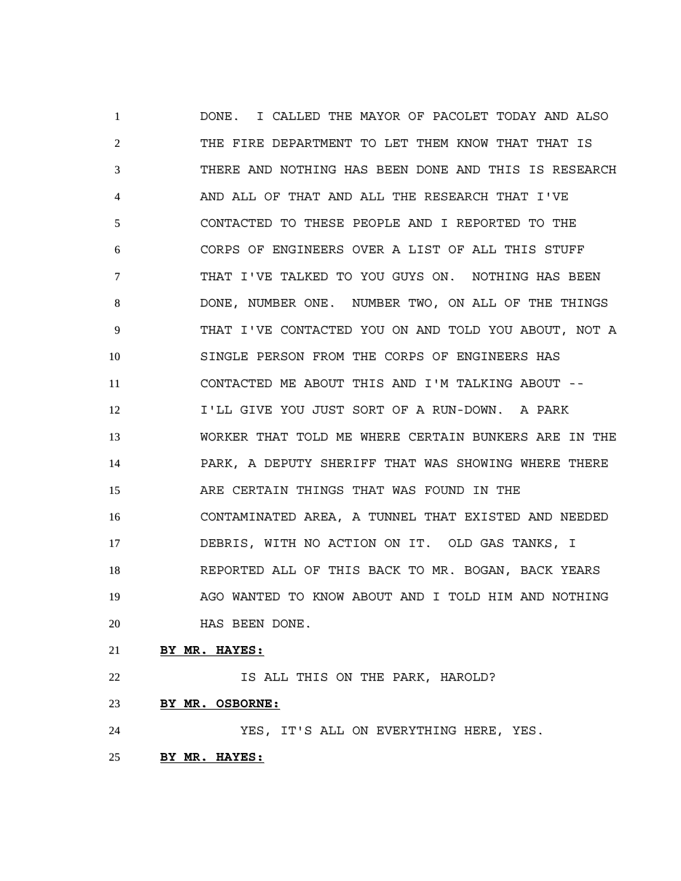DONE. I CALLED THE MAYOR OF PACOLET TODAY AND ALSO THE FIRE DEPARTMENT TO LET THEM KNOW THAT THAT IS THERE AND NOTHING HAS BEEN DONE AND THIS IS RESEARCH AND ALL OF THAT AND ALL THE RESEARCH THAT I'VE CONTACTED TO THESE PEOPLE AND I REPORTED TO THE CORPS OF ENGINEERS OVER A LIST OF ALL THIS STUFF THAT I'VE TALKED TO YOU GUYS ON. NOTHING HAS BEEN DONE, NUMBER ONE. NUMBER TWO, ON ALL OF THE THINGS THAT I'VE CONTACTED YOU ON AND TOLD YOU ABOUT, NOT A SINGLE PERSON FROM THE CORPS OF ENGINEERS HAS CONTACTED ME ABOUT THIS AND I'M TALKING ABOUT -- I'LL GIVE YOU JUST SORT OF A RUN-DOWN. A PARK WORKER THAT TOLD ME WHERE CERTAIN BUNKERS ARE IN THE PARK, A DEPUTY SHERIFF THAT WAS SHOWING WHERE THERE ARE CERTAIN THINGS THAT WAS FOUND IN THE CONTAMINATED AREA, A TUNNEL THAT EXISTED AND NEEDED DEBRIS, WITH NO ACTION ON IT. OLD GAS TANKS, I REPORTED ALL OF THIS BACK TO MR. BOGAN, BACK YEARS AGO WANTED TO KNOW ABOUT AND I TOLD HIM AND NOTHING HAS BEEN DONE.

### **BY MR. HAYES:**

**IS ALL THIS ON THE PARK, HAROLD?** 

**BY MR. OSBORNE:**

YES, IT'S ALL ON EVERYTHING HERE, YES.

**BY MR. HAYES:**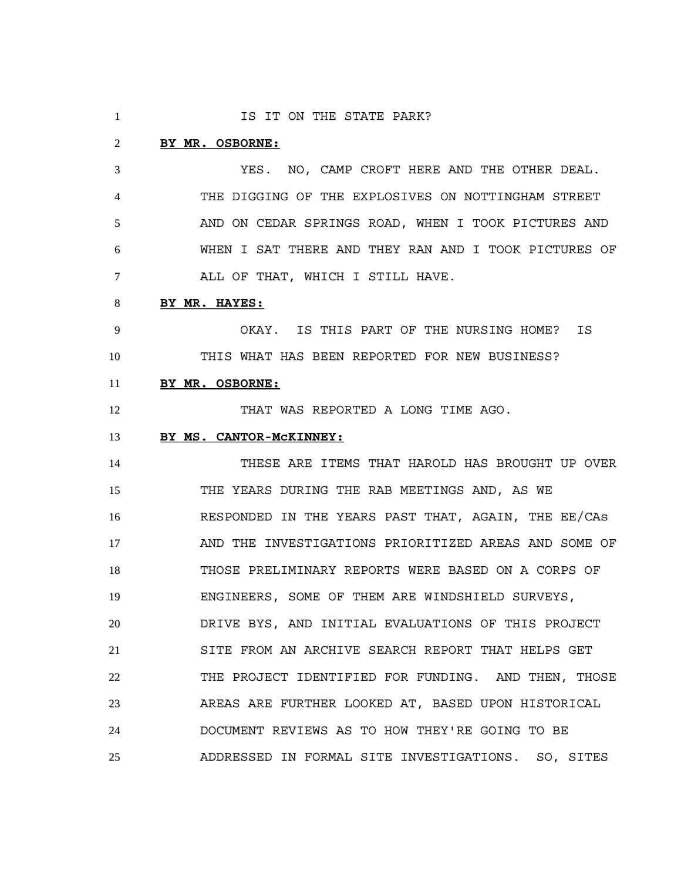| $\mathbf{1}$ | IS IT ON THE STATE PARK?                             |
|--------------|------------------------------------------------------|
| 2            | BY MR. OSBORNE:                                      |
| 3            | YES. NO, CAMP CROFT HERE AND THE OTHER DEAL.         |
| 4            | THE DIGGING OF THE EXPLOSIVES ON NOTTINGHAM STREET   |
| 5            | AND ON CEDAR SPRINGS ROAD, WHEN I TOOK PICTURES AND  |
| 6            | WHEN I SAT THERE AND THEY RAN AND I TOOK PICTURES OF |
| 7            | ALL OF THAT, WHICH I STILL HAVE.                     |
| 8            | BY MR. HAYES:                                        |
| 9            | OKAY. IS THIS PART OF THE NURSING HOME? IS           |
| 10           | THIS WHAT HAS BEEN REPORTED FOR NEW BUSINESS?        |
| 11           | BY MR. OSBORNE:                                      |
| 12           | THAT WAS REPORTED A LONG TIME AGO.                   |
| 13           | BY MS. CANTOR-MCKINNEY:                              |
| 14           | THESE ARE ITEMS THAT HAROLD HAS BROUGHT UP OVER      |
| 15           | THE YEARS DURING THE RAB MEETINGS AND, AS WE         |
| 16           | RESPONDED IN THE YEARS PAST THAT, AGAIN, THE EE/CAs  |
| 17           | AND THE INVESTIGATIONS PRIORITIZED AREAS AND SOME OF |
| 18           | THOSE PRELIMINARY REPORTS WERE BASED ON A CORPS OF   |
| 19           | ENGINEERS, SOME OF THEM ARE WINDSHIELD SURVEYS,      |
| 20           | DRIVE BYS, AND INITIAL EVALUATIONS OF THIS PROJECT   |
| 21           | SITE FROM AN ARCHIVE SEARCH REPORT THAT HELPS GET    |
| 22           | THE PROJECT IDENTIFIED FOR FUNDING. AND THEN, THOSE  |
| 23           | AREAS ARE FURTHER LOOKED AT, BASED UPON HISTORICAL   |
| 24           | DOCUMENT REVIEWS AS TO HOW THEY'RE GOING TO BE       |
| 25           | ADDRESSED IN FORMAL SITE INVESTIGATIONS. SO, SITES   |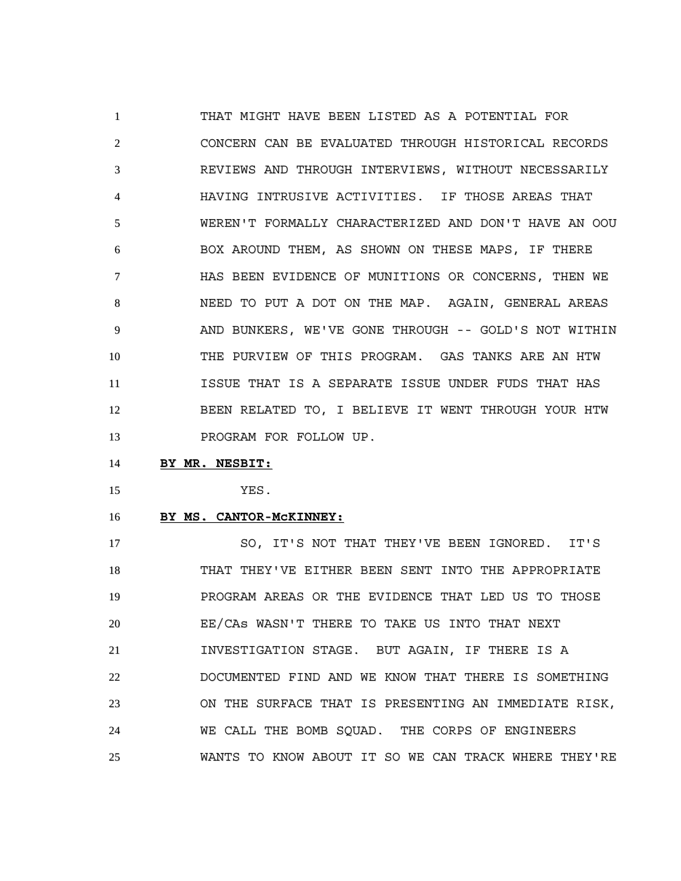THAT MIGHT HAVE BEEN LISTED AS A POTENTIAL FOR CONCERN CAN BE EVALUATED THROUGH HISTORICAL RECORDS REVIEWS AND THROUGH INTERVIEWS, WITHOUT NECESSARILY HAVING INTRUSIVE ACTIVITIES. IF THOSE AREAS THAT WEREN'T FORMALLY CHARACTERIZED AND DON'T HAVE AN OOU BOX AROUND THEM, AS SHOWN ON THESE MAPS, IF THERE HAS BEEN EVIDENCE OF MUNITIONS OR CONCERNS, THEN WE NEED TO PUT A DOT ON THE MAP. AGAIN, GENERAL AREAS AND BUNKERS, WE'VE GONE THROUGH -- GOLD'S NOT WITHIN THE PURVIEW OF THIS PROGRAM. GAS TANKS ARE AN HTW ISSUE THAT IS A SEPARATE ISSUE UNDER FUDS THAT HAS BEEN RELATED TO, I BELIEVE IT WENT THROUGH YOUR HTW 13 PROGRAM FOR FOLLOW UP.

#### **BY MR. NESBIT:**

YES.

#### **BY MS. CANTOR-McKINNEY:**

17 SO, IT'S NOT THAT THEY'VE BEEN IGNORED. IT'S THAT THEY'VE EITHER BEEN SENT INTO THE APPROPRIATE PROGRAM AREAS OR THE EVIDENCE THAT LED US TO THOSE EE/CAs WASN'T THERE TO TAKE US INTO THAT NEXT INVESTIGATION STAGE. BUT AGAIN, IF THERE IS A DOCUMENTED FIND AND WE KNOW THAT THERE IS SOMETHING ON THE SURFACE THAT IS PRESENTING AN IMMEDIATE RISK, WE CALL THE BOMB SQUAD. THE CORPS OF ENGINEERS WANTS TO KNOW ABOUT IT SO WE CAN TRACK WHERE THEY'RE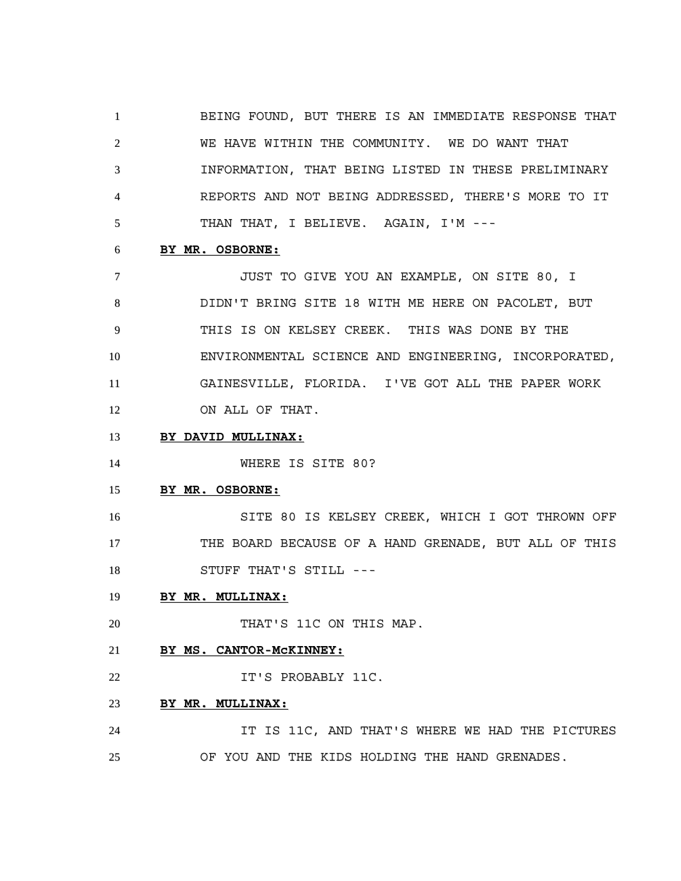BEING FOUND, BUT THERE IS AN IMMEDIATE RESPONSE THAT WE HAVE WITHIN THE COMMUNITY. WE DO WANT THAT INFORMATION, THAT BEING LISTED IN THESE PRELIMINARY REPORTS AND NOT BEING ADDRESSED, THERE'S MORE TO IT THAN THAT, I BELIEVE. AGAIN, I'M ---

#### **BY MR. OSBORNE:**

 JUST TO GIVE YOU AN EXAMPLE, ON SITE 80, I DIDN'T BRING SITE 18 WITH ME HERE ON PACOLET, BUT THIS IS ON KELSEY CREEK. THIS WAS DONE BY THE ENVIRONMENTAL SCIENCE AND ENGINEERING, INCORPORATED, GAINESVILLE, FLORIDA. I'VE GOT ALL THE PAPER WORK ON ALL OF THAT.

### **BY DAVID MULLINAX:**

14 WHERE IS SITE 80?

#### **BY MR. OSBORNE:**

 SITE 80 IS KELSEY CREEK, WHICH I GOT THROWN OFF THE BOARD BECAUSE OF A HAND GRENADE, BUT ALL OF THIS 18 STUFF THAT'S STILL ---

### **BY MR. MULLINAX:**

20 THAT'S 11C ON THIS MAP.

### **BY MS. CANTOR-McKINNEY:**

**IT'S PROBABLY 11C.** 

# **BY MR. MULLINAX:**

 IT IS 11C, AND THAT'S WHERE WE HAD THE PICTURES OF YOU AND THE KIDS HOLDING THE HAND GRENADES.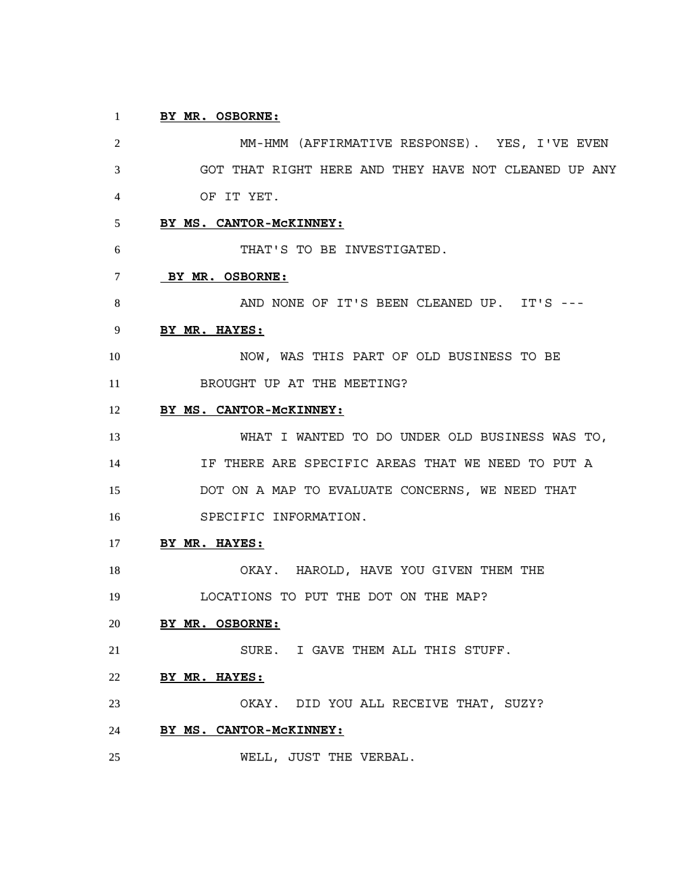# **BY MR. OSBORNE:**

 MM-HMM (AFFIRMATIVE RESPONSE). YES, I'VE EVEN GOT THAT RIGHT HERE AND THEY HAVE NOT CLEANED UP ANY OF IT YET. **BY MS. CANTOR-McKINNEY:** THAT'S TO BE INVESTIGATED. **BY MR. OSBORNE:** 8 AND NONE OF IT'S BEEN CLEANED UP. IT'S --- **BY MR. HAYES:** NOW, WAS THIS PART OF OLD BUSINESS TO BE 11 BROUGHT UP AT THE MEETING? **BY MS. CANTOR-McKINNEY:** WHAT I WANTED TO DO UNDER OLD BUSINESS WAS TO, IF THERE ARE SPECIFIC AREAS THAT WE NEED TO PUT A DOT ON A MAP TO EVALUATE CONCERNS, WE NEED THAT SPECIFIC INFORMATION. **BY MR. HAYES:** OKAY. HAROLD, HAVE YOU GIVEN THEM THE LOCATIONS TO PUT THE DOT ON THE MAP? **BY MR. OSBORNE:** SURE. I GAVE THEM ALL THIS STUFF. **BY MR. HAYES:** OKAY. DID YOU ALL RECEIVE THAT, SUZY? **BY MS. CANTOR-McKINNEY:**

WELL, JUST THE VERBAL.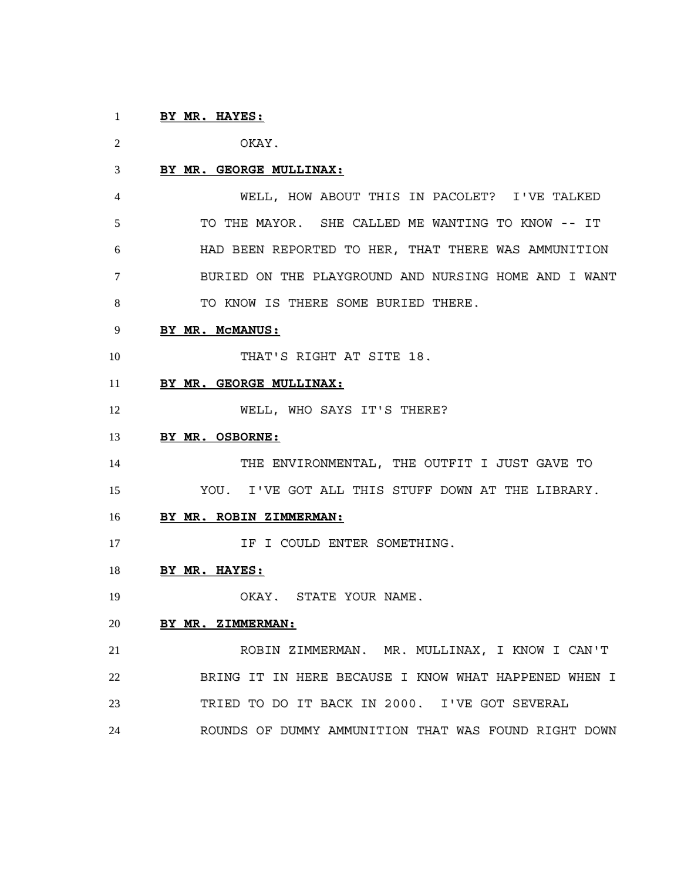# **BY MR. HAYES:**

OKAY.

#### **BY MR. GEORGE MULLINAX:**

 WELL, HOW ABOUT THIS IN PACOLET? I'VE TALKED TO THE MAYOR. SHE CALLED ME WANTING TO KNOW -- IT HAD BEEN REPORTED TO HER, THAT THERE WAS AMMUNITION BURIED ON THE PLAYGROUND AND NURSING HOME AND I WANT TO KNOW IS THERE SOME BURIED THERE.

## **BY MR. McMANUS:**

10 THAT'S RIGHT AT SITE 18.

### **BY MR. GEORGE MULLINAX:**

12 WELL, WHO SAYS IT'S THERE?

### **BY MR. OSBORNE:**

 THE ENVIRONMENTAL, THE OUTFIT I JUST GAVE TO YOU. I'VE GOT ALL THIS STUFF DOWN AT THE LIBRARY.

#### **BY MR. ROBIN ZIMMERMAN:**

**IF I COULD ENTER SOMETHING.** 

### **BY MR. HAYES:**

19 OKAY. STATE YOUR NAME.

#### **BY MR. ZIMMERMAN:**

 ROBIN ZIMMERMAN. MR. MULLINAX, I KNOW I CAN'T BRING IT IN HERE BECAUSE I KNOW WHAT HAPPENED WHEN I TRIED TO DO IT BACK IN 2000. I'VE GOT SEVERAL ROUNDS OF DUMMY AMMUNITION THAT WAS FOUND RIGHT DOWN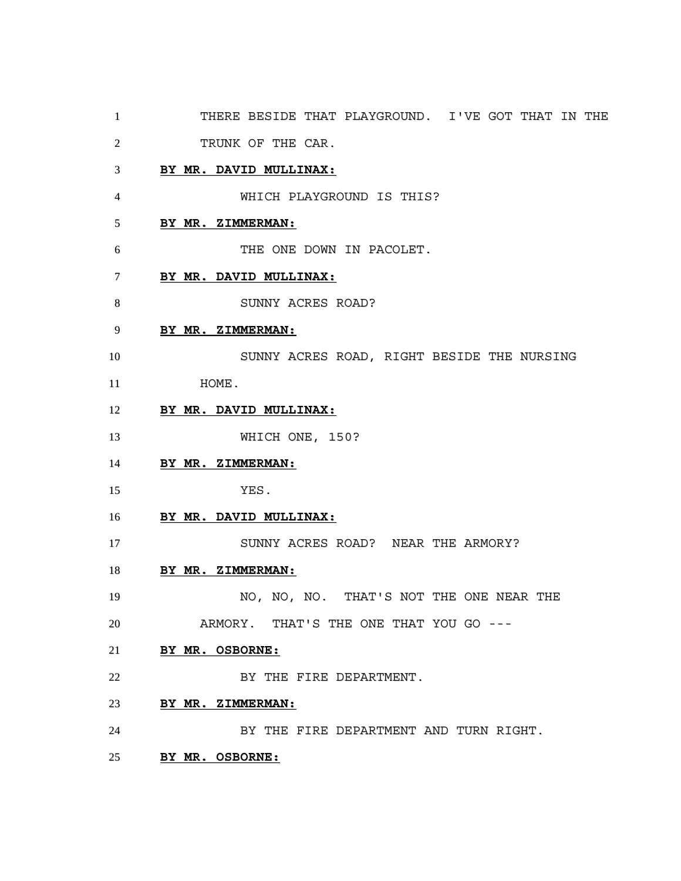- THERE BESIDE THAT PLAYGROUND. I'VE GOT THAT IN THE
- 2 TRUNK OF THE CAR.

## **BY MR. DAVID MULLINAX:**

WHICH PLAYGROUND IS THIS?

# **BY MR. ZIMMERMAN:**

THE ONE DOWN IN PACOLET.

- **BY MR. DAVID MULLINAX:**
- 8 SUNNY ACRES ROAD?

## **BY MR. ZIMMERMAN:**

- SUNNY ACRES ROAD, RIGHT BESIDE THE NURSING 11 HOME.
- **BY MR. DAVID MULLINAX:**
- **WHICH ONE, 150?**
- **BY MR. ZIMMERMAN:**
- YES.
- **BY MR. DAVID MULLINAX:**
- 17 SUNNY ACRES ROAD? NEAR THE ARMORY?
- **BY MR. ZIMMERMAN:**
- 19 NO, NO, NO. THAT'S NOT THE ONE NEAR THE ARMORY. THAT'S THE ONE THAT YOU GO ---
- **BY MR. OSBORNE:**
- 22 BY THE FIRE DEPARTMENT.
- **BY MR. ZIMMERMAN:**
- BY THE FIRE DEPARTMENT AND TURN RIGHT.
- **BY MR. OSBORNE:**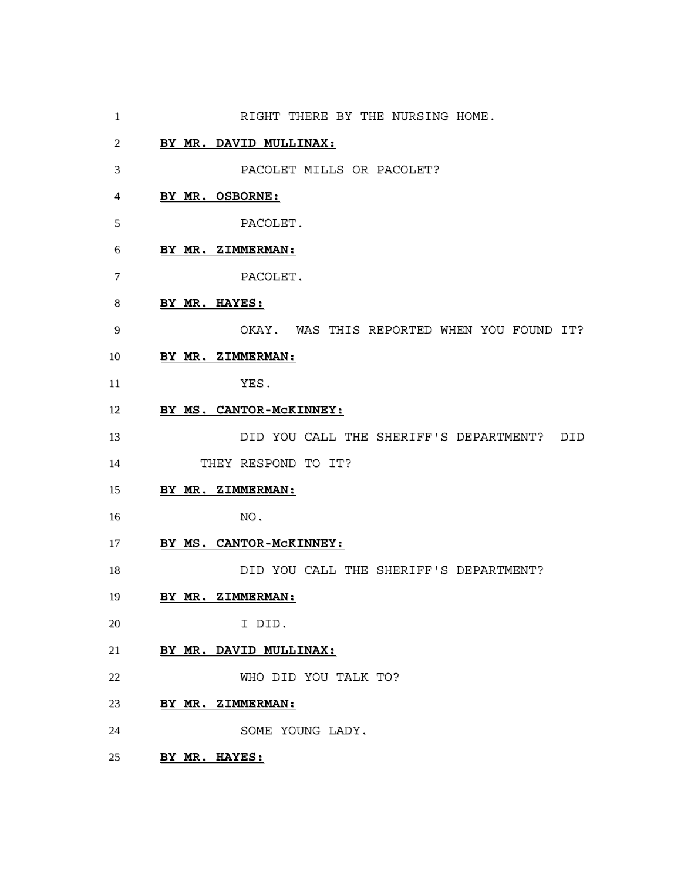- 1 RIGHT THERE BY THE NURSING HOME. **BY MR. DAVID MULLINAX:** PACOLET MILLS OR PACOLET? **BY MR. OSBORNE:** PACOLET. **BY MR. ZIMMERMAN:** PACOLET. **BY MR. HAYES:** OKAY. WAS THIS REPORTED WHEN YOU FOUND IT? **BY MR. ZIMMERMAN:** YES. **BY MS. CANTOR-McKINNEY:** DID YOU CALL THE SHERIFF'S DEPARTMENT? DID THEY RESPOND TO IT? **BY MR. ZIMMERMAN:** NO. **BY MS. CANTOR-McKINNEY:** DID YOU CALL THE SHERIFF'S DEPARTMENT? **BY MR. ZIMMERMAN:** I DID. **BY MR. DAVID MULLINAX:** WHO DID YOU TALK TO? **BY MR. ZIMMERMAN:** SOME YOUNG LADY.
- **BY MR. HAYES:**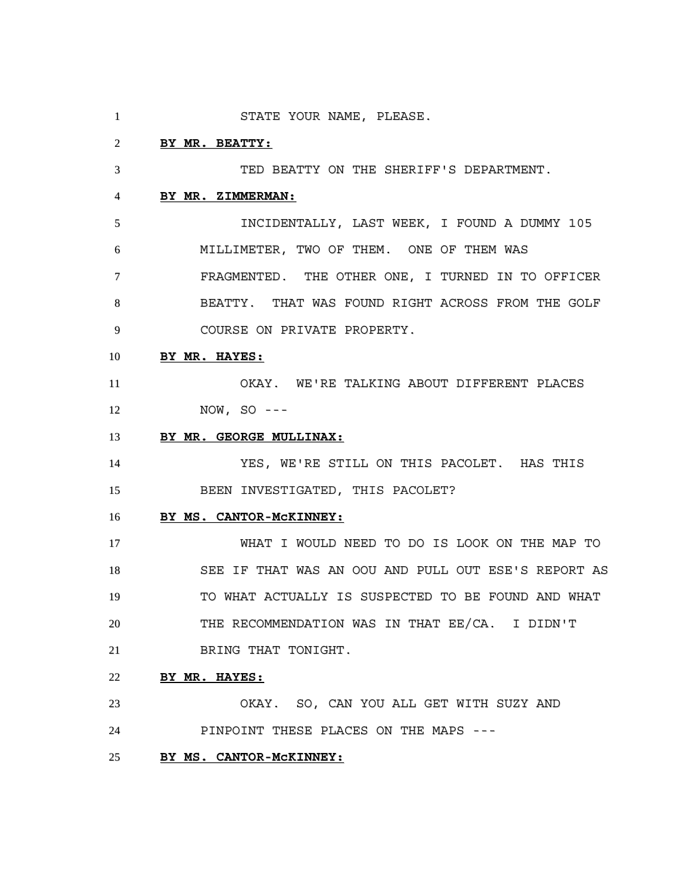STATE YOUR NAME, PLEASE. **BY MR. BEATTY:** TED BEATTY ON THE SHERIFF'S DEPARTMENT. **BY MR. ZIMMERMAN:** INCIDENTALLY, LAST WEEK, I FOUND A DUMMY 105 MILLIMETER, TWO OF THEM. ONE OF THEM WAS FRAGMENTED. THE OTHER ONE, I TURNED IN TO OFFICER BEATTY. THAT WAS FOUND RIGHT ACROSS FROM THE GOLF COURSE ON PRIVATE PROPERTY. **BY MR. HAYES:** OKAY. WE'RE TALKING ABOUT DIFFERENT PLACES NOW, SO --- **BY MR. GEORGE MULLINAX:** YES, WE'RE STILL ON THIS PACOLET. HAS THIS BEEN INVESTIGATED, THIS PACOLET? **BY MS. CANTOR-McKINNEY:** WHAT I WOULD NEED TO DO IS LOOK ON THE MAP TO SEE IF THAT WAS AN OOU AND PULL OUT ESE'S REPORT AS TO WHAT ACTUALLY IS SUSPECTED TO BE FOUND AND WHAT THE RECOMMENDATION WAS IN THAT EE/CA. I DIDN'T BRING THAT TONIGHT. **BY MR. HAYES:** OKAY. SO, CAN YOU ALL GET WITH SUZY AND PINPOINT THESE PLACES ON THE MAPS --- **BY MS. CANTOR-McKINNEY:**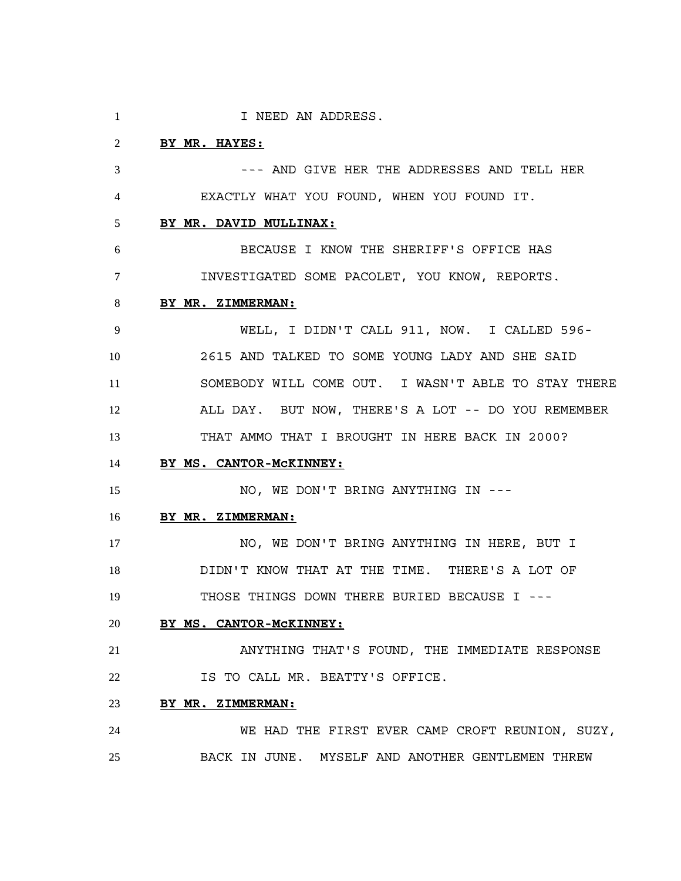1 I NEED AN ADDRESS. **BY MR. HAYES:** --- AND GIVE HER THE ADDRESSES AND TELL HER EXACTLY WHAT YOU FOUND, WHEN YOU FOUND IT. **BY MR. DAVID MULLINAX:** BECAUSE I KNOW THE SHERIFF'S OFFICE HAS INVESTIGATED SOME PACOLET, YOU KNOW, REPORTS. **BY MR. ZIMMERMAN:** WELL, I DIDN'T CALL 911, NOW. I CALLED 596- 2615 AND TALKED TO SOME YOUNG LADY AND SHE SAID SOMEBODY WILL COME OUT. I WASN'T ABLE TO STAY THERE ALL DAY. BUT NOW, THERE'S A LOT -- DO YOU REMEMBER THAT AMMO THAT I BROUGHT IN HERE BACK IN 2000? **BY MS. CANTOR-McKINNEY:** 15 NO, WE DON'T BRING ANYTHING IN --- **BY MR. ZIMMERMAN:** 17 NO, WE DON'T BRING ANYTHING IN HERE, BUT I DIDN'T KNOW THAT AT THE TIME. THERE'S A LOT OF THOSE THINGS DOWN THERE BURIED BECAUSE I --- **BY MS. CANTOR-McKINNEY:** ANYTHING THAT'S FOUND, THE IMMEDIATE RESPONSE IS TO CALL MR. BEATTY'S OFFICE. **BY MR. ZIMMERMAN:** WE HAD THE FIRST EVER CAMP CROFT REUNION, SUZY, BACK IN JUNE. MYSELF AND ANOTHER GENTLEMEN THREW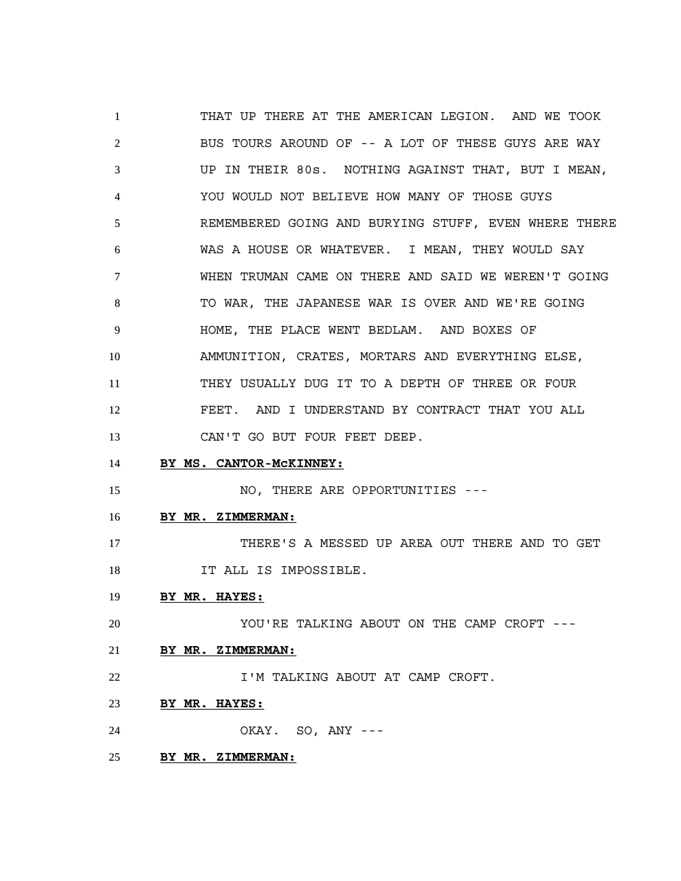THAT UP THERE AT THE AMERICAN LEGION. AND WE TOOK BUS TOURS AROUND OF -- A LOT OF THESE GUYS ARE WAY UP IN THEIR 80s. NOTHING AGAINST THAT, BUT I MEAN, YOU WOULD NOT BELIEVE HOW MANY OF THOSE GUYS REMEMBERED GOING AND BURYING STUFF, EVEN WHERE THERE WAS A HOUSE OR WHATEVER. I MEAN, THEY WOULD SAY WHEN TRUMAN CAME ON THERE AND SAID WE WEREN'T GOING 8 TO WAR, THE JAPANESE WAR IS OVER AND WE'RE GOING HOME, THE PLACE WENT BEDLAM. AND BOXES OF AMMUNITION, CRATES, MORTARS AND EVERYTHING ELSE, THEY USUALLY DUG IT TO A DEPTH OF THREE OR FOUR FEET. AND I UNDERSTAND BY CONTRACT THAT YOU ALL 13 CAN'T GO BUT FOUR FEET DEEP. **BY MS. CANTOR-McKINNEY:** 15 NO, THERE ARE OPPORTUNITIES --- **BY MR. ZIMMERMAN:** THERE'S A MESSED UP AREA OUT THERE AND TO GET 18 IT ALL IS IMPOSSIBLE. **BY MR. HAYES:** YOU'RE TALKING ABOUT ON THE CAMP CROFT --- **BY MR. ZIMMERMAN:** 22 I'M TALKING ABOUT AT CAMP CROFT. **BY MR. HAYES:** OKAY. SO, ANY --- **BY MR. ZIMMERMAN:**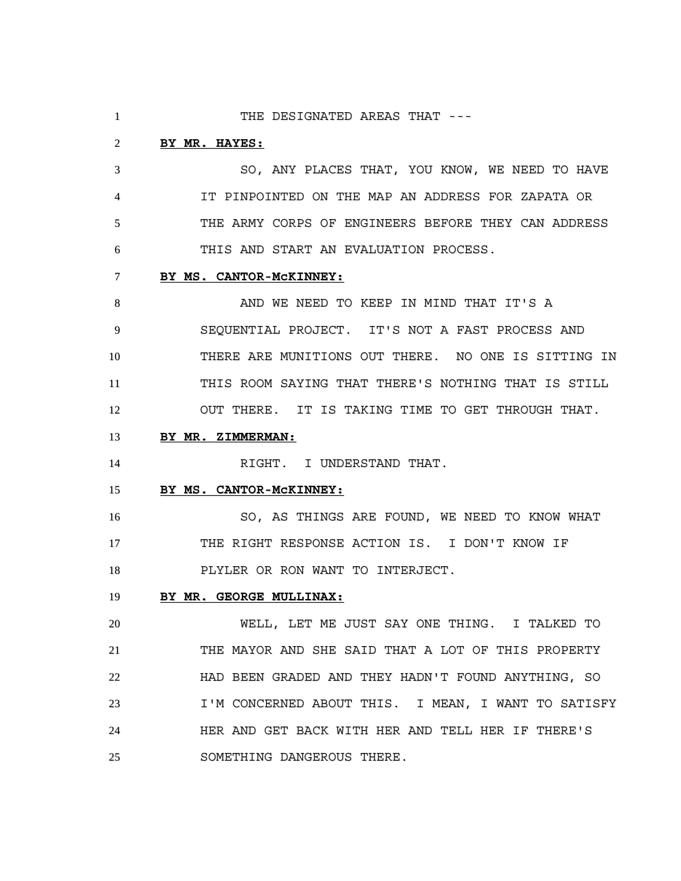1 THE DESIGNATED AREAS THAT ---

### **BY MR. HAYES:**

 SO, ANY PLACES THAT, YOU KNOW, WE NEED TO HAVE IT PINPOINTED ON THE MAP AN ADDRESS FOR ZAPATA OR THE ARMY CORPS OF ENGINEERS BEFORE THEY CAN ADDRESS THIS AND START AN EVALUATION PROCESS.

### **BY MS. CANTOR-McKINNEY:**

8 AND WE NEED TO KEEP IN MIND THAT IT'S A SEQUENTIAL PROJECT. IT'S NOT A FAST PROCESS AND THERE ARE MUNITIONS OUT THERE. NO ONE IS SITTING IN THIS ROOM SAYING THAT THERE'S NOTHING THAT IS STILL OUT THERE. IT IS TAKING TIME TO GET THROUGH THAT.

# **BY MR. ZIMMERMAN:**

14 RIGHT. I UNDERSTAND THAT.

#### **BY MS. CANTOR-McKINNEY:**

 SO, AS THINGS ARE FOUND, WE NEED TO KNOW WHAT THE RIGHT RESPONSE ACTION IS. I DON'T KNOW IF PLYLER OR RON WANT TO INTERJECT.

### **BY MR. GEORGE MULLINAX:**

 WELL, LET ME JUST SAY ONE THING. I TALKED TO THE MAYOR AND SHE SAID THAT A LOT OF THIS PROPERTY HAD BEEN GRADED AND THEY HADN'T FOUND ANYTHING, SO I'M CONCERNED ABOUT THIS. I MEAN, I WANT TO SATISFY HER AND GET BACK WITH HER AND TELL HER IF THERE'S SOMETHING DANGEROUS THERE.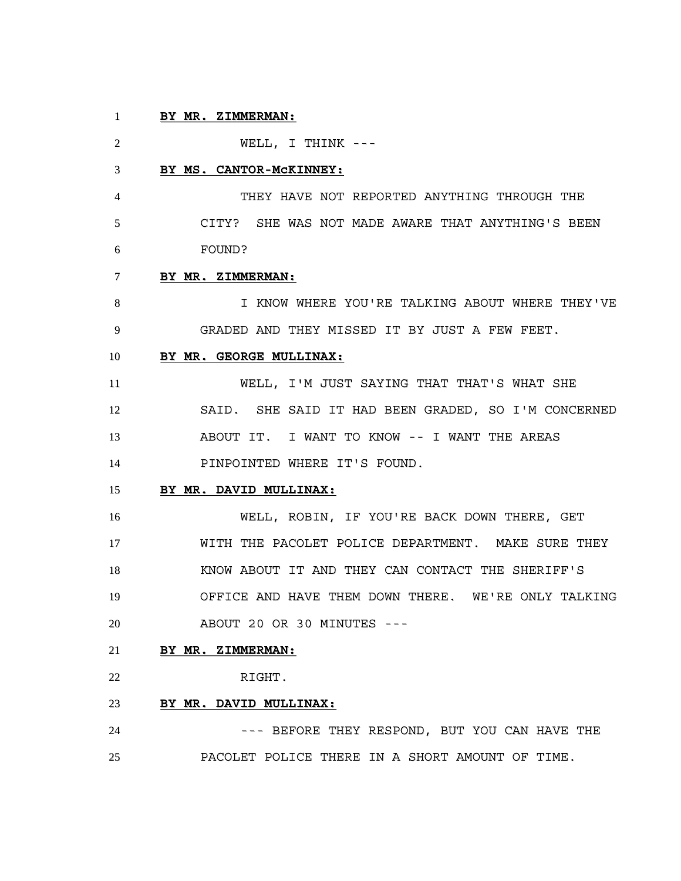# **BY MR. ZIMMERMAN:**

 WELL, I THINK --- **BY MS. CANTOR-McKINNEY:** THEY HAVE NOT REPORTED ANYTHING THROUGH THE CITY? SHE WAS NOT MADE AWARE THAT ANYTHING'S BEEN FOUND? **BY MR. ZIMMERMAN:** I KNOW WHERE YOU'RE TALKING ABOUT WHERE THEY'VE GRADED AND THEY MISSED IT BY JUST A FEW FEET. **BY MR. GEORGE MULLINAX:** WELL, I'M JUST SAYING THAT THAT'S WHAT SHE SAID. SHE SAID IT HAD BEEN GRADED, SO I'M CONCERNED ABOUT IT. I WANT TO KNOW -- I WANT THE AREAS PINPOINTED WHERE IT'S FOUND. **BY MR. DAVID MULLINAX:** WELL, ROBIN, IF YOU'RE BACK DOWN THERE, GET WITH THE PACOLET POLICE DEPARTMENT. MAKE SURE THEY KNOW ABOUT IT AND THEY CAN CONTACT THE SHERIFF'S OFFICE AND HAVE THEM DOWN THERE. WE'RE ONLY TALKING ABOUT 20 OR 30 MINUTES --- **BY MR. ZIMMERMAN:** RIGHT.

# **BY MR. DAVID MULLINAX:**

24 --- BEFORE THEY RESPOND, BUT YOU CAN HAVE THE PACOLET POLICE THERE IN A SHORT AMOUNT OF TIME.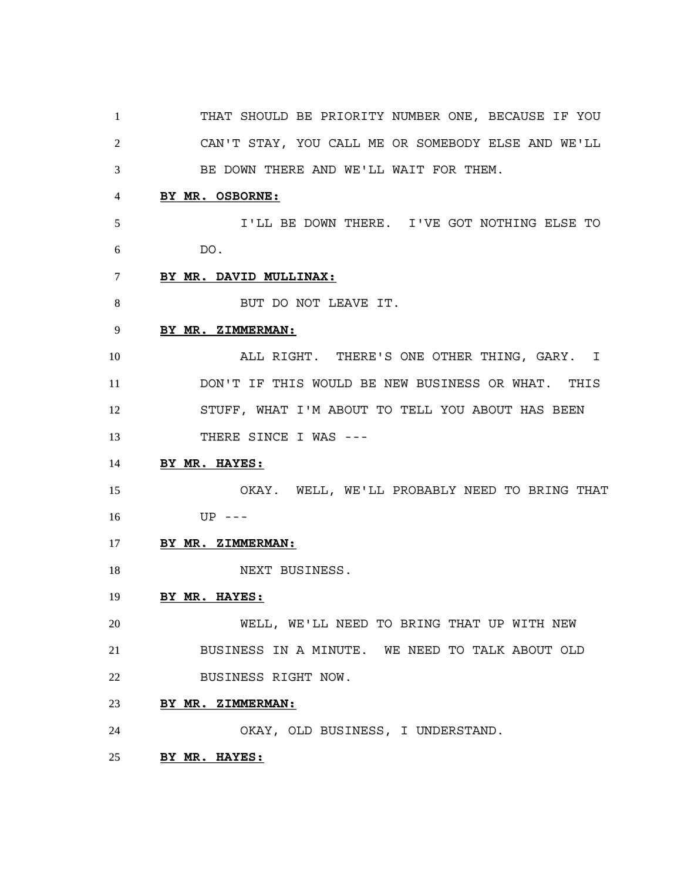THAT SHOULD BE PRIORITY NUMBER ONE, BECAUSE IF YOU CAN'T STAY, YOU CALL ME OR SOMEBODY ELSE AND WE'LL BE DOWN THERE AND WE'LL WAIT FOR THEM.

# **BY MR. OSBORNE:**

 I'LL BE DOWN THERE. I'VE GOT NOTHING ELSE TO DO.

- **BY MR. DAVID MULLINAX:**
- 8 BUT DO NOT LEAVE IT.

### **BY MR. ZIMMERMAN:**

 ALL RIGHT. THERE'S ONE OTHER THING, GARY. I DON'T IF THIS WOULD BE NEW BUSINESS OR WHAT. THIS STUFF, WHAT I'M ABOUT TO TELL YOU ABOUT HAS BEEN 13 THERE SINCE I WAS ---

# **BY MR. HAYES:**

 OKAY. WELL, WE'LL PROBABLY NEED TO BRING THAT UP ---

- **BY MR. ZIMMERMAN:**
- 18 NEXT BUSINESS.

### **BY MR. HAYES:**

 WELL, WE'LL NEED TO BRING THAT UP WITH NEW BUSINESS IN A MINUTE. WE NEED TO TALK ABOUT OLD BUSINESS RIGHT NOW.

**BY MR. ZIMMERMAN:**

OKAY, OLD BUSINESS, I UNDERSTAND.

**BY MR. HAYES:**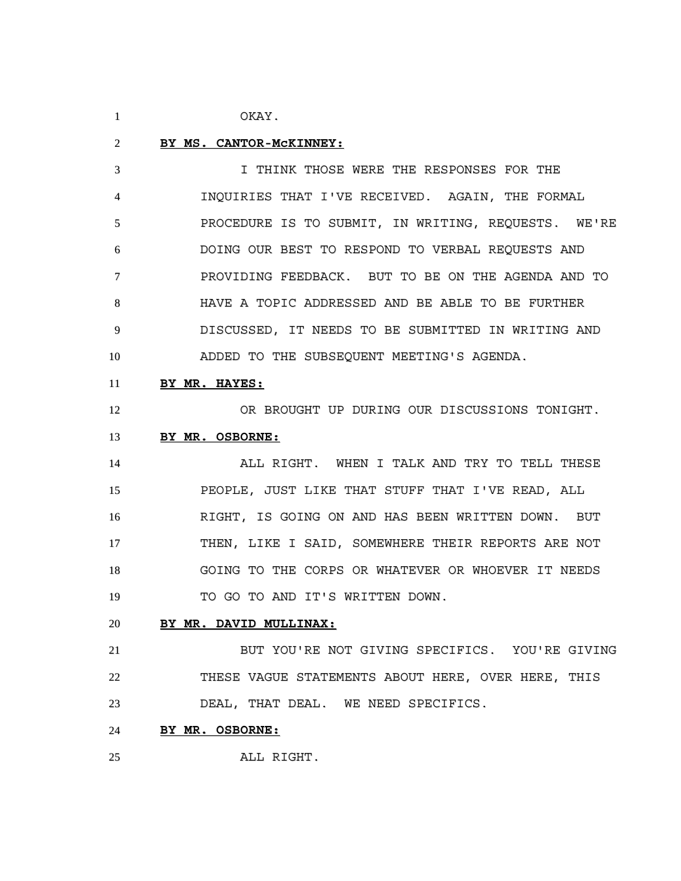OKAY.

#### **BY MS. CANTOR-McKINNEY:**

 I THINK THOSE WERE THE RESPONSES FOR THE INQUIRIES THAT I'VE RECEIVED. AGAIN, THE FORMAL PROCEDURE IS TO SUBMIT, IN WRITING, REQUESTS. WE'RE DOING OUR BEST TO RESPOND TO VERBAL REQUESTS AND PROVIDING FEEDBACK. BUT TO BE ON THE AGENDA AND TO HAVE A TOPIC ADDRESSED AND BE ABLE TO BE FURTHER DISCUSSED, IT NEEDS TO BE SUBMITTED IN WRITING AND ADDED TO THE SUBSEQUENT MEETING'S AGENDA.

# **BY MR. HAYES:**

OR BROUGHT UP DURING OUR DISCUSSIONS TONIGHT.

### **BY MR. OSBORNE:**

 ALL RIGHT. WHEN I TALK AND TRY TO TELL THESE PEOPLE, JUST LIKE THAT STUFF THAT I'VE READ, ALL RIGHT, IS GOING ON AND HAS BEEN WRITTEN DOWN. BUT THEN, LIKE I SAID, SOMEWHERE THEIR REPORTS ARE NOT GOING TO THE CORPS OR WHATEVER OR WHOEVER IT NEEDS 19 TO GO TO AND IT'S WRITTEN DOWN.

## **BY MR. DAVID MULLINAX:**

 BUT YOU'RE NOT GIVING SPECIFICS. YOU'RE GIVING THESE VAGUE STATEMENTS ABOUT HERE, OVER HERE, THIS DEAL, THAT DEAL. WE NEED SPECIFICS.

#### **BY MR. OSBORNE:**

ALL RIGHT.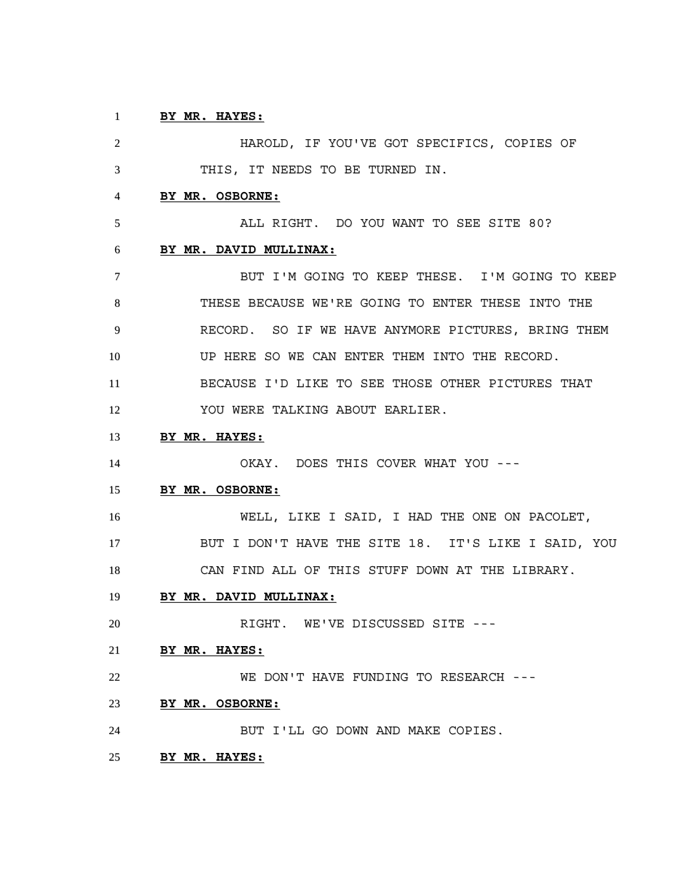# **BY MR. HAYES:**

 HAROLD, IF YOU'VE GOT SPECIFICS, COPIES OF THIS, IT NEEDS TO BE TURNED IN. **BY MR. OSBORNE:** ALL RIGHT. DO YOU WANT TO SEE SITE 80? **BY MR. DAVID MULLINAX:** BUT I'M GOING TO KEEP THESE. I'M GOING TO KEEP THESE BECAUSE WE'RE GOING TO ENTER THESE INTO THE RECORD. SO IF WE HAVE ANYMORE PICTURES, BRING THEM UP HERE SO WE CAN ENTER THEM INTO THE RECORD. BECAUSE I'D LIKE TO SEE THOSE OTHER PICTURES THAT YOU WERE TALKING ABOUT EARLIER. **BY MR. HAYES:** OKAY. DOES THIS COVER WHAT YOU --- **BY MR. OSBORNE:** WELL, LIKE I SAID, I HAD THE ONE ON PACOLET, BUT I DON'T HAVE THE SITE 18. IT'S LIKE I SAID, YOU CAN FIND ALL OF THIS STUFF DOWN AT THE LIBRARY. **BY MR. DAVID MULLINAX:** RIGHT. WE'VE DISCUSSED SITE --- **BY MR. HAYES:** WE DON'T HAVE FUNDING TO RESEARCH --- **BY MR. OSBORNE:** BUT I'LL GO DOWN AND MAKE COPIES.

**BY MR. HAYES:**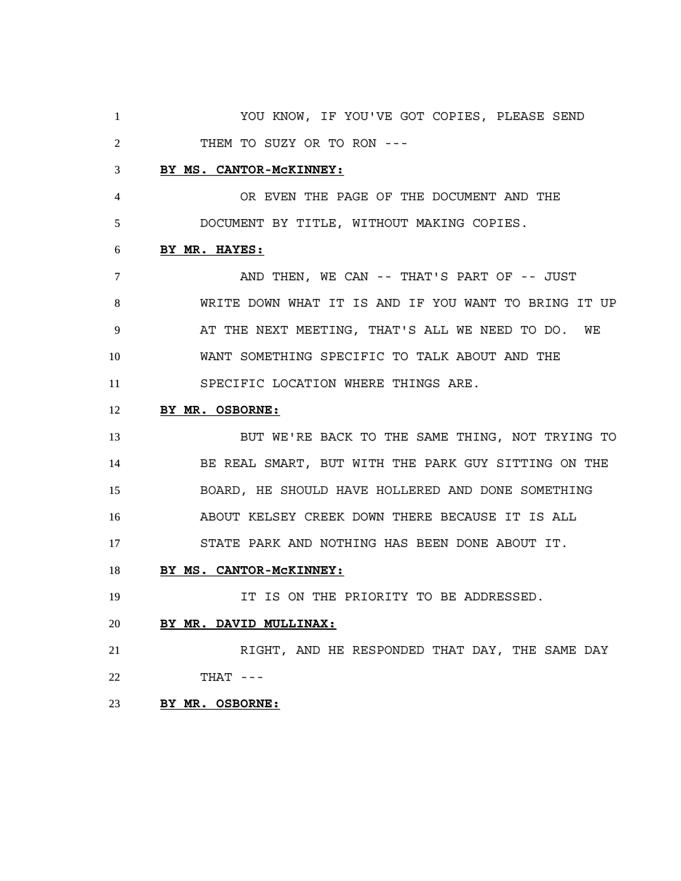YOU KNOW, IF YOU'VE GOT COPIES, PLEASE SEND THEM TO SUZY OR TO RON ---

#### **BY MS. CANTOR-McKINNEY:**

 OR EVEN THE PAGE OF THE DOCUMENT AND THE DOCUMENT BY TITLE, WITHOUT MAKING COPIES.

#### **BY MR. HAYES:**

 AND THEN, WE CAN -- THAT'S PART OF -- JUST WRITE DOWN WHAT IT IS AND IF YOU WANT TO BRING IT UP AT THE NEXT MEETING, THAT'S ALL WE NEED TO DO. WE WANT SOMETHING SPECIFIC TO TALK ABOUT AND THE SPECIFIC LOCATION WHERE THINGS ARE.

# **BY MR. OSBORNE:**

13 BUT WE'RE BACK TO THE SAME THING, NOT TRYING TO BE REAL SMART, BUT WITH THE PARK GUY SITTING ON THE BOARD, HE SHOULD HAVE HOLLERED AND DONE SOMETHING ABOUT KELSEY CREEK DOWN THERE BECAUSE IT IS ALL STATE PARK AND NOTHING HAS BEEN DONE ABOUT IT.

# **BY MS. CANTOR-McKINNEY:**

IT IS ON THE PRIORITY TO BE ADDRESSED.

# **BY MR. DAVID MULLINAX:**

 RIGHT, AND HE RESPONDED THAT DAY, THE SAME DAY THAT ---

# **BY MR. OSBORNE:**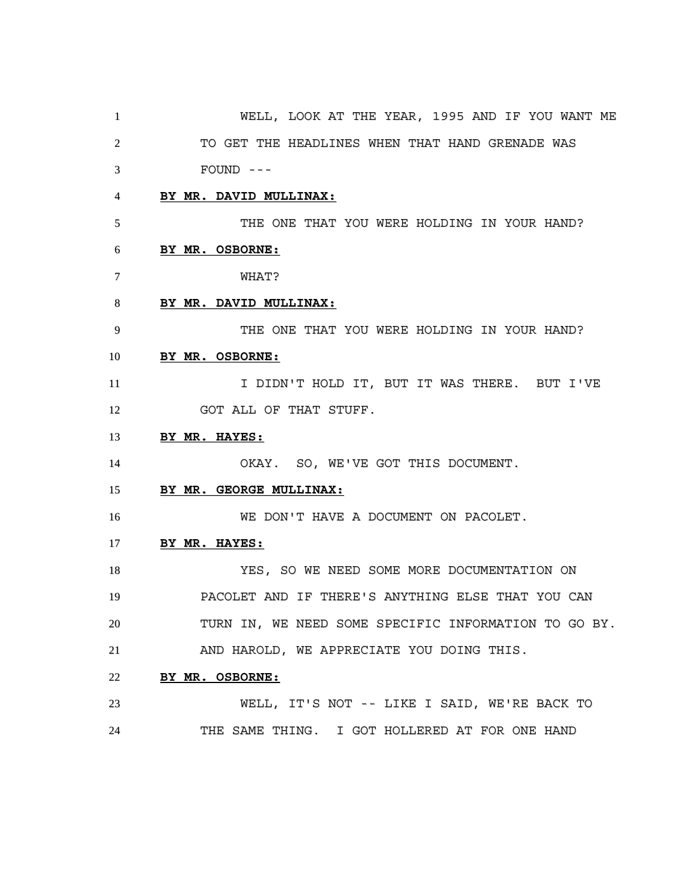WELL, LOOK AT THE YEAR, 1995 AND IF YOU WANT ME TO GET THE HEADLINES WHEN THAT HAND GRENADE WAS FOUND --- **BY MR. DAVID MULLINAX:** THE ONE THAT YOU WERE HOLDING IN YOUR HAND? **BY MR. OSBORNE:** WHAT? **BY MR. DAVID MULLINAX:** THE ONE THAT YOU WERE HOLDING IN YOUR HAND? **BY MR. OSBORNE:** 11 I DIDN'T HOLD IT, BUT IT WAS THERE. BUT I'VE 12 GOT ALL OF THAT STUFF. **BY MR. HAYES:** 14 OKAY. SO, WE'VE GOT THIS DOCUMENT. **BY MR. GEORGE MULLINAX:** WE DON'T HAVE A DOCUMENT ON PACOLET. **BY MR. HAYES:** YES, SO WE NEED SOME MORE DOCUMENTATION ON PACOLET AND IF THERE'S ANYTHING ELSE THAT YOU CAN TURN IN, WE NEED SOME SPECIFIC INFORMATION TO GO BY. AND HAROLD, WE APPRECIATE YOU DOING THIS. **BY MR. OSBORNE:** WELL, IT'S NOT -- LIKE I SAID, WE'RE BACK TO THE SAME THING. I GOT HOLLERED AT FOR ONE HAND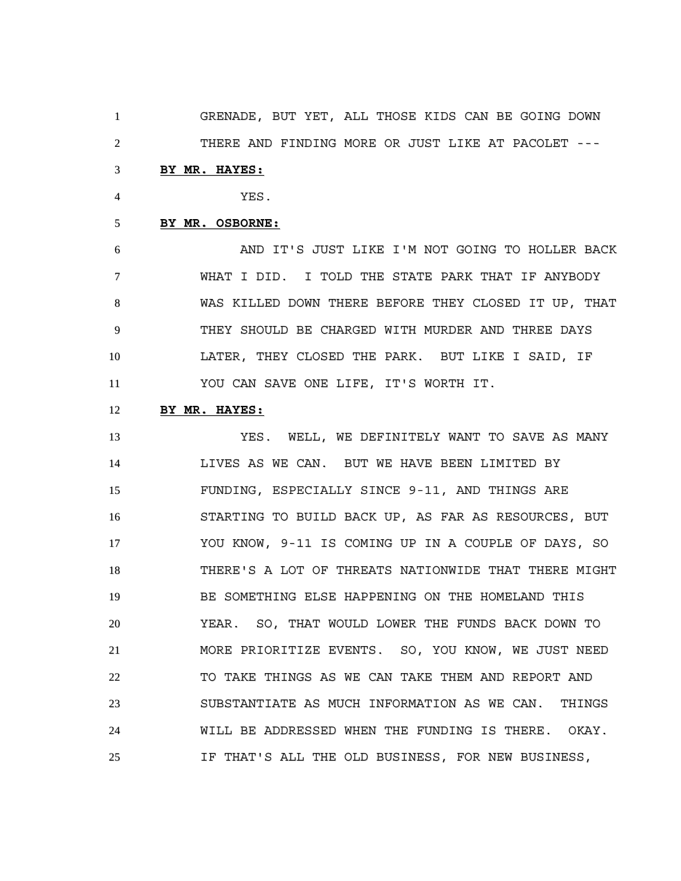GRENADE, BUT YET, ALL THOSE KIDS CAN BE GOING DOWN THERE AND FINDING MORE OR JUST LIKE AT PACOLET ---

# **BY MR. HAYES:**

YES.

# **BY MR. OSBORNE:**

 AND IT'S JUST LIKE I'M NOT GOING TO HOLLER BACK WHAT I DID. I TOLD THE STATE PARK THAT IF ANYBODY WAS KILLED DOWN THERE BEFORE THEY CLOSED IT UP, THAT THEY SHOULD BE CHARGED WITH MURDER AND THREE DAYS LATER, THEY CLOSED THE PARK. BUT LIKE I SAID, IF YOU CAN SAVE ONE LIFE, IT'S WORTH IT.

# **BY MR. HAYES:**

 YES. WELL, WE DEFINITELY WANT TO SAVE AS MANY LIVES AS WE CAN. BUT WE HAVE BEEN LIMITED BY FUNDING, ESPECIALLY SINCE 9-11, AND THINGS ARE STARTING TO BUILD BACK UP, AS FAR AS RESOURCES, BUT YOU KNOW, 9-11 IS COMING UP IN A COUPLE OF DAYS, SO THERE'S A LOT OF THREATS NATIONWIDE THAT THERE MIGHT BE SOMETHING ELSE HAPPENING ON THE HOMELAND THIS YEAR. SO, THAT WOULD LOWER THE FUNDS BACK DOWN TO MORE PRIORITIZE EVENTS. SO, YOU KNOW, WE JUST NEED TO TAKE THINGS AS WE CAN TAKE THEM AND REPORT AND SUBSTANTIATE AS MUCH INFORMATION AS WE CAN. THINGS WILL BE ADDRESSED WHEN THE FUNDING IS THERE. OKAY. IF THAT'S ALL THE OLD BUSINESS, FOR NEW BUSINESS,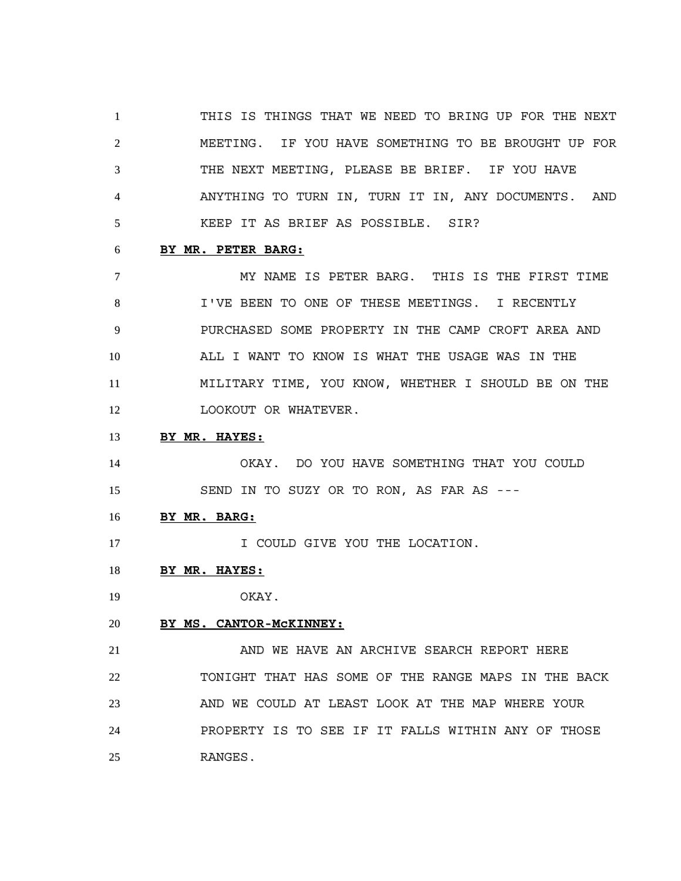THIS IS THINGS THAT WE NEED TO BRING UP FOR THE NEXT MEETING. IF YOU HAVE SOMETHING TO BE BROUGHT UP FOR THE NEXT MEETING, PLEASE BE BRIEF. IF YOU HAVE ANYTHING TO TURN IN, TURN IT IN, ANY DOCUMENTS. AND KEEP IT AS BRIEF AS POSSIBLE. SIR?

#### **BY MR. PETER BARG:**

 MY NAME IS PETER BARG. THIS IS THE FIRST TIME I'VE BEEN TO ONE OF THESE MEETINGS. I RECENTLY PURCHASED SOME PROPERTY IN THE CAMP CROFT AREA AND ALL I WANT TO KNOW IS WHAT THE USAGE WAS IN THE MILITARY TIME, YOU KNOW, WHETHER I SHOULD BE ON THE 12 LOOKOUT OR WHATEVER.

**BY MR. HAYES:**

 OKAY. DO YOU HAVE SOMETHING THAT YOU COULD SEND IN TO SUZY OR TO RON, AS FAR AS ---

**BY MR. BARG:**

17 I COULD GIVE YOU THE LOCATION.

**BY MR. HAYES:**

OKAY.

**BY MS. CANTOR-McKINNEY:**

21 AND WE HAVE AN ARCHIVE SEARCH REPORT HERE TONIGHT THAT HAS SOME OF THE RANGE MAPS IN THE BACK AND WE COULD AT LEAST LOOK AT THE MAP WHERE YOUR PROPERTY IS TO SEE IF IT FALLS WITHIN ANY OF THOSE RANGES.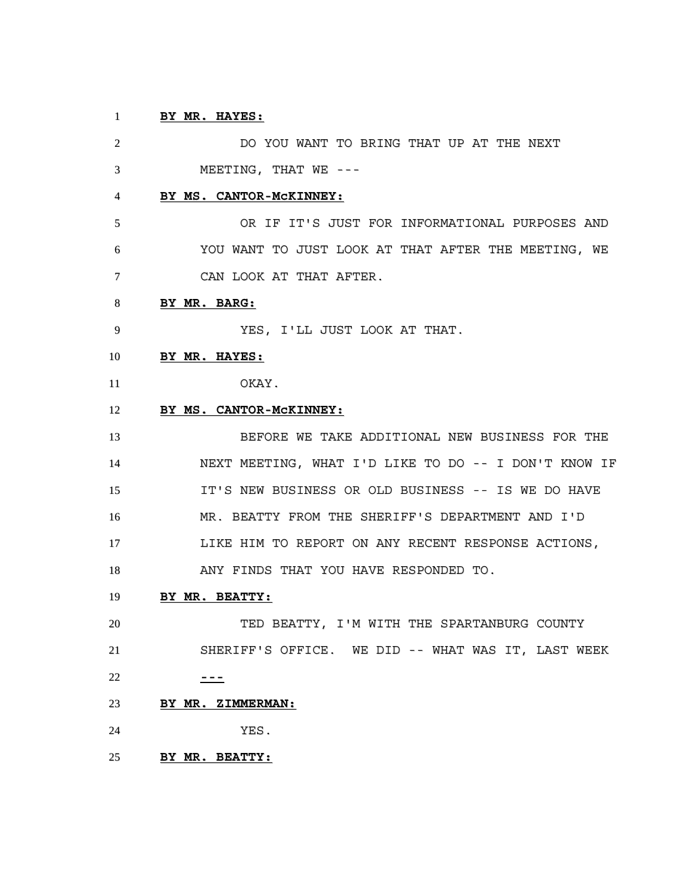# **BY MR. HAYES:**

 DO YOU WANT TO BRING THAT UP AT THE NEXT MEETING, THAT WE --- **BY MS. CANTOR-McKINNEY:** OR IF IT'S JUST FOR INFORMATIONAL PURPOSES AND YOU WANT TO JUST LOOK AT THAT AFTER THE MEETING, WE CAN LOOK AT THAT AFTER. **BY MR. BARG:** YES, I'LL JUST LOOK AT THAT. **BY MR. HAYES:** OKAY. **BY MS. CANTOR-McKINNEY:** BEFORE WE TAKE ADDITIONAL NEW BUSINESS FOR THE NEXT MEETING, WHAT I'D LIKE TO DO -- I DON'T KNOW IF IT'S NEW BUSINESS OR OLD BUSINESS -- IS WE DO HAVE MR. BEATTY FROM THE SHERIFF'S DEPARTMENT AND I'D LIKE HIM TO REPORT ON ANY RECENT RESPONSE ACTIONS, ANY FINDS THAT YOU HAVE RESPONDED TO. **BY MR. BEATTY:** TED BEATTY, I'M WITH THE SPARTANBURG COUNTY SHERIFF'S OFFICE. WE DID -- WHAT WAS IT, LAST WEEK **--- BY MR. ZIMMERMAN:** YES. **BY MR. BEATTY:**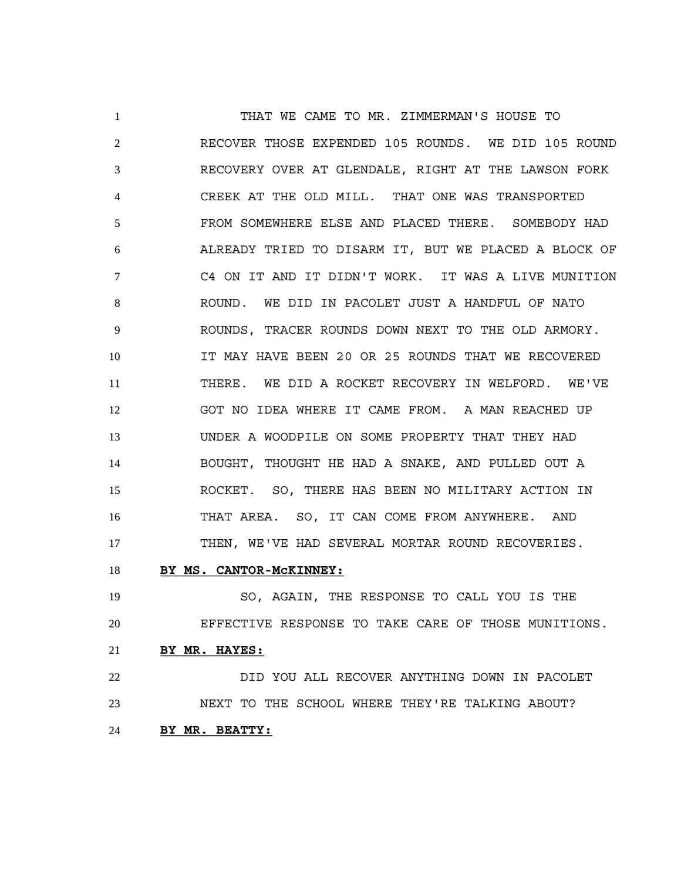THAT WE CAME TO MR. ZIMMERMAN'S HOUSE TO RECOVER THOSE EXPENDED 105 ROUNDS. WE DID 105 ROUND RECOVERY OVER AT GLENDALE, RIGHT AT THE LAWSON FORK CREEK AT THE OLD MILL. THAT ONE WAS TRANSPORTED FROM SOMEWHERE ELSE AND PLACED THERE. SOMEBODY HAD ALREADY TRIED TO DISARM IT, BUT WE PLACED A BLOCK OF C4 ON IT AND IT DIDN'T WORK. IT WAS A LIVE MUNITION ROUND. WE DID IN PACOLET JUST A HANDFUL OF NATO ROUNDS, TRACER ROUNDS DOWN NEXT TO THE OLD ARMORY. IT MAY HAVE BEEN 20 OR 25 ROUNDS THAT WE RECOVERED THERE. WE DID A ROCKET RECOVERY IN WELFORD. WE'VE GOT NO IDEA WHERE IT CAME FROM. A MAN REACHED UP UNDER A WOODPILE ON SOME PROPERTY THAT THEY HAD BOUGHT, THOUGHT HE HAD A SNAKE, AND PULLED OUT A ROCKET. SO, THERE HAS BEEN NO MILITARY ACTION IN THAT AREA. SO, IT CAN COME FROM ANYWHERE. AND THEN, WE'VE HAD SEVERAL MORTAR ROUND RECOVERIES.

# **BY MS. CANTOR-McKINNEY:**

 SO, AGAIN, THE RESPONSE TO CALL YOU IS THE EFFECTIVE RESPONSE TO TAKE CARE OF THOSE MUNITIONS. **BY MR. HAYES:** DID YOU ALL RECOVER ANYTHING DOWN IN PACOLET

 NEXT TO THE SCHOOL WHERE THEY'RE TALKING ABOUT? **BY MR. BEATTY:**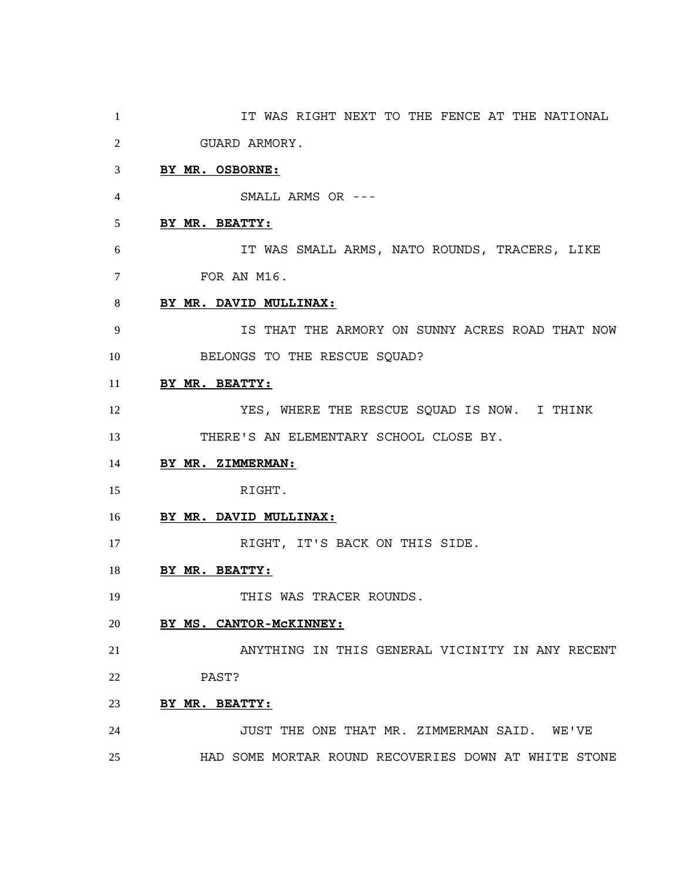IT WAS RIGHT NEXT TO THE FENCE AT THE NATIONAL GUARD ARMORY. **BY MR. OSBORNE:** SMALL ARMS OR --- **BY MR. BEATTY:** IT WAS SMALL ARMS, NATO ROUNDS, TRACERS, LIKE FOR AN M16. **BY MR. DAVID MULLINAX:** IS THAT THE ARMORY ON SUNNY ACRES ROAD THAT NOW 10 BELONGS TO THE RESCUE SQUAD? **BY MR. BEATTY:** YES, WHERE THE RESCUE SQUAD IS NOW. I THINK THERE'S AN ELEMENTARY SCHOOL CLOSE BY. **BY MR. ZIMMERMAN:** RIGHT. **BY MR. DAVID MULLINAX:** 17 RIGHT, IT'S BACK ON THIS SIDE. **BY MR. BEATTY:** 19 THIS WAS TRACER ROUNDS. **BY MS. CANTOR-McKINNEY:** ANYTHING IN THIS GENERAL VICINITY IN ANY RECENT PAST? **BY MR. BEATTY:** JUST THE ONE THAT MR. ZIMMERMAN SAID. WE'VE HAD SOME MORTAR ROUND RECOVERIES DOWN AT WHITE STONE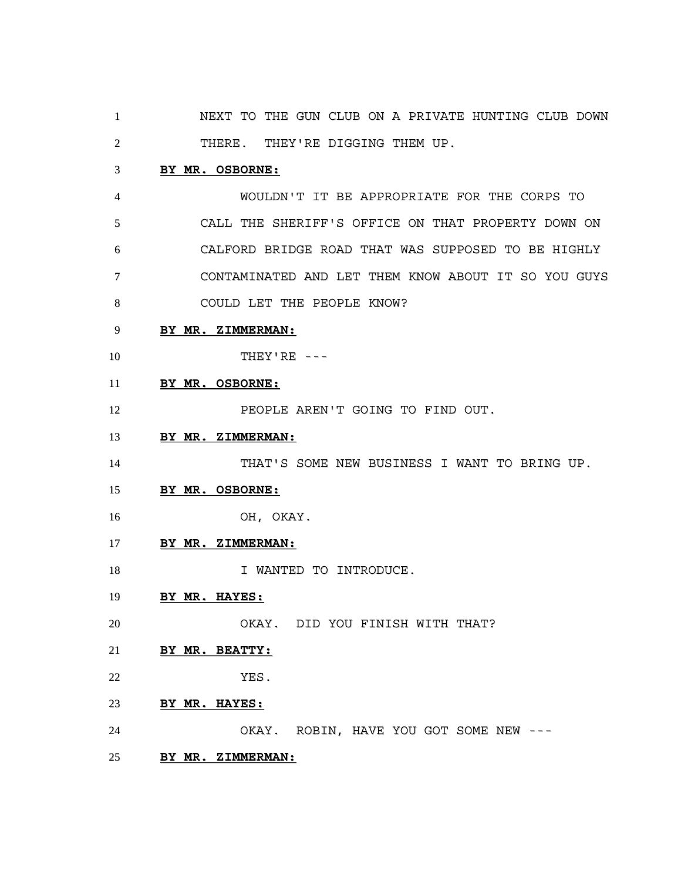NEXT TO THE GUN CLUB ON A PRIVATE HUNTING CLUB DOWN 2 THERE. THEY'RE DIGGING THEM UP.

### **BY MR. OSBORNE:**

 WOULDN'T IT BE APPROPRIATE FOR THE CORPS TO CALL THE SHERIFF'S OFFICE ON THAT PROPERTY DOWN ON CALFORD BRIDGE ROAD THAT WAS SUPPOSED TO BE HIGHLY CONTAMINATED AND LET THEM KNOW ABOUT IT SO YOU GUYS COULD LET THE PEOPLE KNOW?

### **BY MR. ZIMMERMAN:**

- THEY'RE ---
- **BY MR. OSBORNE:**

12 PEOPLE AREN'T GOING TO FIND OUT.

**BY MR. ZIMMERMAN:**

THAT'S SOME NEW BUSINESS I WANT TO BRING UP.

- **BY MR. OSBORNE:**
- OH, OKAY.
- **BY MR. ZIMMERMAN:**
- 18 I WANTED TO INTRODUCE.
- **BY MR. HAYES:**
- OKAY. DID YOU FINISH WITH THAT?
- **BY MR. BEATTY:**
- YES.
- **BY MR. HAYES:**
- OKAY. ROBIN, HAVE YOU GOT SOME NEW ---
- **BY MR. ZIMMERMAN:**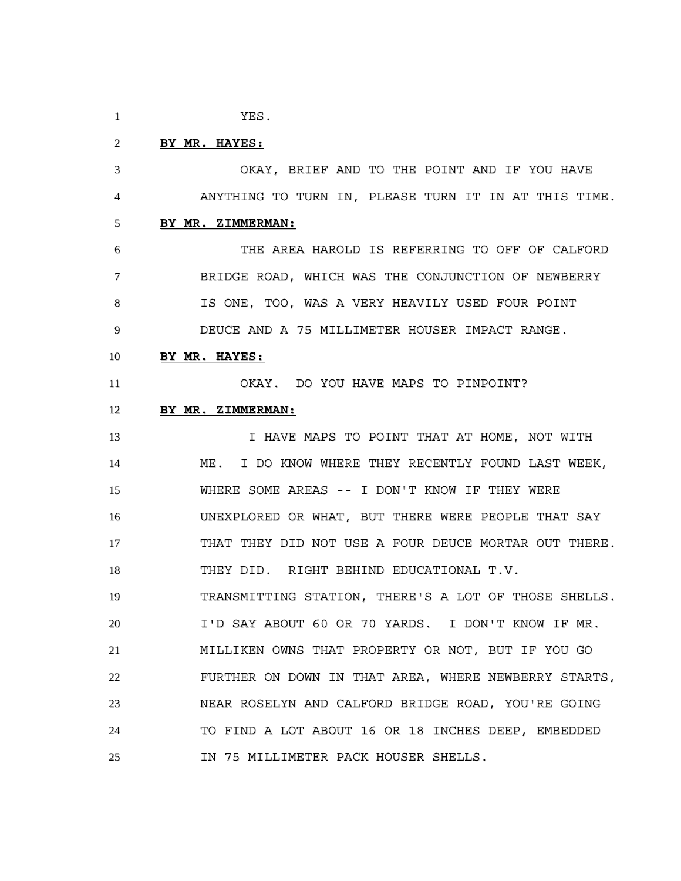YES.

### **BY MR. HAYES:**

 OKAY, BRIEF AND TO THE POINT AND IF YOU HAVE ANYTHING TO TURN IN, PLEASE TURN IT IN AT THIS TIME. **BY MR. ZIMMERMAN:** THE AREA HAROLD IS REFERRING TO OFF OF CALFORD

 BRIDGE ROAD, WHICH WAS THE CONJUNCTION OF NEWBERRY IS ONE, TOO, WAS A VERY HEAVILY USED FOUR POINT DEUCE AND A 75 MILLIMETER HOUSER IMPACT RANGE.

#### **BY MR. HAYES:**

OKAY. DO YOU HAVE MAPS TO PINPOINT?

# **BY MR. ZIMMERMAN:**

13 13 I HAVE MAPS TO POINT THAT AT HOME, NOT WITH ME. I DO KNOW WHERE THEY RECENTLY FOUND LAST WEEK, WHERE SOME AREAS -- I DON'T KNOW IF THEY WERE UNEXPLORED OR WHAT, BUT THERE WERE PEOPLE THAT SAY THAT THEY DID NOT USE A FOUR DEUCE MORTAR OUT THERE. THEY DID. RIGHT BEHIND EDUCATIONAL T.V. TRANSMITTING STATION, THERE'S A LOT OF THOSE SHELLS. I'D SAY ABOUT 60 OR 70 YARDS. I DON'T KNOW IF MR. MILLIKEN OWNS THAT PROPERTY OR NOT, BUT IF YOU GO FURTHER ON DOWN IN THAT AREA, WHERE NEWBERRY STARTS, NEAR ROSELYN AND CALFORD BRIDGE ROAD, YOU'RE GOING TO FIND A LOT ABOUT 16 OR 18 INCHES DEEP, EMBEDDED IN 75 MILLIMETER PACK HOUSER SHELLS.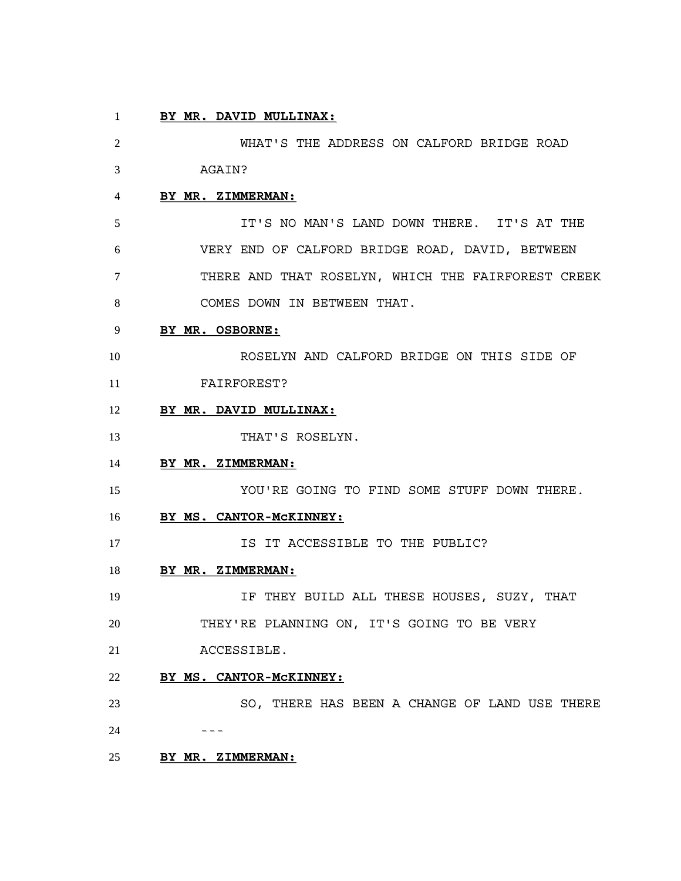### **BY MR. DAVID MULLINAX:**

 WHAT'S THE ADDRESS ON CALFORD BRIDGE ROAD AGAIN? **BY MR. ZIMMERMAN:** IT'S NO MAN'S LAND DOWN THERE. IT'S AT THE VERY END OF CALFORD BRIDGE ROAD, DAVID, BETWEEN THERE AND THAT ROSELYN, WHICH THE FAIRFOREST CREEK COMES DOWN IN BETWEEN THAT. **BY MR. OSBORNE:** ROSELYN AND CALFORD BRIDGE ON THIS SIDE OF FAIRFOREST? **BY MR. DAVID MULLINAX:** 13 THAT'S ROSELYN. **BY MR. ZIMMERMAN:** YOU'RE GOING TO FIND SOME STUFF DOWN THERE. **BY MS. CANTOR-McKINNEY: IS IT ACCESSIBLE TO THE PUBLIC? BY MR. ZIMMERMAN:** IF THEY BUILD ALL THESE HOUSES, SUZY, THAT THEY'RE PLANNING ON, IT'S GOING TO BE VERY ACCESSIBLE. **BY MS. CANTOR-McKINNEY:** SO, THERE HAS BEEN A CHANGE OF LAND USE THERE ---**BY MR. ZIMMERMAN:**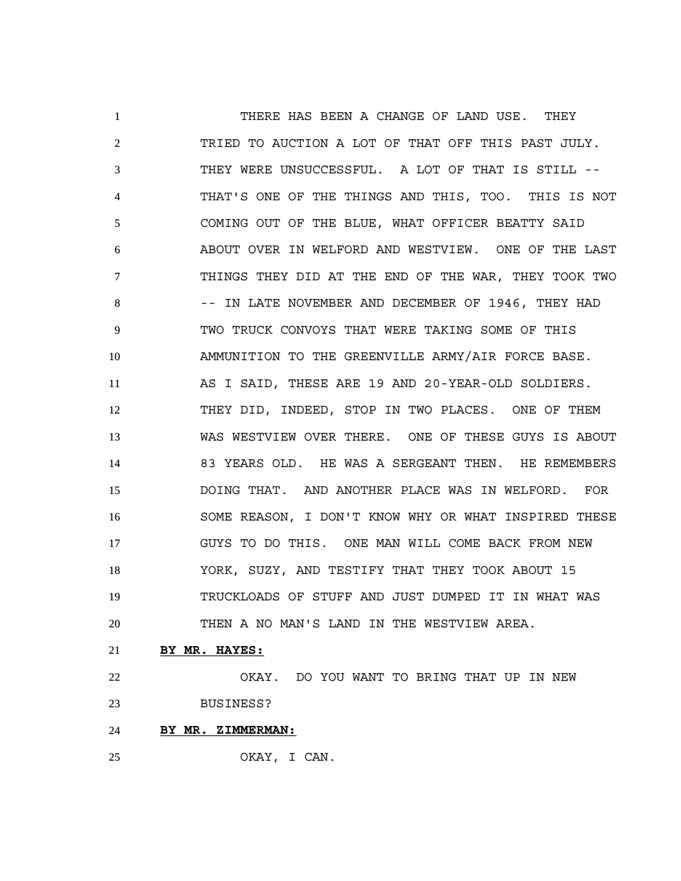1 THERE HAS BEEN A CHANGE OF LAND USE. THEY TRIED TO AUCTION A LOT OF THAT OFF THIS PAST JULY. THEY WERE UNSUCCESSFUL. A LOT OF THAT IS STILL -- THAT'S ONE OF THE THINGS AND THIS, TOO. THIS IS NOT COMING OUT OF THE BLUE, WHAT OFFICER BEATTY SAID ABOUT OVER IN WELFORD AND WESTVIEW. ONE OF THE LAST THINGS THEY DID AT THE END OF THE WAR, THEY TOOK TWO 8 -- IN LATE NOVEMBER AND DECEMBER OF 1946, THEY HAD TWO TRUCK CONVOYS THAT WERE TAKING SOME OF THIS AMMUNITION TO THE GREENVILLE ARMY/AIR FORCE BASE. AS I SAID, THESE ARE 19 AND 20-YEAR-OLD SOLDIERS. THEY DID, INDEED, STOP IN TWO PLACES. ONE OF THEM WAS WESTVIEW OVER THERE. ONE OF THESE GUYS IS ABOUT 83 YEARS OLD. HE WAS A SERGEANT THEN. HE REMEMBERS DOING THAT. AND ANOTHER PLACE WAS IN WELFORD. FOR SOME REASON, I DON'T KNOW WHY OR WHAT INSPIRED THESE GUYS TO DO THIS. ONE MAN WILL COME BACK FROM NEW YORK, SUZY, AND TESTIFY THAT THEY TOOK ABOUT 15 TRUCKLOADS OF STUFF AND JUST DUMPED IT IN WHAT WAS THEN A NO MAN'S LAND IN THE WESTVIEW AREA.

#### **BY MR. HAYES:**

 OKAY. DO YOU WANT TO BRING THAT UP IN NEW BUSINESS?

**BY MR. ZIMMERMAN:**

OKAY, I CAN.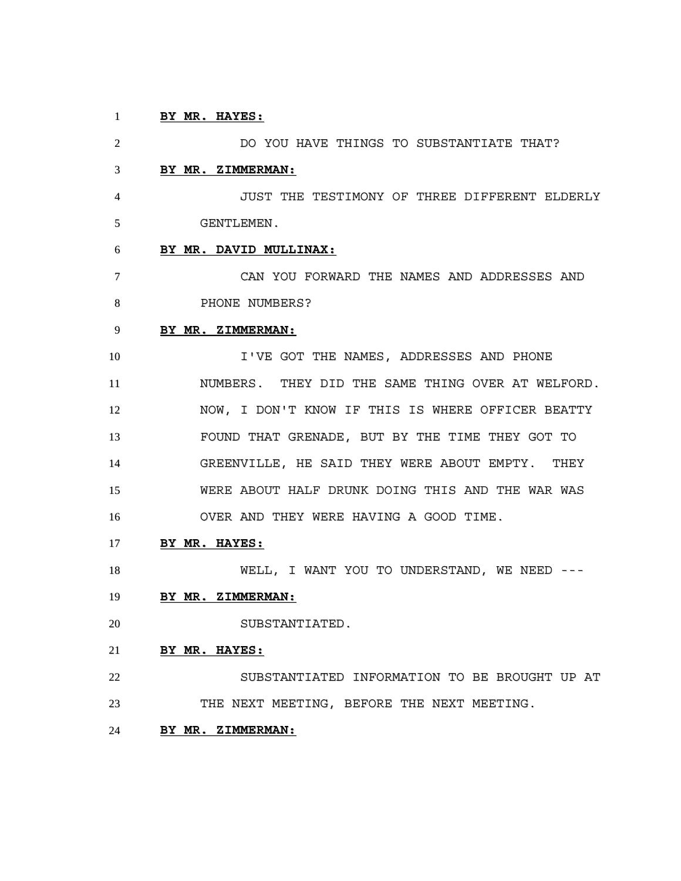### **BY MR. HAYES:**

 DO YOU HAVE THINGS TO SUBSTANTIATE THAT? **BY MR. ZIMMERMAN:** JUST THE TESTIMONY OF THREE DIFFERENT ELDERLY GENTLEMEN. **BY MR. DAVID MULLINAX:** CAN YOU FORWARD THE NAMES AND ADDRESSES AND 8 PHONE NUMBERS? **BY MR. ZIMMERMAN:** I'VE GOT THE NAMES, ADDRESSES AND PHONE NUMBERS. THEY DID THE SAME THING OVER AT WELFORD. NOW, I DON'T KNOW IF THIS IS WHERE OFFICER BEATTY FOUND THAT GRENADE, BUT BY THE TIME THEY GOT TO GREENVILLE, HE SAID THEY WERE ABOUT EMPTY. THEY WERE ABOUT HALF DRUNK DOING THIS AND THE WAR WAS OVER AND THEY WERE HAVING A GOOD TIME. **BY MR. HAYES:** WELL, I WANT YOU TO UNDERSTAND, WE NEED --- **BY MR. ZIMMERMAN:** SUBSTANTIATED. **BY MR. HAYES:** SUBSTANTIATED INFORMATION TO BE BROUGHT UP AT THE NEXT MEETING, BEFORE THE NEXT MEETING. **BY MR. ZIMMERMAN:**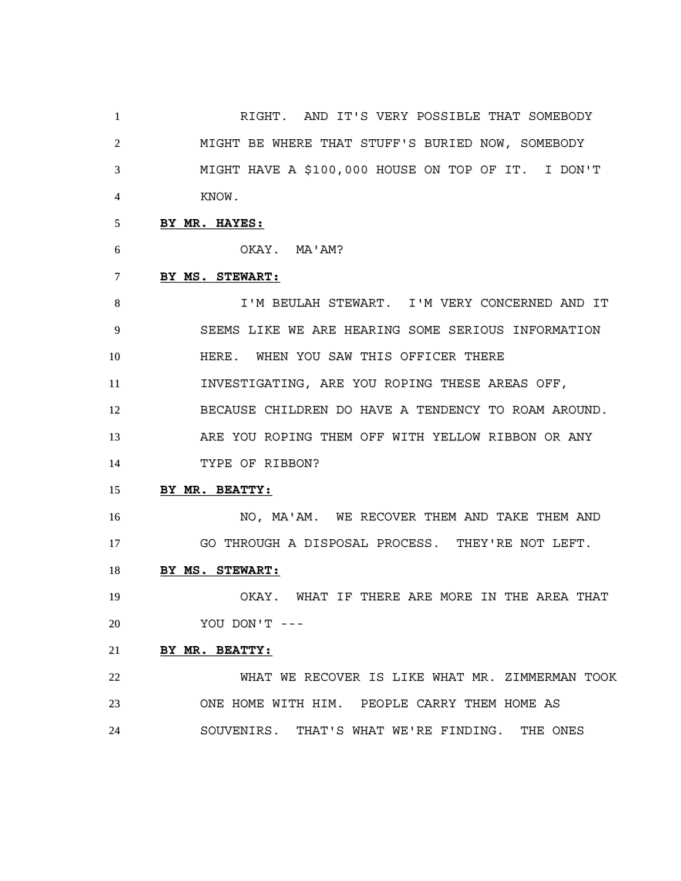RIGHT. AND IT'S VERY POSSIBLE THAT SOMEBODY MIGHT BE WHERE THAT STUFF'S BURIED NOW, SOMEBODY MIGHT HAVE A \$100,000 HOUSE ON TOP OF IT. I DON'T KNOW.

### **BY MR. HAYES:**

OKAY. MA'AM?

### **BY MS. STEWART:**

 I'M BEULAH STEWART. I'M VERY CONCERNED AND IT SEEMS LIKE WE ARE HEARING SOME SERIOUS INFORMATION HERE. WHEN YOU SAW THIS OFFICER THERE INVESTIGATING, ARE YOU ROPING THESE AREAS OFF, BECAUSE CHILDREN DO HAVE A TENDENCY TO ROAM AROUND. ARE YOU ROPING THEM OFF WITH YELLOW RIBBON OR ANY TYPE OF RIBBON?

### **BY MR. BEATTY:**

16 NO, MA'AM. WE RECOVER THEM AND TAKE THEM AND GO THROUGH A DISPOSAL PROCESS. THEY'RE NOT LEFT.

**BY MS. STEWART:**

 OKAY. WHAT IF THERE ARE MORE IN THE AREA THAT YOU DON'T ---

### **BY MR. BEATTY:**

 WHAT WE RECOVER IS LIKE WHAT MR. ZIMMERMAN TOOK ONE HOME WITH HIM. PEOPLE CARRY THEM HOME AS SOUVENIRS. THAT'S WHAT WE'RE FINDING. THE ONES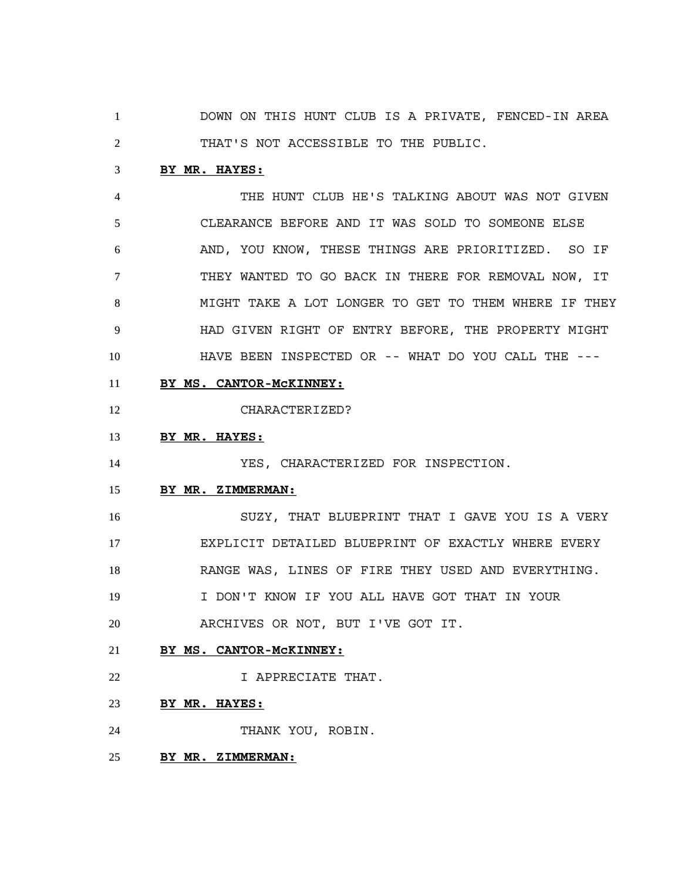DOWN ON THIS HUNT CLUB IS A PRIVATE, FENCED-IN AREA THAT'S NOT ACCESSIBLE TO THE PUBLIC.

### **BY MR. HAYES:**

 THE HUNT CLUB HE'S TALKING ABOUT WAS NOT GIVEN CLEARANCE BEFORE AND IT WAS SOLD TO SOMEONE ELSE AND, YOU KNOW, THESE THINGS ARE PRIORITIZED. SO IF THEY WANTED TO GO BACK IN THERE FOR REMOVAL NOW, IT MIGHT TAKE A LOT LONGER TO GET TO THEM WHERE IF THEY HAD GIVEN RIGHT OF ENTRY BEFORE, THE PROPERTY MIGHT HAVE BEEN INSPECTED OR -- WHAT DO YOU CALL THE ---

**BY MS. CANTOR-McKINNEY:**

CHARACTERIZED?

### **BY MR. HAYES:**

YES, CHARACTERIZED FOR INSPECTION.

#### **BY MR. ZIMMERMAN:**

 SUZY, THAT BLUEPRINT THAT I GAVE YOU IS A VERY EXPLICIT DETAILED BLUEPRINT OF EXACTLY WHERE EVERY RANGE WAS, LINES OF FIRE THEY USED AND EVERYTHING. I DON'T KNOW IF YOU ALL HAVE GOT THAT IN YOUR

ARCHIVES OR NOT, BUT I'VE GOT IT.

- **BY MS. CANTOR-McKINNEY:**
- I APPRECIATE THAT.
- **BY MR. HAYES:**
- THANK YOU, ROBIN.
- **BY MR. ZIMMERMAN:**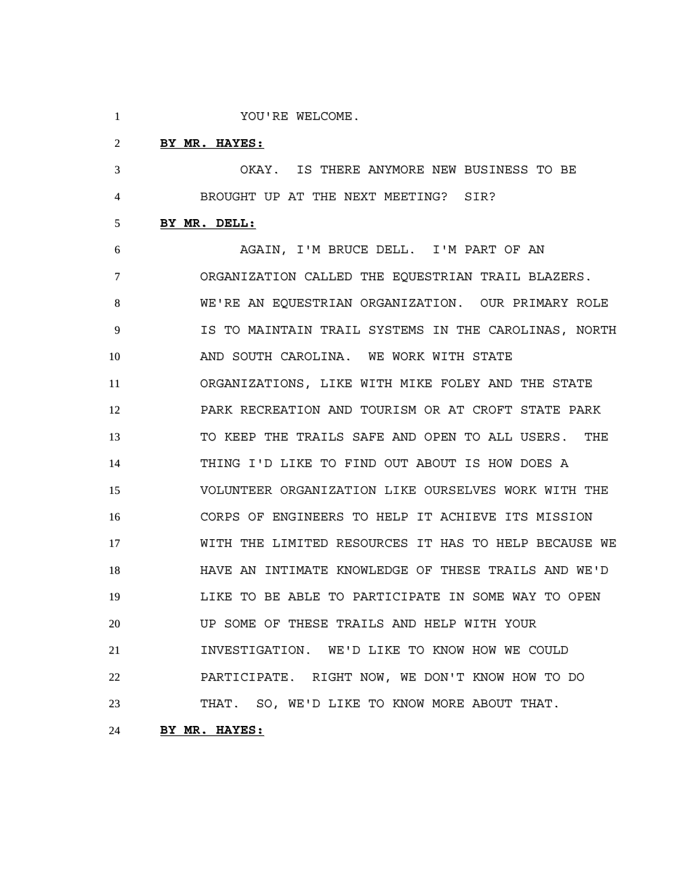YOU'RE WELCOME.

### **BY MR. HAYES:**

 OKAY. IS THERE ANYMORE NEW BUSINESS TO BE BROUGHT UP AT THE NEXT MEETING? SIR?

### **BY MR. DELL:**

 AGAIN, I'M BRUCE DELL. I'M PART OF AN ORGANIZATION CALLED THE EQUESTRIAN TRAIL BLAZERS. WE'RE AN EQUESTRIAN ORGANIZATION. OUR PRIMARY ROLE IS TO MAINTAIN TRAIL SYSTEMS IN THE CAROLINAS, NORTH AND SOUTH CAROLINA. WE WORK WITH STATE ORGANIZATIONS, LIKE WITH MIKE FOLEY AND THE STATE PARK RECREATION AND TOURISM OR AT CROFT STATE PARK TO KEEP THE TRAILS SAFE AND OPEN TO ALL USERS. THE THING I'D LIKE TO FIND OUT ABOUT IS HOW DOES A VOLUNTEER ORGANIZATION LIKE OURSELVES WORK WITH THE CORPS OF ENGINEERS TO HELP IT ACHIEVE ITS MISSION WITH THE LIMITED RESOURCES IT HAS TO HELP BECAUSE WE HAVE AN INTIMATE KNOWLEDGE OF THESE TRAILS AND WE'D LIKE TO BE ABLE TO PARTICIPATE IN SOME WAY TO OPEN UP SOME OF THESE TRAILS AND HELP WITH YOUR INVESTIGATION. WE'D LIKE TO KNOW HOW WE COULD PARTICIPATE. RIGHT NOW, WE DON'T KNOW HOW TO DO THAT. SO, WE'D LIKE TO KNOW MORE ABOUT THAT.

# **BY MR. HAYES:**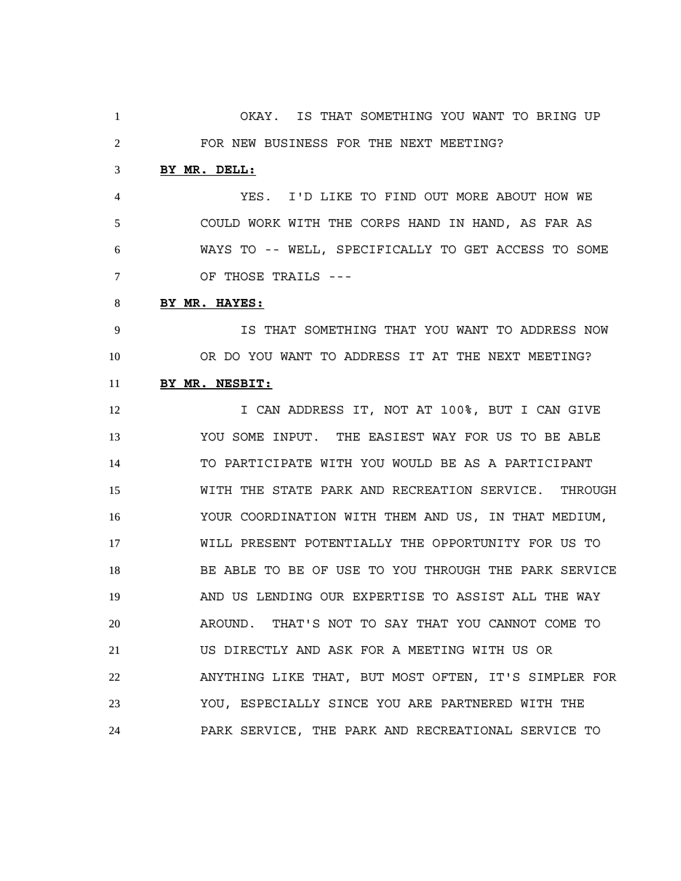OKAY. IS THAT SOMETHING YOU WANT TO BRING UP FOR NEW BUSINESS FOR THE NEXT MEETING? **BY MR. DELL:** YES. I'D LIKE TO FIND OUT MORE ABOUT HOW WE COULD WORK WITH THE CORPS HAND IN HAND, AS FAR AS WAYS TO -- WELL, SPECIFICALLY TO GET ACCESS TO SOME OF THOSE TRAILS --- **BY MR. HAYES:** IS THAT SOMETHING THAT YOU WANT TO ADDRESS NOW OR DO YOU WANT TO ADDRESS IT AT THE NEXT MEETING? **BY MR. NESBIT:** 12 I CAN ADDRESS IT, NOT AT 100%, BUT I CAN GIVE YOU SOME INPUT. THE EASIEST WAY FOR US TO BE ABLE TO PARTICIPATE WITH YOU WOULD BE AS A PARTICIPANT WITH THE STATE PARK AND RECREATION SERVICE. THROUGH YOUR COORDINATION WITH THEM AND US, IN THAT MEDIUM, WILL PRESENT POTENTIALLY THE OPPORTUNITY FOR US TO BE ABLE TO BE OF USE TO YOU THROUGH THE PARK SERVICE AND US LENDING OUR EXPERTISE TO ASSIST ALL THE WAY AROUND. THAT'S NOT TO SAY THAT YOU CANNOT COME TO US DIRECTLY AND ASK FOR A MEETING WITH US OR ANYTHING LIKE THAT, BUT MOST OFTEN, IT'S SIMPLER FOR YOU, ESPECIALLY SINCE YOU ARE PARTNERED WITH THE PARK SERVICE, THE PARK AND RECREATIONAL SERVICE TO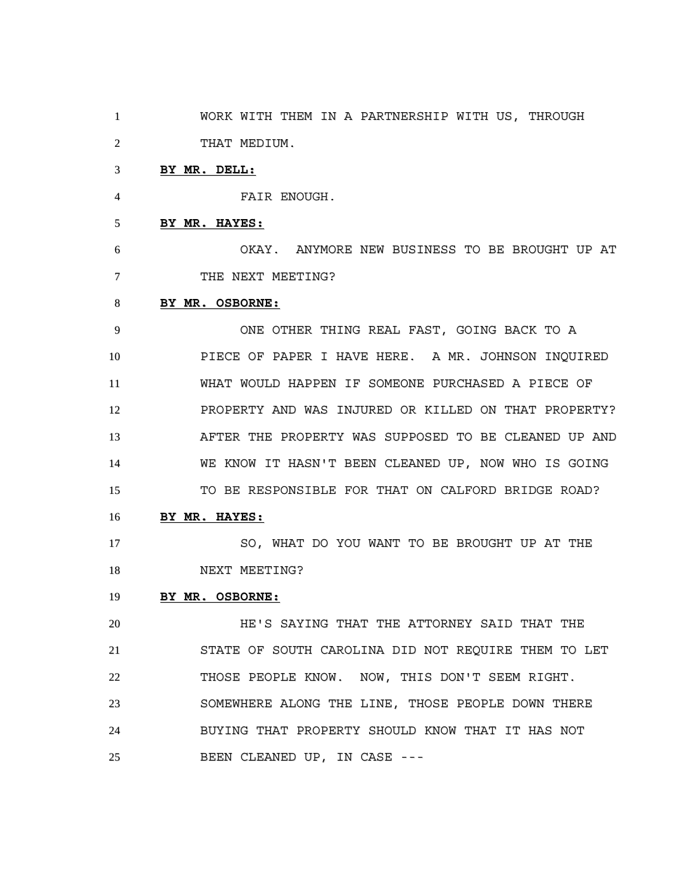WORK WITH THEM IN A PARTNERSHIP WITH US, THROUGH THAT MEDIUM.

#### **BY MR. DELL:**

FAIR ENOUGH.

**BY MR. HAYES:**

 OKAY. ANYMORE NEW BUSINESS TO BE BROUGHT UP AT 7 THE NEXT MEETING?

#### **BY MR. OSBORNE:**

 ONE OTHER THING REAL FAST, GOING BACK TO A PIECE OF PAPER I HAVE HERE. A MR. JOHNSON INQUIRED WHAT WOULD HAPPEN IF SOMEONE PURCHASED A PIECE OF PROPERTY AND WAS INJURED OR KILLED ON THAT PROPERTY? AFTER THE PROPERTY WAS SUPPOSED TO BE CLEANED UP AND WE KNOW IT HASN'T BEEN CLEANED UP, NOW WHO IS GOING TO BE RESPONSIBLE FOR THAT ON CALFORD BRIDGE ROAD?

**BY MR. HAYES:**

 SO, WHAT DO YOU WANT TO BE BROUGHT UP AT THE 18 NEXT MEETING?

### **BY MR. OSBORNE:**

 HE'S SAYING THAT THE ATTORNEY SAID THAT THE STATE OF SOUTH CAROLINA DID NOT REQUIRE THEM TO LET THOSE PEOPLE KNOW. NOW, THIS DON'T SEEM RIGHT. SOMEWHERE ALONG THE LINE, THOSE PEOPLE DOWN THERE BUYING THAT PROPERTY SHOULD KNOW THAT IT HAS NOT BEEN CLEANED UP, IN CASE ---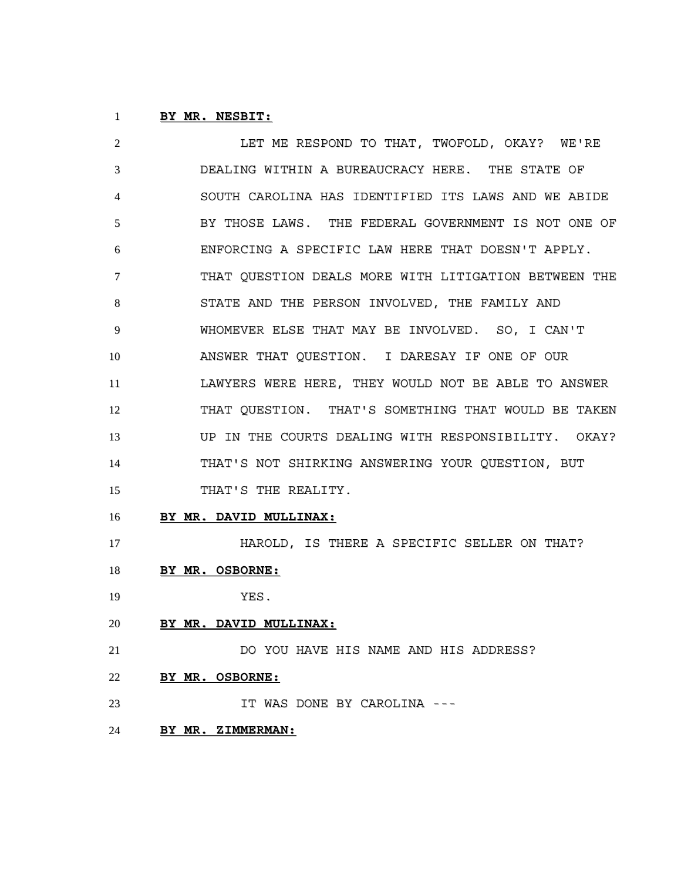# **BY MR. NESBIT:**

 LET ME RESPOND TO THAT, TWOFOLD, OKAY? WE'RE DEALING WITHIN A BUREAUCRACY HERE. THE STATE OF SOUTH CAROLINA HAS IDENTIFIED ITS LAWS AND WE ABIDE BY THOSE LAWS. THE FEDERAL GOVERNMENT IS NOT ONE OF ENFORCING A SPECIFIC LAW HERE THAT DOESN'T APPLY. THAT QUESTION DEALS MORE WITH LITIGATION BETWEEN THE STATE AND THE PERSON INVOLVED, THE FAMILY AND WHOMEVER ELSE THAT MAY BE INVOLVED. SO, I CAN'T ANSWER THAT QUESTION. I DARESAY IF ONE OF OUR LAWYERS WERE HERE, THEY WOULD NOT BE ABLE TO ANSWER THAT QUESTION. THAT'S SOMETHING THAT WOULD BE TAKEN UP IN THE COURTS DEALING WITH RESPONSIBILITY. OKAY? THAT'S NOT SHIRKING ANSWERING YOUR QUESTION, BUT 15 THAT'S THE REALITY.

**BY MR. DAVID MULLINAX:**

HAROLD, IS THERE A SPECIFIC SELLER ON THAT?

- **BY MR. OSBORNE:**
- YES.
- **BY MR. DAVID MULLINAX:**

 DO YOU HAVE HIS NAME AND HIS ADDRESS? **BY MR. OSBORNE:**

- IT WAS DONE BY CAROLINA ---
- **BY MR. ZIMMERMAN:**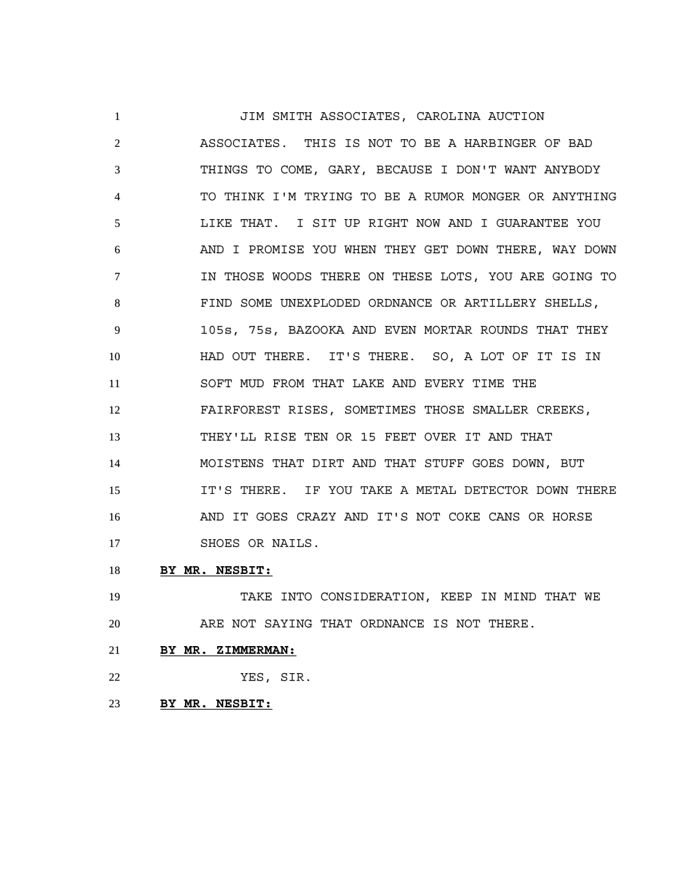JIM SMITH ASSOCIATES, CAROLINA AUCTION ASSOCIATES. THIS IS NOT TO BE A HARBINGER OF BAD THINGS TO COME, GARY, BECAUSE I DON'T WANT ANYBODY TO THINK I'M TRYING TO BE A RUMOR MONGER OR ANYTHING LIKE THAT. I SIT UP RIGHT NOW AND I GUARANTEE YOU AND I PROMISE YOU WHEN THEY GET DOWN THERE, WAY DOWN IN THOSE WOODS THERE ON THESE LOTS, YOU ARE GOING TO FIND SOME UNEXPLODED ORDNANCE OR ARTILLERY SHELLS, 105s, 75s, BAZOOKA AND EVEN MORTAR ROUNDS THAT THEY HAD OUT THERE. IT'S THERE. SO, A LOT OF IT IS IN SOFT MUD FROM THAT LAKE AND EVERY TIME THE FAIRFOREST RISES, SOMETIMES THOSE SMALLER CREEKS, THEY'LL RISE TEN OR 15 FEET OVER IT AND THAT MOISTENS THAT DIRT AND THAT STUFF GOES DOWN, BUT IT'S THERE. IF YOU TAKE A METAL DETECTOR DOWN THERE AND IT GOES CRAZY AND IT'S NOT COKE CANS OR HORSE 17 SHOES OR NAILS.

**BY MR. NESBIT:**

 TAKE INTO CONSIDERATION, KEEP IN MIND THAT WE ARE NOT SAYING THAT ORDNANCE IS NOT THERE.

- **BY MR. ZIMMERMAN:**
- YES, SIR.
- **BY MR. NESBIT:**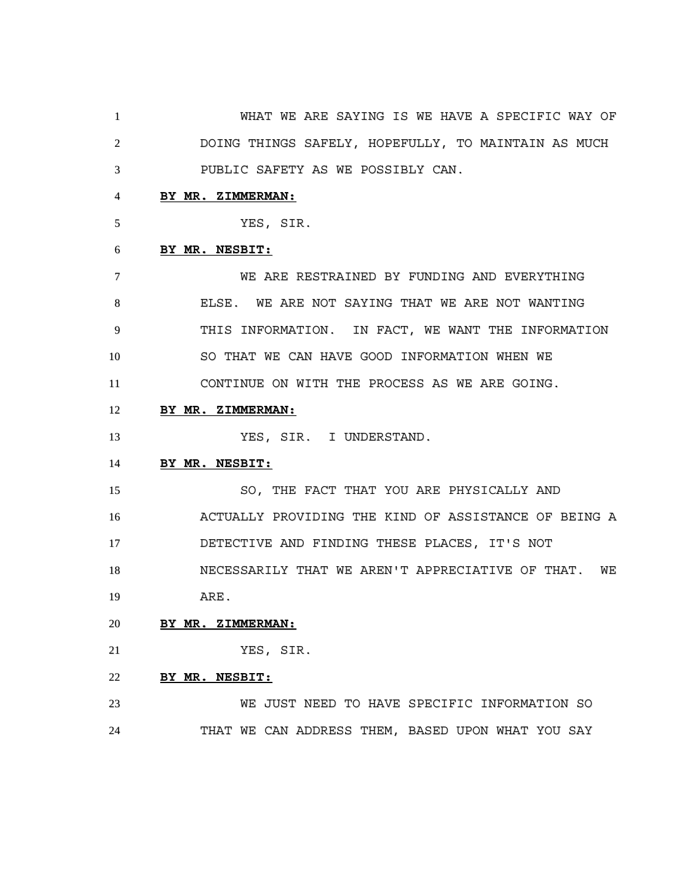WHAT WE ARE SAYING IS WE HAVE A SPECIFIC WAY OF DOING THINGS SAFELY, HOPEFULLY, TO MAINTAIN AS MUCH PUBLIC SAFETY AS WE POSSIBLY CAN.

# **BY MR. ZIMMERMAN:**

YES, SIR.

#### **BY MR. NESBIT:**

 WE ARE RESTRAINED BY FUNDING AND EVERYTHING ELSE. WE ARE NOT SAYING THAT WE ARE NOT WANTING THIS INFORMATION. IN FACT, WE WANT THE INFORMATION SO THAT WE CAN HAVE GOOD INFORMATION WHEN WE CONTINUE ON WITH THE PROCESS AS WE ARE GOING.

### **BY MR. ZIMMERMAN:**

13 YES, SIR. I UNDERSTAND.

### **BY MR. NESBIT:**

 SO, THE FACT THAT YOU ARE PHYSICALLY AND ACTUALLY PROVIDING THE KIND OF ASSISTANCE OF BEING A DETECTIVE AND FINDING THESE PLACES, IT'S NOT NECESSARILY THAT WE AREN'T APPRECIATIVE OF THAT. WE ARE.

### **BY MR. ZIMMERMAN:**

YES, SIR.

### **BY MR. NESBIT:**

 WE JUST NEED TO HAVE SPECIFIC INFORMATION SO THAT WE CAN ADDRESS THEM, BASED UPON WHAT YOU SAY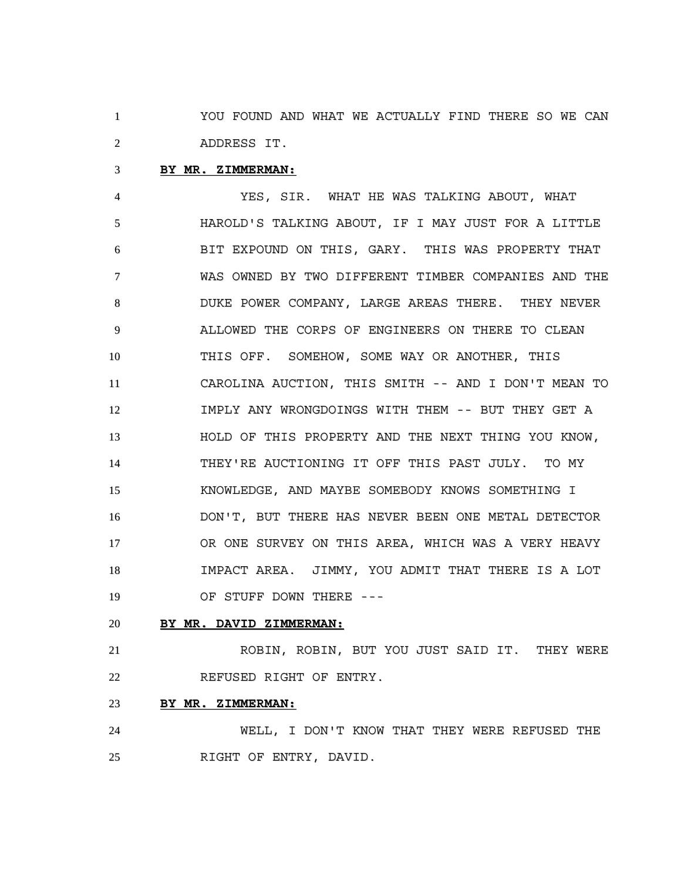YOU FOUND AND WHAT WE ACTUALLY FIND THERE SO WE CAN ADDRESS IT.

### **BY MR. ZIMMERMAN:**

 YES, SIR. WHAT HE WAS TALKING ABOUT, WHAT HAROLD'S TALKING ABOUT, IF I MAY JUST FOR A LITTLE BIT EXPOUND ON THIS, GARY. THIS WAS PROPERTY THAT WAS OWNED BY TWO DIFFERENT TIMBER COMPANIES AND THE DUKE POWER COMPANY, LARGE AREAS THERE. THEY NEVER ALLOWED THE CORPS OF ENGINEERS ON THERE TO CLEAN THIS OFF. SOMEHOW, SOME WAY OR ANOTHER, THIS CAROLINA AUCTION, THIS SMITH -- AND I DON'T MEAN TO IMPLY ANY WRONGDOINGS WITH THEM -- BUT THEY GET A HOLD OF THIS PROPERTY AND THE NEXT THING YOU KNOW, THEY'RE AUCTIONING IT OFF THIS PAST JULY. TO MY KNOWLEDGE, AND MAYBE SOMEBODY KNOWS SOMETHING I DON'T, BUT THERE HAS NEVER BEEN ONE METAL DETECTOR OR ONE SURVEY ON THIS AREA, WHICH WAS A VERY HEAVY IMPACT AREA. JIMMY, YOU ADMIT THAT THERE IS A LOT 19 OF STUFF DOWN THERE ---

#### **BY MR. DAVID ZIMMERMAN:**

 ROBIN, ROBIN, BUT YOU JUST SAID IT. THEY WERE REFUSED RIGHT OF ENTRY.

# **BY MR. ZIMMERMAN:**

 WELL, I DON'T KNOW THAT THEY WERE REFUSED THE RIGHT OF ENTRY, DAVID.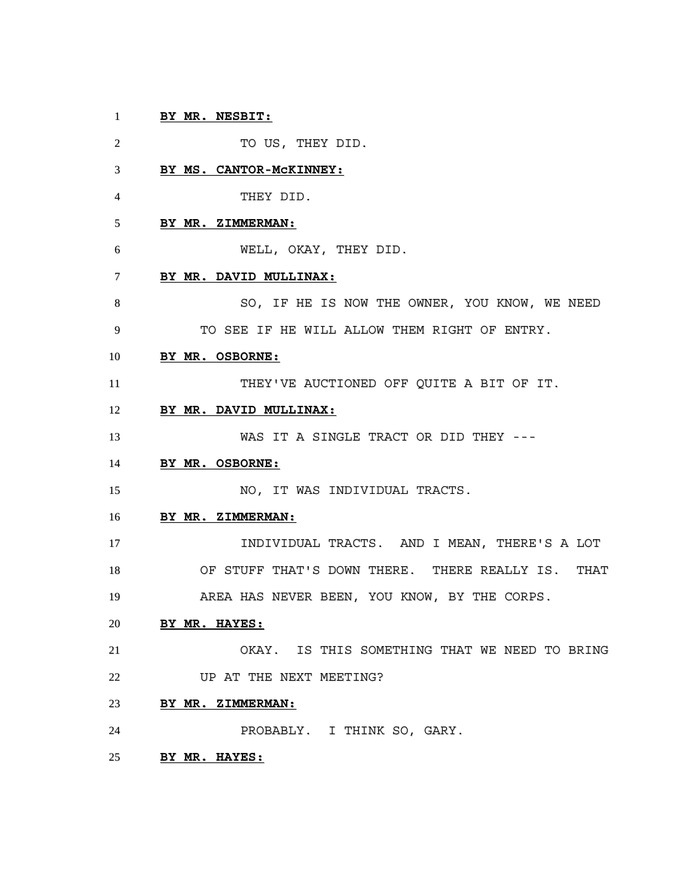# **BY MR. NESBIT:**

2 TO US, THEY DID. **BY MS. CANTOR-McKINNEY:** THEY DID. **BY MR. ZIMMERMAN:** WELL, OKAY, THEY DID. **BY MR. DAVID MULLINAX:** 8 SO, IF HE IS NOW THE OWNER, YOU KNOW, WE NEED TO SEE IF HE WILL ALLOW THEM RIGHT OF ENTRY. **BY MR. OSBORNE:** THEY'VE AUCTIONED OFF QUITE A BIT OF IT. **BY MR. DAVID MULLINAX:** WAS IT A SINGLE TRACT OR DID THEY --- **BY MR. OSBORNE:** NO, IT WAS INDIVIDUAL TRACTS. **BY MR. ZIMMERMAN:** INDIVIDUAL TRACTS. AND I MEAN, THERE'S A LOT OF STUFF THAT'S DOWN THERE. THERE REALLY IS. THAT AREA HAS NEVER BEEN, YOU KNOW, BY THE CORPS. **BY MR. HAYES:** OKAY. IS THIS SOMETHING THAT WE NEED TO BRING 22 UP AT THE NEXT MEETING? **BY MR. ZIMMERMAN:** PROBABLY. I THINK SO, GARY. **BY MR. HAYES:**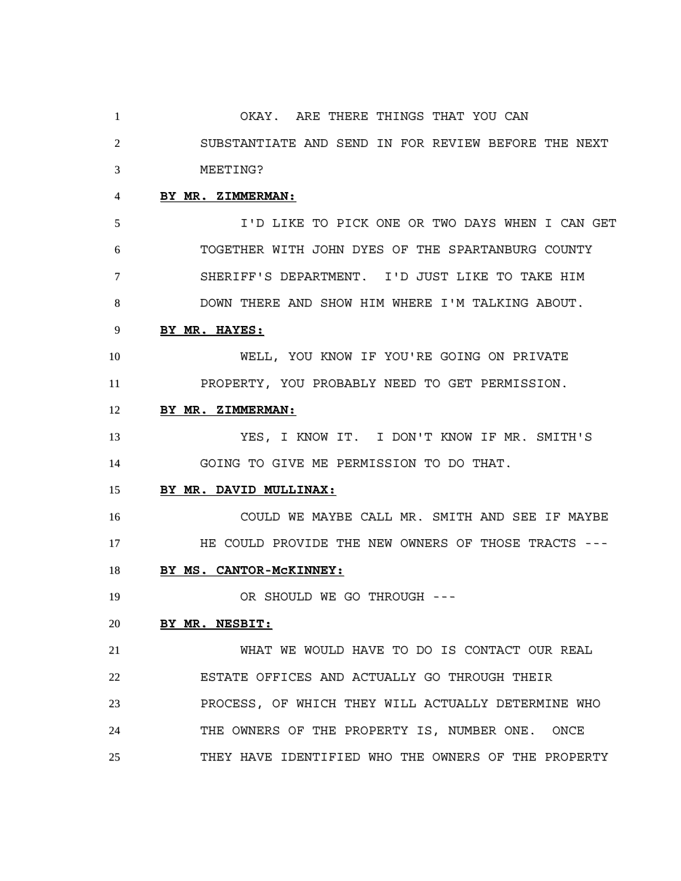OKAY. ARE THERE THINGS THAT YOU CAN SUBSTANTIATE AND SEND IN FOR REVIEW BEFORE THE NEXT MEETING?

# **BY MR. ZIMMERMAN:**

 I'D LIKE TO PICK ONE OR TWO DAYS WHEN I CAN GET TOGETHER WITH JOHN DYES OF THE SPARTANBURG COUNTY SHERIFF'S DEPARTMENT. I'D JUST LIKE TO TAKE HIM DOWN THERE AND SHOW HIM WHERE I'M TALKING ABOUT.

#### **BY MR. HAYES:**

 WELL, YOU KNOW IF YOU'RE GOING ON PRIVATE PROPERTY, YOU PROBABLY NEED TO GET PERMISSION.

### **BY MR. ZIMMERMAN:**

 YES, I KNOW IT. I DON'T KNOW IF MR. SMITH'S GOING TO GIVE ME PERMISSION TO DO THAT.

#### **BY MR. DAVID MULLINAX:**

 COULD WE MAYBE CALL MR. SMITH AND SEE IF MAYBE HE COULD PROVIDE THE NEW OWNERS OF THOSE TRACTS ---

# **BY MS. CANTOR-McKINNEY:**

19 OR SHOULD WE GO THROUGH ---

#### **BY MR. NESBIT:**

 WHAT WE WOULD HAVE TO DO IS CONTACT OUR REAL ESTATE OFFICES AND ACTUALLY GO THROUGH THEIR PROCESS, OF WHICH THEY WILL ACTUALLY DETERMINE WHO THE OWNERS OF THE PROPERTY IS, NUMBER ONE. ONCE THEY HAVE IDENTIFIED WHO THE OWNERS OF THE PROPERTY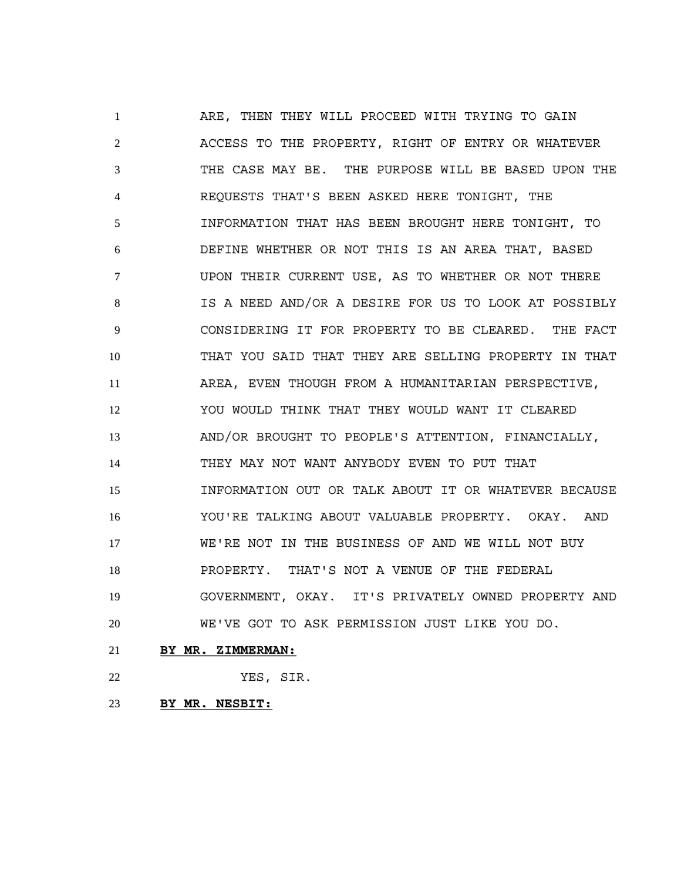ARE, THEN THEY WILL PROCEED WITH TRYING TO GAIN ACCESS TO THE PROPERTY, RIGHT OF ENTRY OR WHATEVER THE CASE MAY BE. THE PURPOSE WILL BE BASED UPON THE REQUESTS THAT'S BEEN ASKED HERE TONIGHT, THE INFORMATION THAT HAS BEEN BROUGHT HERE TONIGHT, TO DEFINE WHETHER OR NOT THIS IS AN AREA THAT, BASED UPON THEIR CURRENT USE, AS TO WHETHER OR NOT THERE IS A NEED AND/OR A DESIRE FOR US TO LOOK AT POSSIBLY CONSIDERING IT FOR PROPERTY TO BE CLEARED. THE FACT THAT YOU SAID THAT THEY ARE SELLING PROPERTY IN THAT AREA, EVEN THOUGH FROM A HUMANITARIAN PERSPECTIVE, YOU WOULD THINK THAT THEY WOULD WANT IT CLEARED AND/OR BROUGHT TO PEOPLE'S ATTENTION, FINANCIALLY, THEY MAY NOT WANT ANYBODY EVEN TO PUT THAT INFORMATION OUT OR TALK ABOUT IT OR WHATEVER BECAUSE YOU'RE TALKING ABOUT VALUABLE PROPERTY. OKAY. AND WE'RE NOT IN THE BUSINESS OF AND WE WILL NOT BUY PROPERTY. THAT'S NOT A VENUE OF THE FEDERAL GOVERNMENT, OKAY. IT'S PRIVATELY OWNED PROPERTY AND WE'VE GOT TO ASK PERMISSION JUST LIKE YOU DO.

- **BY MR. ZIMMERMAN:**
- YES, SIR.
- **BY MR. NESBIT:**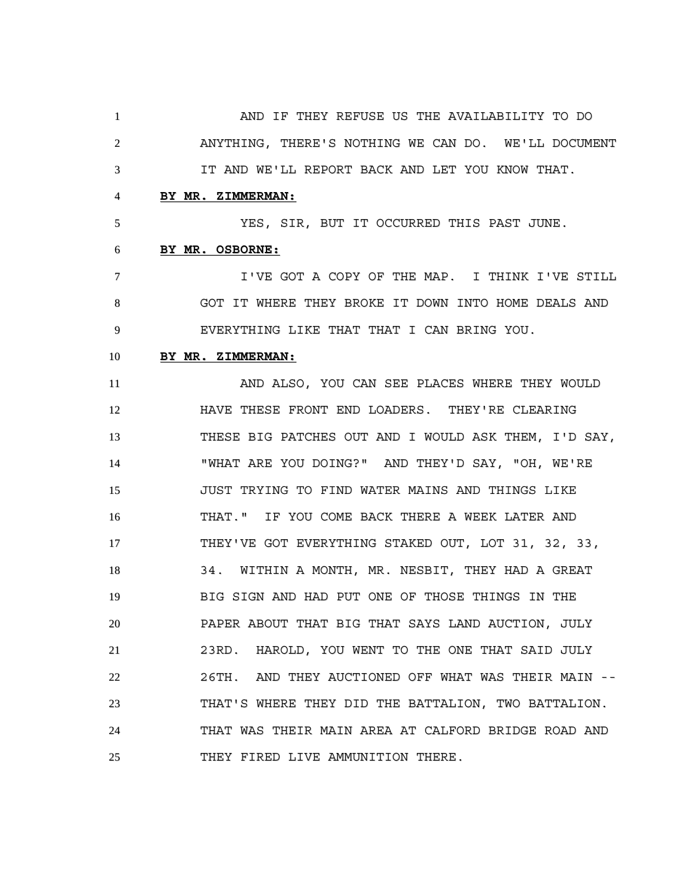AND IF THEY REFUSE US THE AVAILABILITY TO DO ANYTHING, THERE'S NOTHING WE CAN DO. WE'LL DOCUMENT IT AND WE'LL REPORT BACK AND LET YOU KNOW THAT.

# **BY MR. ZIMMERMAN:**

YES, SIR, BUT IT OCCURRED THIS PAST JUNE.

# **BY MR. OSBORNE:**

 I'VE GOT A COPY OF THE MAP. I THINK I'VE STILL GOT IT WHERE THEY BROKE IT DOWN INTO HOME DEALS AND EVERYTHING LIKE THAT THAT I CAN BRING YOU.

# **BY MR. ZIMMERMAN:**

 AND ALSO, YOU CAN SEE PLACES WHERE THEY WOULD HAVE THESE FRONT END LOADERS. THEY'RE CLEARING THESE BIG PATCHES OUT AND I WOULD ASK THEM, I'D SAY, "WHAT ARE YOU DOING?" AND THEY'D SAY, "OH, WE'RE JUST TRYING TO FIND WATER MAINS AND THINGS LIKE THAT." IF YOU COME BACK THERE A WEEK LATER AND THEY'VE GOT EVERYTHING STAKED OUT, LOT 31, 32, 33, 34. WITHIN A MONTH, MR. NESBIT, THEY HAD A GREAT BIG SIGN AND HAD PUT ONE OF THOSE THINGS IN THE PAPER ABOUT THAT BIG THAT SAYS LAND AUCTION, JULY 23RD. HAROLD, YOU WENT TO THE ONE THAT SAID JULY 26TH. AND THEY AUCTIONED OFF WHAT WAS THEIR MAIN -- THAT'S WHERE THEY DID THE BATTALION, TWO BATTALION. THAT WAS THEIR MAIN AREA AT CALFORD BRIDGE ROAD AND 25 THEY FIRED LIVE AMMUNITION THERE.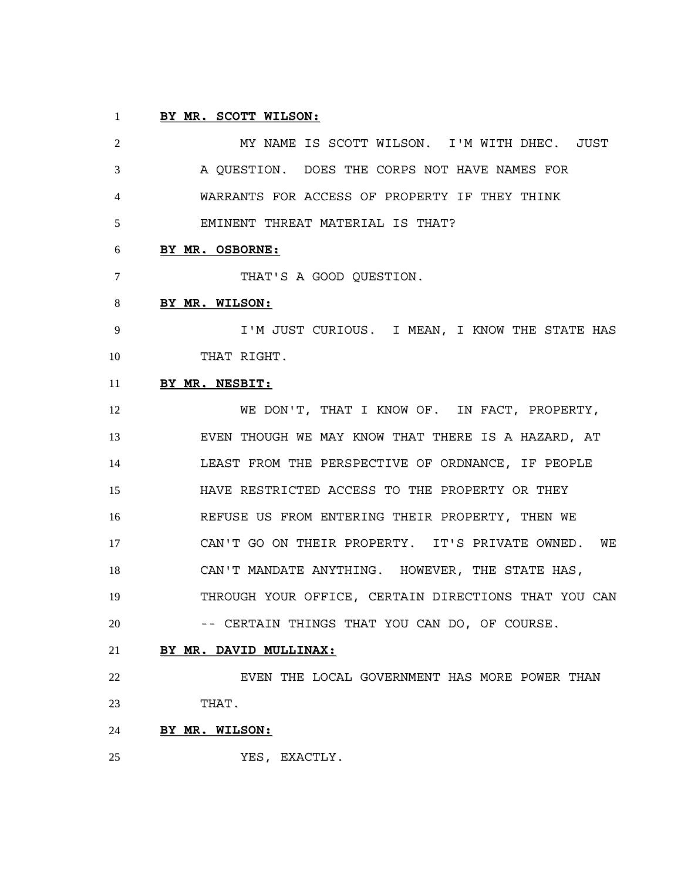### **BY MR. SCOTT WILSON:**

 MY NAME IS SCOTT WILSON. I'M WITH DHEC. JUST A QUESTION. DOES THE CORPS NOT HAVE NAMES FOR WARRANTS FOR ACCESS OF PROPERTY IF THEY THINK EMINENT THREAT MATERIAL IS THAT? **BY MR. OSBORNE:** 7 THAT'S A GOOD QUESTION. **BY MR. WILSON:** 9 I'M JUST CURIOUS. I MEAN, I KNOW THE STATE HAS THAT RIGHT. **BY MR. NESBIT:** 12 WE DON'T, THAT I KNOW OF. IN FACT, PROPERTY, EVEN THOUGH WE MAY KNOW THAT THERE IS A HAZARD, AT LEAST FROM THE PERSPECTIVE OF ORDNANCE, IF PEOPLE HAVE RESTRICTED ACCESS TO THE PROPERTY OR THEY REFUSE US FROM ENTERING THEIR PROPERTY, THEN WE CAN'T GO ON THEIR PROPERTY. IT'S PRIVATE OWNED. WE CAN'T MANDATE ANYTHING. HOWEVER, THE STATE HAS, THROUGH YOUR OFFICE, CERTAIN DIRECTIONS THAT YOU CAN -- CERTAIN THINGS THAT YOU CAN DO, OF COURSE. **BY MR. DAVID MULLINAX:**

22 EVEN THE LOCAL GOVERNMENT HAS MORE POWER THAN THAT.

- **BY MR. WILSON:**
- YES, EXACTLY.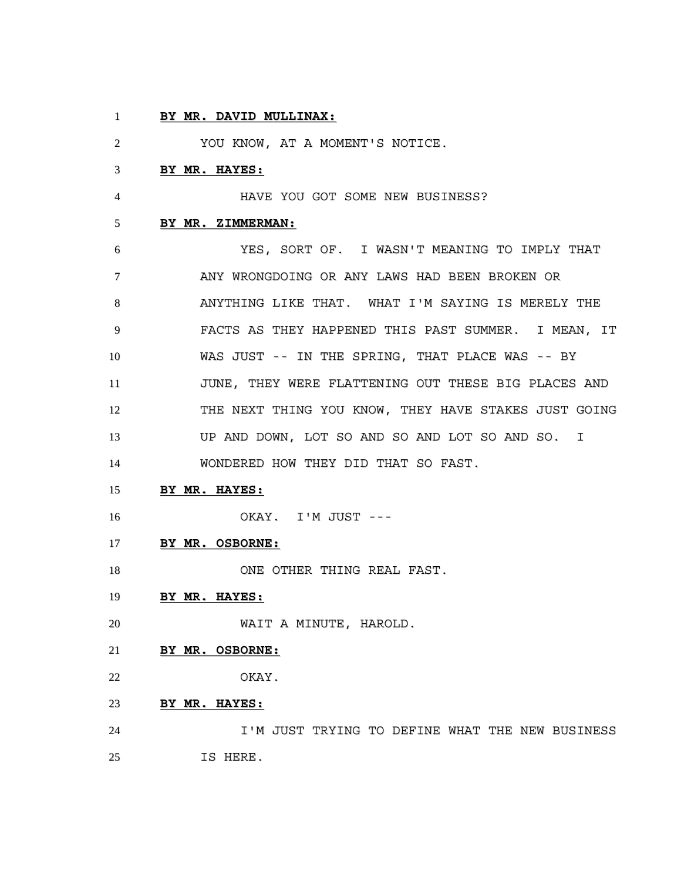# **BY MR. DAVID MULLINAX:**

YOU KNOW, AT A MOMENT'S NOTICE.

### **BY MR. HAYES:**

HAVE YOU GOT SOME NEW BUSINESS?

#### **BY MR. ZIMMERMAN:**

 YES, SORT OF. I WASN'T MEANING TO IMPLY THAT ANY WRONGDOING OR ANY LAWS HAD BEEN BROKEN OR ANYTHING LIKE THAT. WHAT I'M SAYING IS MERELY THE FACTS AS THEY HAPPENED THIS PAST SUMMER. I MEAN, IT WAS JUST -- IN THE SPRING, THAT PLACE WAS -- BY JUNE, THEY WERE FLATTENING OUT THESE BIG PLACES AND 12 THE NEXT THING YOU KNOW, THEY HAVE STAKES JUST GOING UP AND DOWN, LOT SO AND SO AND LOT SO AND SO. I WONDERED HOW THEY DID THAT SO FAST.

### **BY MR. HAYES:**

OKAY. I'M JUST ---

### **BY MR. OSBORNE:**

18 ONE OTHER THING REAL FAST.

### **BY MR. HAYES:**

WAIT A MINUTE, HAROLD.

# **BY MR. OSBORNE:**

OKAY.

# **BY MR. HAYES:**

 I'M JUST TRYING TO DEFINE WHAT THE NEW BUSINESS IS HERE.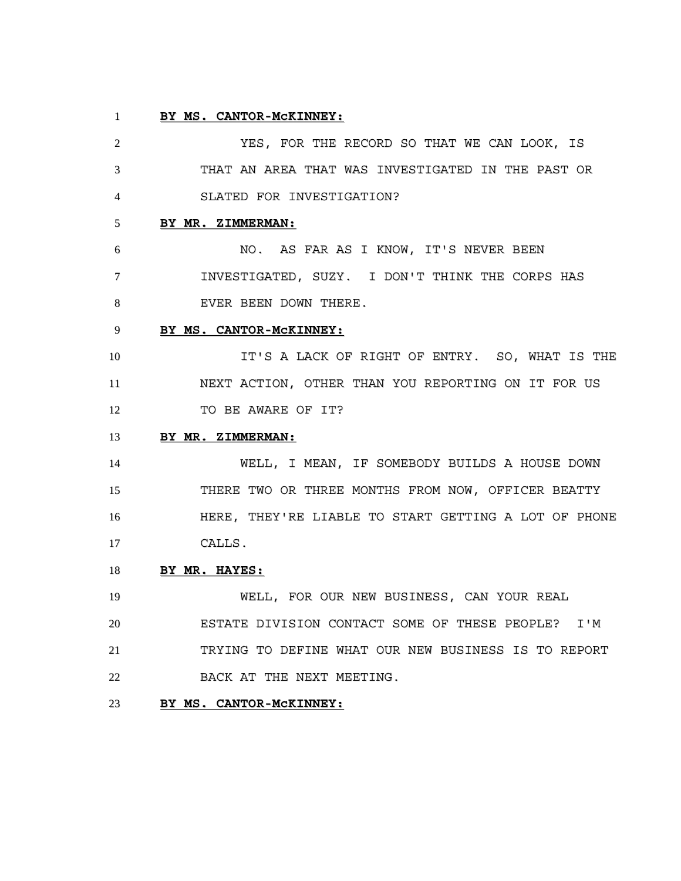### **BY MS. CANTOR-McKINNEY:**

 YES, FOR THE RECORD SO THAT WE CAN LOOK, IS THAT AN AREA THAT WAS INVESTIGATED IN THE PAST OR SLATED FOR INVESTIGATION? **BY MR. ZIMMERMAN:** NO. AS FAR AS I KNOW, IT'S NEVER BEEN INVESTIGATED, SUZY. I DON'T THINK THE CORPS HAS 8 EVER BEEN DOWN THERE. **BY MS. CANTOR-McKINNEY:** 10 10 IT'S A LACK OF RIGHT OF ENTRY. SO, WHAT IS THE NEXT ACTION, OTHER THAN YOU REPORTING ON IT FOR US 12 TO BE AWARE OF IT? **BY MR. ZIMMERMAN:** WELL, I MEAN, IF SOMEBODY BUILDS A HOUSE DOWN THERE TWO OR THREE MONTHS FROM NOW, OFFICER BEATTY HERE, THEY'RE LIABLE TO START GETTING A LOT OF PHONE CALLS. **BY MR. HAYES:** WELL, FOR OUR NEW BUSINESS, CAN YOUR REAL

 ESTATE DIVISION CONTACT SOME OF THESE PEOPLE? I'M TRYING TO DEFINE WHAT OUR NEW BUSINESS IS TO REPORT 22 BACK AT THE NEXT MEETING.

# **BY MS. CANTOR-McKINNEY:**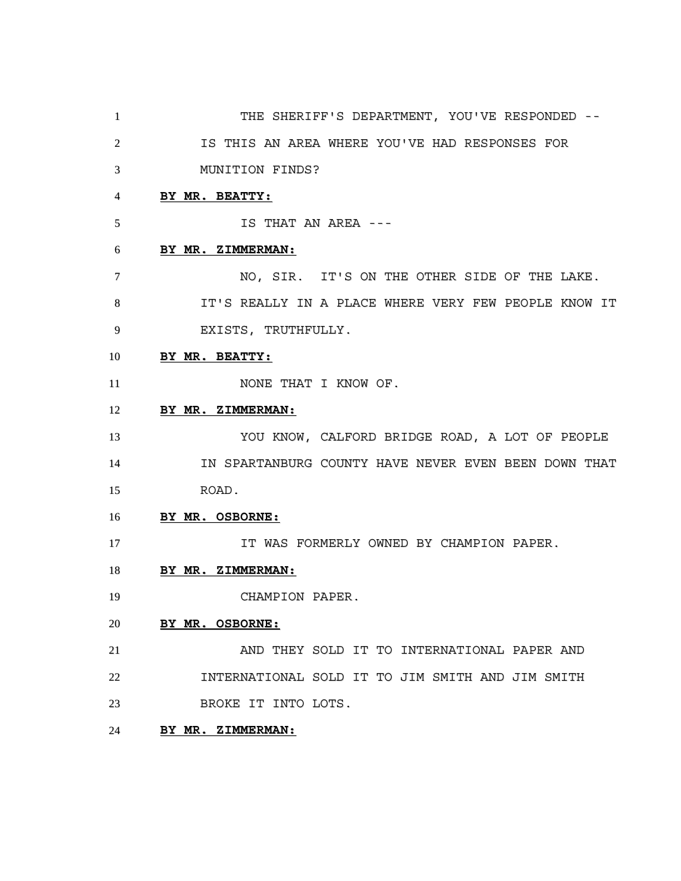- 1 THE SHERIFF'S DEPARTMENT, YOU'VE RESPONDED -- IS THIS AN AREA WHERE YOU'VE HAD RESPONSES FOR MUNITION FINDS? **BY MR. BEATTY:** IS THAT AN AREA --- **BY MR. ZIMMERMAN:** NO, SIR. IT'S ON THE OTHER SIDE OF THE LAKE. 8 IT'S REALLY IN A PLACE WHERE VERY FEW PEOPLE KNOW IT EXISTS, TRUTHFULLY. **BY MR. BEATTY:** 11 NONE THAT I KNOW OF. **BY MR. ZIMMERMAN:** YOU KNOW, CALFORD BRIDGE ROAD, A LOT OF PEOPLE IN SPARTANBURG COUNTY HAVE NEVER EVEN BEEN DOWN THAT ROAD. **BY MR. OSBORNE:** IT WAS FORMERLY OWNED BY CHAMPION PAPER. **BY MR. ZIMMERMAN:** CHAMPION PAPER. **BY MR. OSBORNE:** AND THEY SOLD IT TO INTERNATIONAL PAPER AND INTERNATIONAL SOLD IT TO JIM SMITH AND JIM SMITH BROKE IT INTO LOTS.
- **BY MR. ZIMMERMAN:**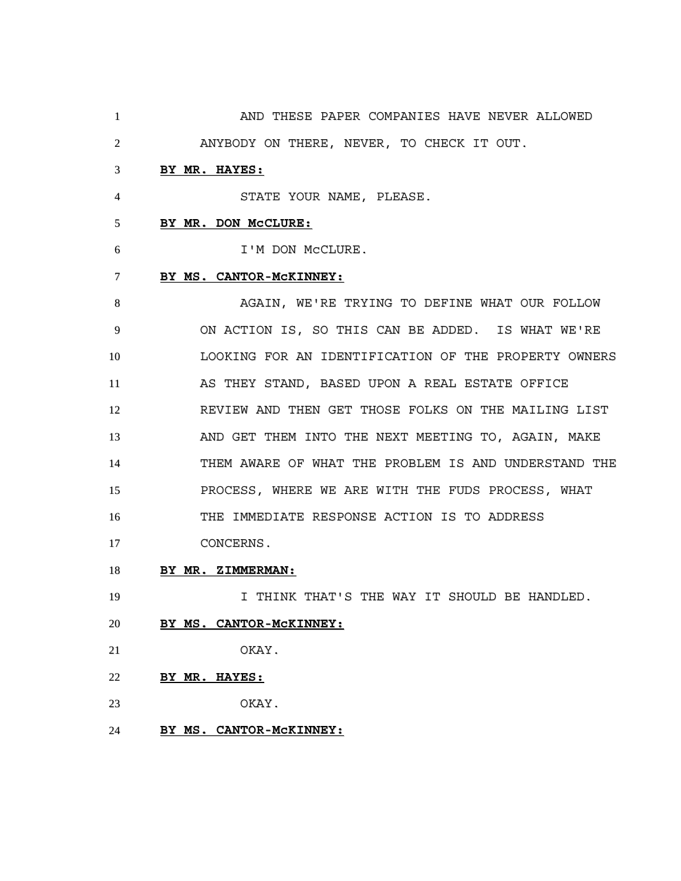AND THESE PAPER COMPANIES HAVE NEVER ALLOWED ANYBODY ON THERE, NEVER, TO CHECK IT OUT. **BY MR. HAYES:** STATE YOUR NAME, PLEASE. **BY MR. DON McCLURE:** I'M DON McCLURE. **BY MS. CANTOR-McKINNEY:** 8 AGAIN, WE'RE TRYING TO DEFINE WHAT OUR FOLLOW ON ACTION IS, SO THIS CAN BE ADDED. IS WHAT WE'RE LOOKING FOR AN IDENTIFICATION OF THE PROPERTY OWNERS AS THEY STAND, BASED UPON A REAL ESTATE OFFICE REVIEW AND THEN GET THOSE FOLKS ON THE MAILING LIST AND GET THEM INTO THE NEXT MEETING TO, AGAIN, MAKE THEM AWARE OF WHAT THE PROBLEM IS AND UNDERSTAND THE PROCESS, WHERE WE ARE WITH THE FUDS PROCESS, WHAT THE IMMEDIATE RESPONSE ACTION IS TO ADDRESS CONCERNS. **BY MR. ZIMMERMAN:** 19 19 I THINK THAT'S THE WAY IT SHOULD BE HANDLED. **BY MS. CANTOR-McKINNEY:**

- OKAY.
- **BY MR. HAYES:**
- OKAY.
- **BY MS. CANTOR-McKINNEY:**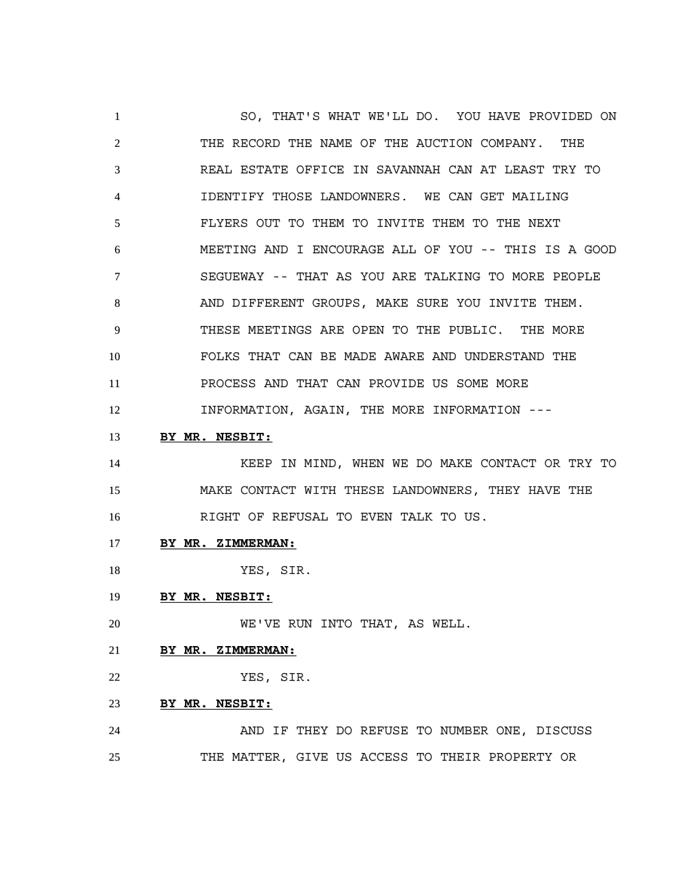SO, THAT'S WHAT WE'LL DO. YOU HAVE PROVIDED ON THE RECORD THE NAME OF THE AUCTION COMPANY. THE REAL ESTATE OFFICE IN SAVANNAH CAN AT LEAST TRY TO IDENTIFY THOSE LANDOWNERS. WE CAN GET MAILING FLYERS OUT TO THEM TO INVITE THEM TO THE NEXT MEETING AND I ENCOURAGE ALL OF YOU -- THIS IS A GOOD SEGUEWAY -- THAT AS YOU ARE TALKING TO MORE PEOPLE 8 AND DIFFERENT GROUPS, MAKE SURE YOU INVITE THEM. THESE MEETINGS ARE OPEN TO THE PUBLIC. THE MORE FOLKS THAT CAN BE MADE AWARE AND UNDERSTAND THE PROCESS AND THAT CAN PROVIDE US SOME MORE INFORMATION, AGAIN, THE MORE INFORMATION --- **BY MR. NESBIT:**

 KEEP IN MIND, WHEN WE DO MAKE CONTACT OR TRY TO MAKE CONTACT WITH THESE LANDOWNERS, THEY HAVE THE RIGHT OF REFUSAL TO EVEN TALK TO US.

- **BY MR. ZIMMERMAN:**
- 18 YES, SIR.
- **BY MR. NESBIT:**

WE'VE RUN INTO THAT, AS WELL.

- **BY MR. ZIMMERMAN:**
- YES, SIR.
- **BY MR. NESBIT:**

 AND IF THEY DO REFUSE TO NUMBER ONE, DISCUSS THE MATTER, GIVE US ACCESS TO THEIR PROPERTY OR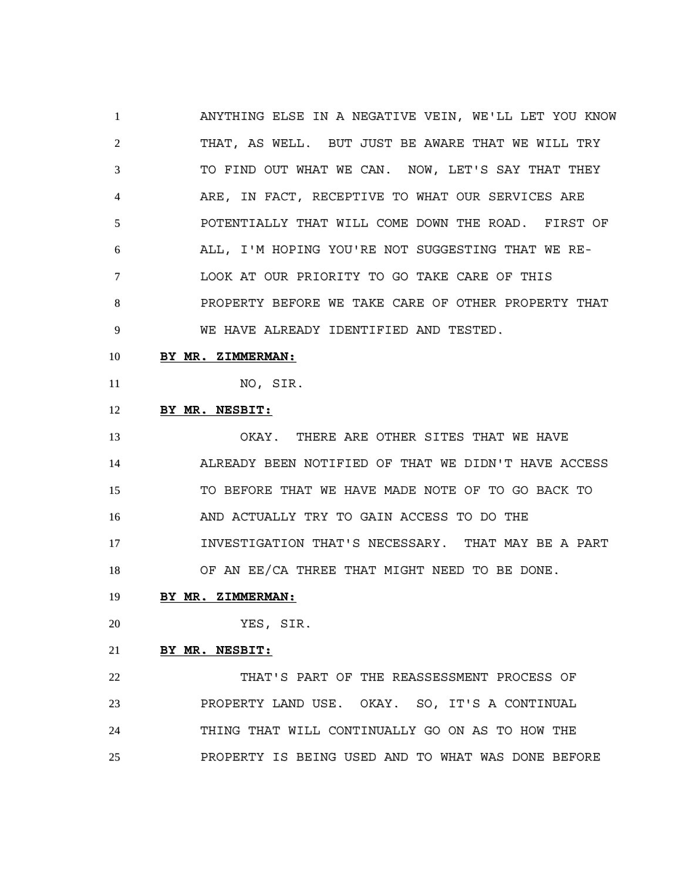ANYTHING ELSE IN A NEGATIVE VEIN, WE'LL LET YOU KNOW THAT, AS WELL. BUT JUST BE AWARE THAT WE WILL TRY TO FIND OUT WHAT WE CAN. NOW, LET'S SAY THAT THEY ARE, IN FACT, RECEPTIVE TO WHAT OUR SERVICES ARE POTENTIALLY THAT WILL COME DOWN THE ROAD. FIRST OF ALL, I'M HOPING YOU'RE NOT SUGGESTING THAT WE RE- LOOK AT OUR PRIORITY TO GO TAKE CARE OF THIS PROPERTY BEFORE WE TAKE CARE OF OTHER PROPERTY THAT WE HAVE ALREADY IDENTIFIED AND TESTED.

#### **BY MR. ZIMMERMAN:**

NO, SIR.

# **BY MR. NESBIT:**

 OKAY. THERE ARE OTHER SITES THAT WE HAVE ALREADY BEEN NOTIFIED OF THAT WE DIDN'T HAVE ACCESS TO BEFORE THAT WE HAVE MADE NOTE OF TO GO BACK TO AND ACTUALLY TRY TO GAIN ACCESS TO DO THE INVESTIGATION THAT'S NECESSARY. THAT MAY BE A PART OF AN EE/CA THREE THAT MIGHT NEED TO BE DONE.

# **BY MR. ZIMMERMAN:**

YES, SIR.

#### **BY MR. NESBIT:**

 THAT'S PART OF THE REASSESSMENT PROCESS OF PROPERTY LAND USE. OKAY. SO, IT'S A CONTINUAL THING THAT WILL CONTINUALLY GO ON AS TO HOW THE PROPERTY IS BEING USED AND TO WHAT WAS DONE BEFORE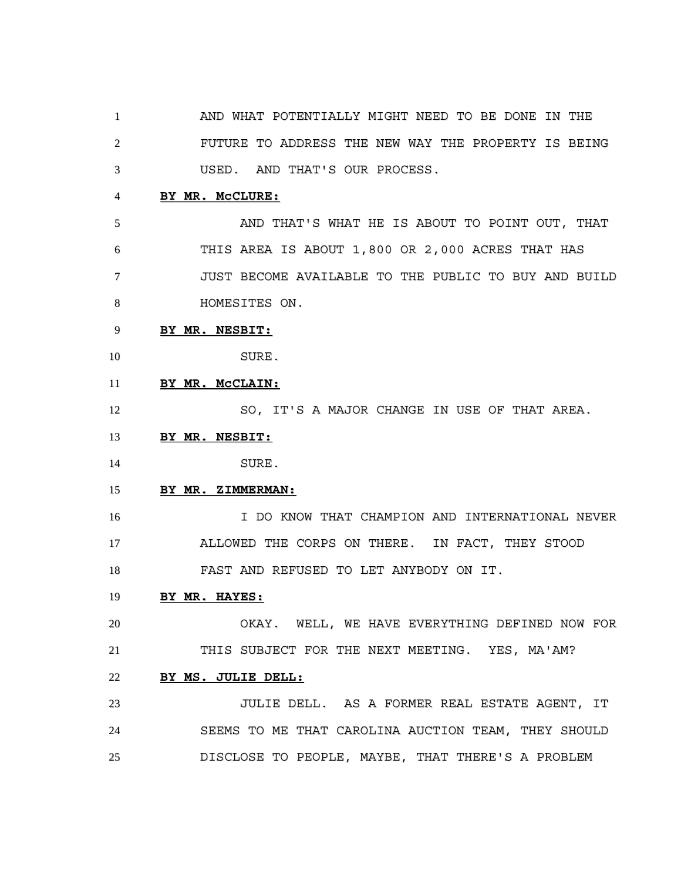AND WHAT POTENTIALLY MIGHT NEED TO BE DONE IN THE FUTURE TO ADDRESS THE NEW WAY THE PROPERTY IS BEING USED. AND THAT'S OUR PROCESS.

### **BY MR. McCLURE:**

 AND THAT'S WHAT HE IS ABOUT TO POINT OUT, THAT THIS AREA IS ABOUT 1,800 OR 2,000 ACRES THAT HAS JUST BECOME AVAILABLE TO THE PUBLIC TO BUY AND BUILD HOMESITES ON.

### **BY MR. NESBIT:**

SURE.

**BY MR. McCLAIN:**

12 SO, IT'S A MAJOR CHANGE IN USE OF THAT AREA.

#### **BY MR. NESBIT:**

SURE.

#### **BY MR. ZIMMERMAN:**

 I DO KNOW THAT CHAMPION AND INTERNATIONAL NEVER ALLOWED THE CORPS ON THERE. IN FACT, THEY STOOD FAST AND REFUSED TO LET ANYBODY ON IT.

#### **BY MR. HAYES:**

 OKAY. WELL, WE HAVE EVERYTHING DEFINED NOW FOR THIS SUBJECT FOR THE NEXT MEETING. YES, MA'AM?

### **BY MS. JULIE DELL:**

 JULIE DELL. AS A FORMER REAL ESTATE AGENT, IT SEEMS TO ME THAT CAROLINA AUCTION TEAM, THEY SHOULD DISCLOSE TO PEOPLE, MAYBE, THAT THERE'S A PROBLEM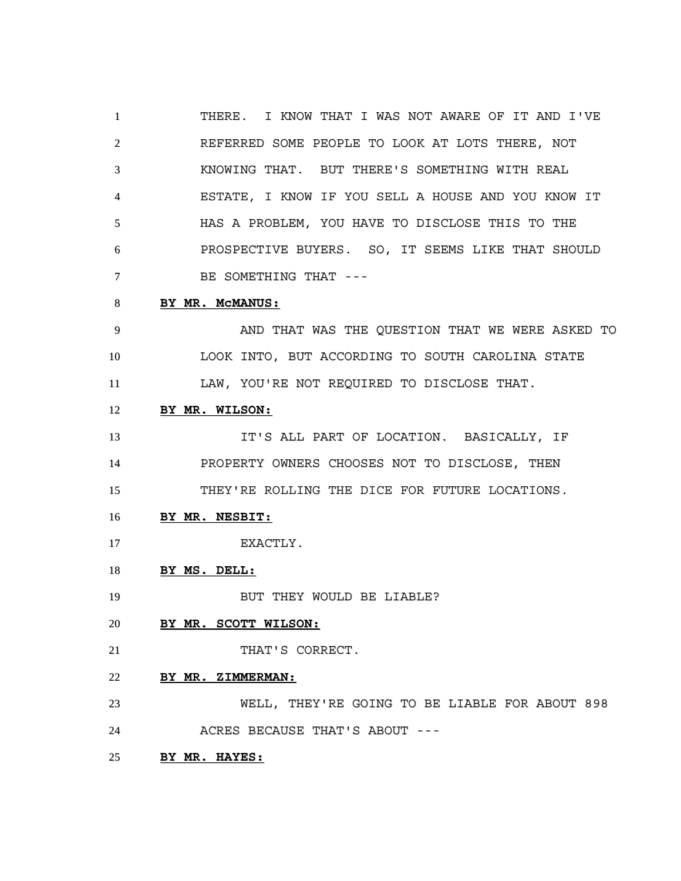THERE. I KNOW THAT I WAS NOT AWARE OF IT AND I'VE REFERRED SOME PEOPLE TO LOOK AT LOTS THERE, NOT KNOWING THAT. BUT THERE'S SOMETHING WITH REAL ESTATE, I KNOW IF YOU SELL A HOUSE AND YOU KNOW IT HAS A PROBLEM, YOU HAVE TO DISCLOSE THIS TO THE PROSPECTIVE BUYERS. SO, IT SEEMS LIKE THAT SHOULD BE SOMETHING THAT --- **BY MR. McMANUS:**

# AND THAT WAS THE QUESTION THAT WE WERE ASKED TO LOOK INTO, BUT ACCORDING TO SOUTH CAROLINA STATE

LAW, YOU'RE NOT REQUIRED TO DISCLOSE THAT.

# **BY MR. WILSON:**

 IT'S ALL PART OF LOCATION. BASICALLY, IF PROPERTY OWNERS CHOOSES NOT TO DISCLOSE, THEN THEY'RE ROLLING THE DICE FOR FUTURE LOCATIONS.

### **BY MR. NESBIT:**

17 EXACTLY.

# **BY MS. DELL:**

19 BUT THEY WOULD BE LIABLE?

# **BY MR. SCOTT WILSON:**

21 THAT'S CORRECT.

### **BY MR. ZIMMERMAN:**

 WELL, THEY'RE GOING TO BE LIABLE FOR ABOUT 898 ACRES BECAUSE THAT'S ABOUT ---

## **BY MR. HAYES:**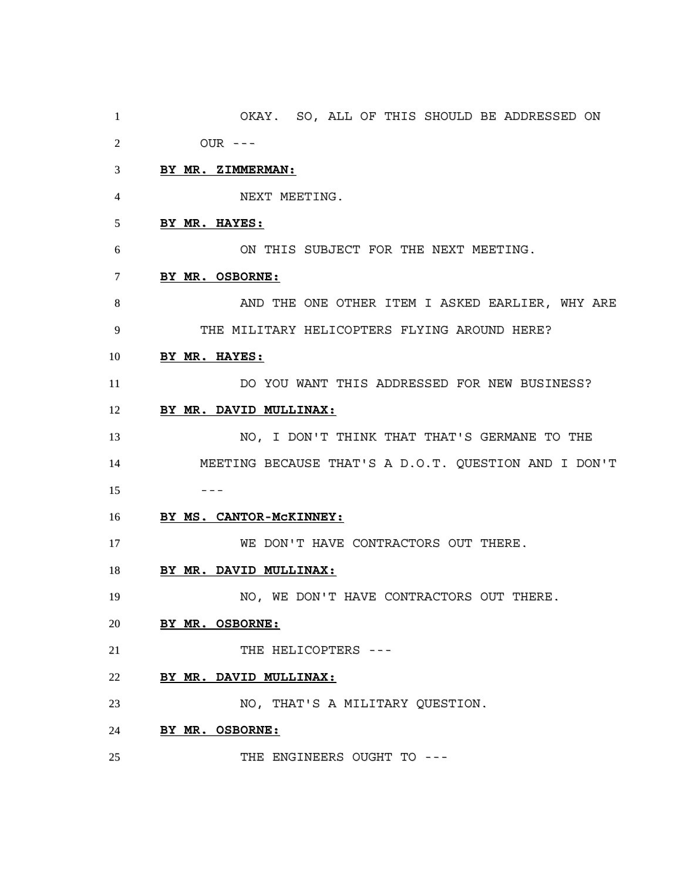OKAY. SO, ALL OF THIS SHOULD BE ADDRESSED ON OUR --- **BY MR. ZIMMERMAN:** NEXT MEETING. **BY MR. HAYES:** ON THIS SUBJECT FOR THE NEXT MEETING. **BY MR. OSBORNE:** 8 AND THE ONE OTHER ITEM I ASKED EARLIER, WHY ARE THE MILITARY HELICOPTERS FLYING AROUND HERE? **BY MR. HAYES:** DO YOU WANT THIS ADDRESSED FOR NEW BUSINESS? **BY MR. DAVID MULLINAX:** NO, I DON'T THINK THAT THAT'S GERMANE TO THE MEETING BECAUSE THAT'S A D.O.T. QUESTION AND I DON'T --- **BY MS. CANTOR-McKINNEY:** WE DON'T HAVE CONTRACTORS OUT THERE. **BY MR. DAVID MULLINAX:** 19 NO, WE DON'T HAVE CONTRACTORS OUT THERE. **BY MR. OSBORNE:** 21 THE HELICOPTERS --- **BY MR. DAVID MULLINAX:** NO, THAT'S A MILITARY QUESTION. **BY MR. OSBORNE:** 25 THE ENGINEERS OUGHT TO ---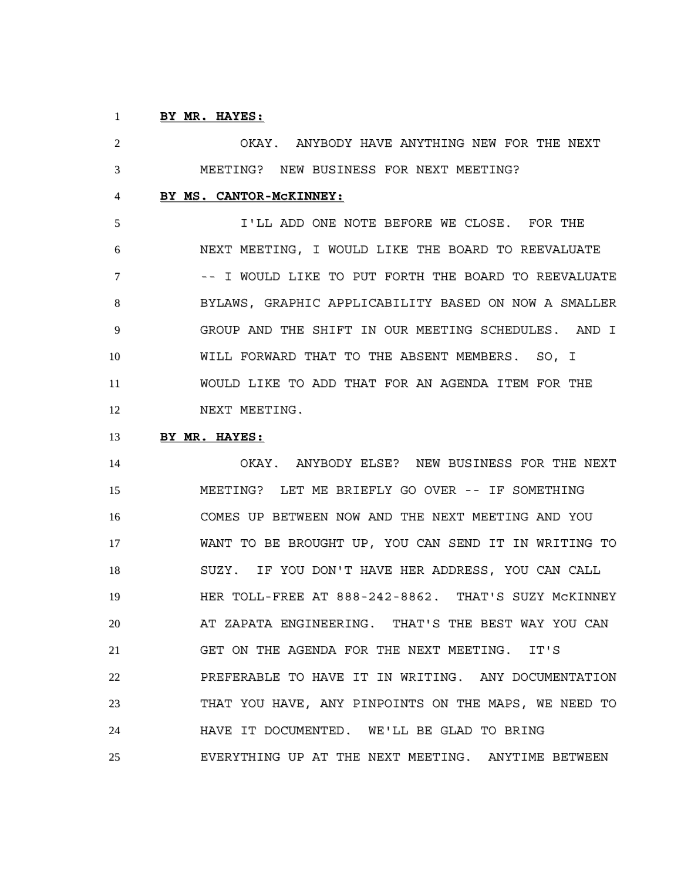#### **BY MR. HAYES:**

 OKAY. ANYBODY HAVE ANYTHING NEW FOR THE NEXT MEETING? NEW BUSINESS FOR NEXT MEETING? **BY MS. CANTOR-McKINNEY:**

 I'LL ADD ONE NOTE BEFORE WE CLOSE. FOR THE NEXT MEETING, I WOULD LIKE THE BOARD TO REEVALUATE -- I WOULD LIKE TO PUT FORTH THE BOARD TO REEVALUATE BYLAWS, GRAPHIC APPLICABILITY BASED ON NOW A SMALLER GROUP AND THE SHIFT IN OUR MEETING SCHEDULES. AND I WILL FORWARD THAT TO THE ABSENT MEMBERS. SO, I WOULD LIKE TO ADD THAT FOR AN AGENDA ITEM FOR THE 12 NEXT MEETING.

#### **BY MR. HAYES:**

 OKAY. ANYBODY ELSE? NEW BUSINESS FOR THE NEXT MEETING? LET ME BRIEFLY GO OVER -- IF SOMETHING COMES UP BETWEEN NOW AND THE NEXT MEETING AND YOU WANT TO BE BROUGHT UP, YOU CAN SEND IT IN WRITING TO SUZY. IF YOU DON'T HAVE HER ADDRESS, YOU CAN CALL HER TOLL-FREE AT 888-242-8862. THAT'S SUZY McKINNEY AT ZAPATA ENGINEERING. THAT'S THE BEST WAY YOU CAN GET ON THE AGENDA FOR THE NEXT MEETING. IT'S PREFERABLE TO HAVE IT IN WRITING. ANY DOCUMENTATION THAT YOU HAVE, ANY PINPOINTS ON THE MAPS, WE NEED TO HAVE IT DOCUMENTED. WE'LL BE GLAD TO BRING EVERYTHING UP AT THE NEXT MEETING. ANYTIME BETWEEN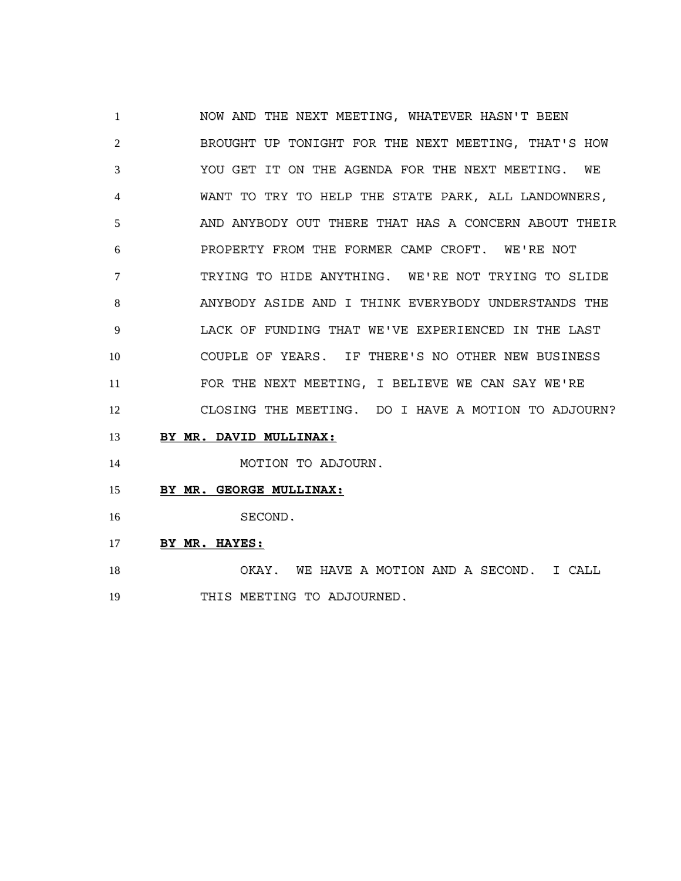NOW AND THE NEXT MEETING, WHATEVER HASN'T BEEN BROUGHT UP TONIGHT FOR THE NEXT MEETING, THAT'S HOW YOU GET IT ON THE AGENDA FOR THE NEXT MEETING. WE WANT TO TRY TO HELP THE STATE PARK, ALL LANDOWNERS, AND ANYBODY OUT THERE THAT HAS A CONCERN ABOUT THEIR PROPERTY FROM THE FORMER CAMP CROFT. WE'RE NOT TRYING TO HIDE ANYTHING. WE'RE NOT TRYING TO SLIDE ANYBODY ASIDE AND I THINK EVERYBODY UNDERSTANDS THE LACK OF FUNDING THAT WE'VE EXPERIENCED IN THE LAST COUPLE OF YEARS. IF THERE'S NO OTHER NEW BUSINESS FOR THE NEXT MEETING, I BELIEVE WE CAN SAY WE'RE CLOSING THE MEETING. DO I HAVE A MOTION TO ADJOURN?

**BY MR. DAVID MULLINAX:**

14 MOTION TO ADJOURN.

- **BY MR. GEORGE MULLINAX:**
- SECOND.
- **BY MR. HAYES:**

 OKAY. WE HAVE A MOTION AND A SECOND. I CALL THIS MEETING TO ADJOURNED.